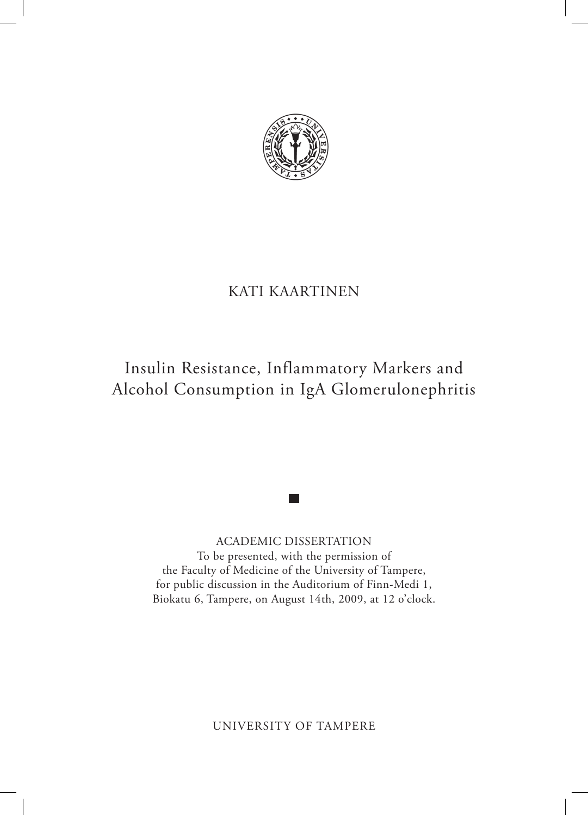

# KATI KAARTINEN

# Insulin Resistance, Inflammatory Markers and Alcohol Consumption in IgA Glomerulonephritis

ACADEMIC DISSERTATION To be presented, with the permission of the Faculty of Medicine of the University of Tampere, for public discussion in the Auditorium of Finn-Medi 1, Biokatu 6, Tampere, on August 14th, 2009, at 12 o'clock.

UNIVERSITY OF TAMPERE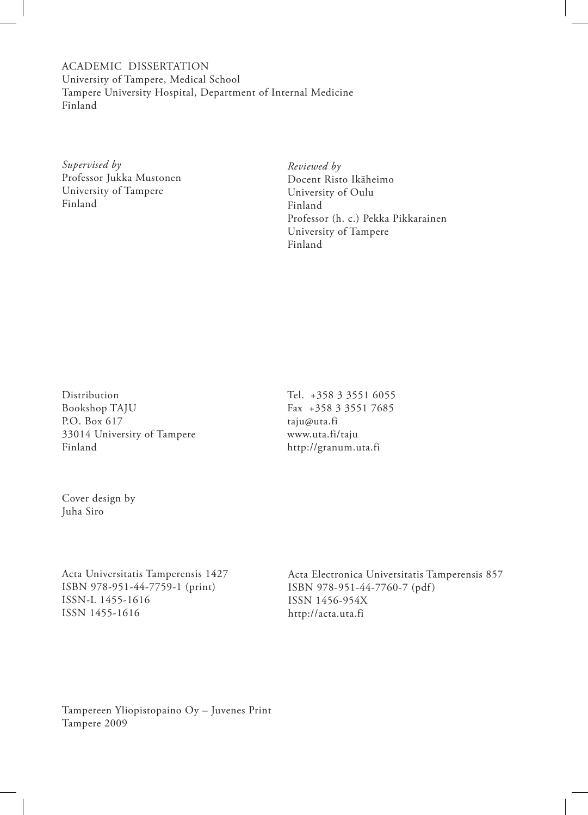ACADEMIC DISSERTATION University of Tampere, Medical School Tampere University Hospital, Department of Internal Medicine Finland

*Supervised by* Professor Jukka Mustonen University of Tampere Finland

*Reviewed by* Docent Risto Ikäheimo University of Oulu Finland Professor (h. c.) Pekka Pikkarainen University of Tampere Finland

Distribution Bookshop TAJU P.O. Box 617 33014 University of Tampere Finland

Tel. +358 3 3551 6055 Fax +358 3 3551 7685 taju@uta.fi www.uta.fi/taju http://granum.uta.fi

Cover design by Juha Siro

Acta Universitatis Tamperensis 1427 ISBN 978-951-44-7759-1 (print) ISSN-L 1455-1616 ISSN 1455-1616

Acta Electronica Universitatis Tamperensis 857 ISBN 978-951-44-7760-7 (pdf) ISSN 1456-954X http://acta.uta.fi

Tampereen Yliopistopaino Oy – Juvenes Print Tampere 2009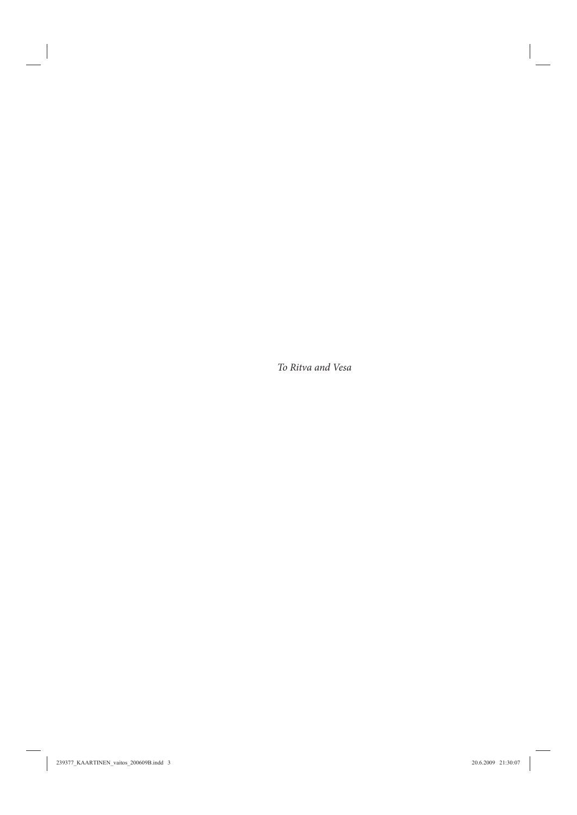*To Ritva and Vesa*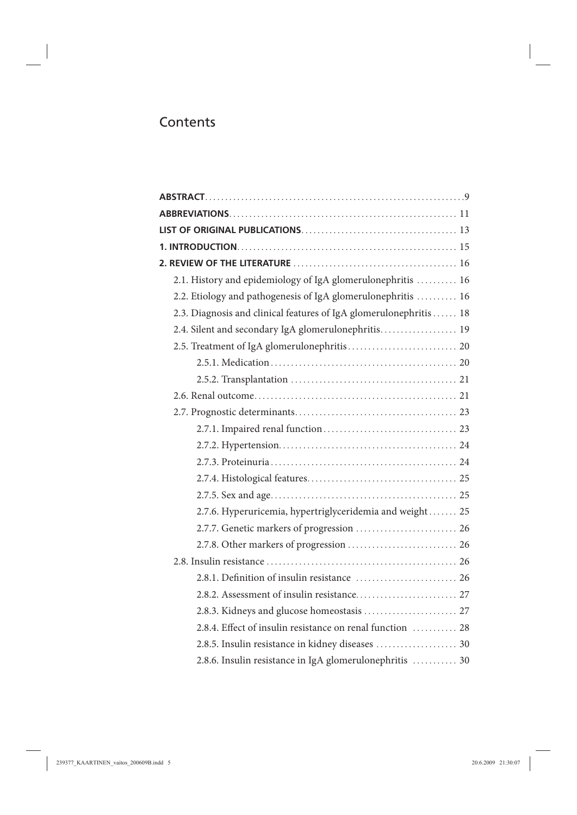# **Contents**

| 2.1. History and epidemiology of IgA glomerulonephritis  16        |
|--------------------------------------------------------------------|
| 2.2. Etiology and pathogenesis of IgA glomerulonephritis  16       |
| 2.3. Diagnosis and clinical features of IgA glomerulonephritis  18 |
| 2.4. Silent and secondary IgA glomerulonephritis 19                |
|                                                                    |
|                                                                    |
|                                                                    |
|                                                                    |
|                                                                    |
|                                                                    |
|                                                                    |
|                                                                    |
|                                                                    |
|                                                                    |
| 2.7.6. Hyperuricemia, hypertriglyceridemia and weight 25           |
| 2.7.7. Genetic markers of progression  26                          |
|                                                                    |
|                                                                    |
|                                                                    |
|                                                                    |
| 2.8.3. Kidneys and glucose homeostasis  27                         |
| 2.8.4. Effect of insulin resistance on renal function  28          |
|                                                                    |
| 2.8.6. Insulin resistance in IgA glomerulonephritis  30            |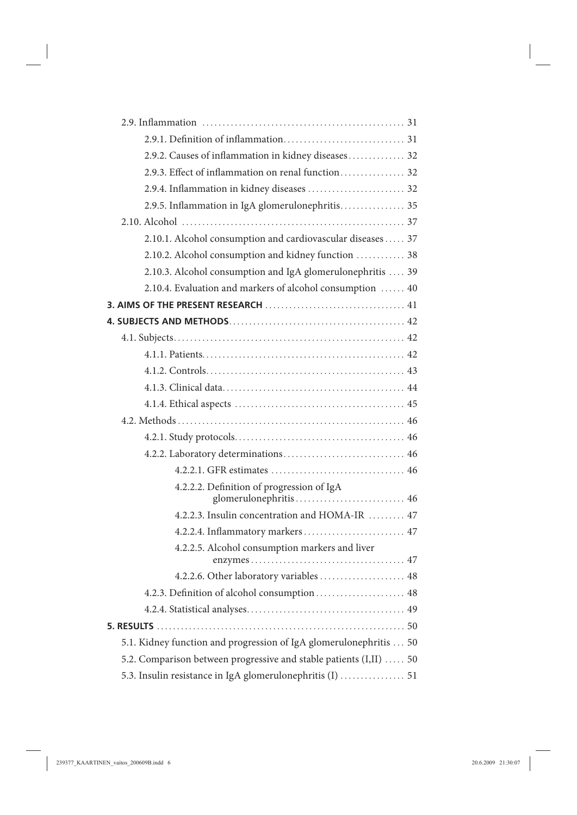| 2.9.2. Causes of inflammation in kidney diseases 32                |
|--------------------------------------------------------------------|
| 2.9.3. Effect of inflammation on renal function 32                 |
|                                                                    |
| 2.9.5. Inflammation in IgA glomerulonephritis 35                   |
|                                                                    |
| 2.10.1. Alcohol consumption and cardiovascular diseases  37        |
| 2.10.2. Alcohol consumption and kidney function  38                |
| 2.10.3. Alcohol consumption and IgA glomerulonephritis  39         |
| 2.10.4. Evaluation and markers of alcohol consumption  40          |
|                                                                    |
|                                                                    |
|                                                                    |
|                                                                    |
|                                                                    |
|                                                                    |
|                                                                    |
|                                                                    |
|                                                                    |
|                                                                    |
|                                                                    |
| 4.2.2.2. Definition of progression of IgA<br>glomerulonephritis 46 |
| 4.2.2.3. Insulin concentration and HOMA-IR  47                     |
| 4.2.2.4. Inflammatory markers 47                                   |
| 4.2.2.5. Alcohol consumption markers and liver                     |
| 4.2.2.6. Other laboratory variables  48                            |
|                                                                    |
|                                                                    |
|                                                                    |
| 5.1. Kidney function and progression of IgA glomerulonephritis  50 |
| 5.2. Comparison between progressive and stable patients (I,II)  50 |
| 5.3. Insulin resistance in IgA glomerulonephritis (I)  51          |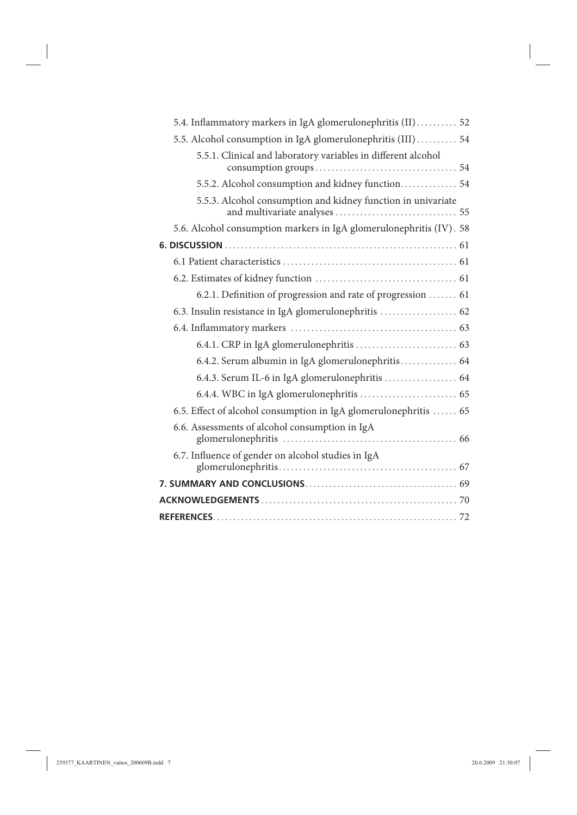| 5.4. Inflammatory markers in IgA glomerulonephritis (II)  52        |
|---------------------------------------------------------------------|
| 5.5. Alcohol consumption in IgA glomerulonephritis (III)  54        |
| 5.5.1. Clinical and laboratory variables in different alcohol       |
| 5.5.2. Alcohol consumption and kidney function 54                   |
| 5.5.3. Alcohol consumption and kidney function in univariate        |
| 5.6. Alcohol consumption markers in IgA glomerulonephritis (IV). 58 |
|                                                                     |
|                                                                     |
|                                                                     |
| 6.2.1. Definition of progression and rate of progression  61        |
|                                                                     |
|                                                                     |
|                                                                     |
| 6.4.2. Serum albumin in IgA glomerulonephritis 64                   |
| 6.4.3. Serum IL-6 in IgA glomerulonephritis  64                     |
|                                                                     |
| 6.5. Effect of alcohol consumption in IgA glomerulonephritis  65    |
| 6.6. Assessments of alcohol consumption in IgA                      |
| 6.7. Influence of gender on alcohol studies in IgA                  |
|                                                                     |
|                                                                     |
|                                                                     |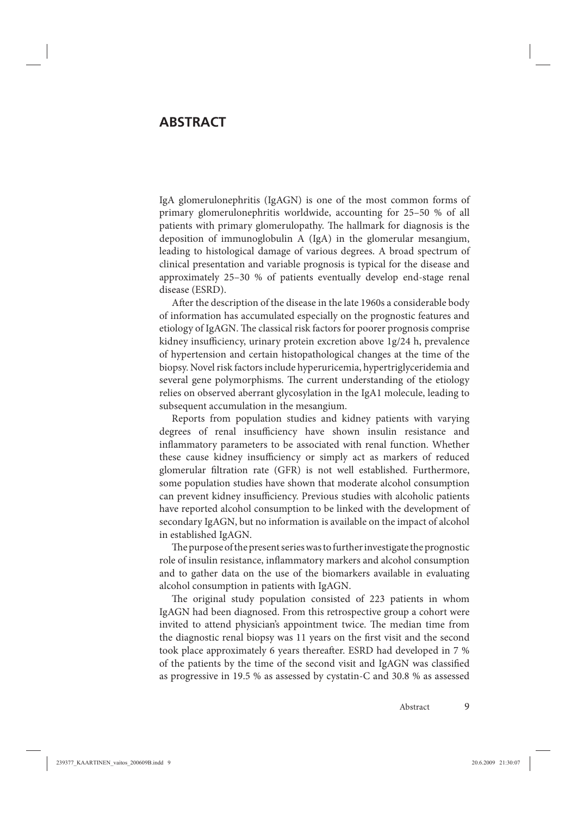# <span id="page-8-0"></span>**ABSTRACT**

IgA glomerulonephritis (IgAGN) is one of the most common forms of primary glomerulonephritis worldwide, accounting for 25–50 % of all patients with primary glomerulopathy. The hallmark for diagnosis is the deposition of immunoglobulin A (IgA) in the glomerular mesangium, leading to histological damage of various degrees. A broad spectrum of clinical presentation and variable prognosis is typical for the disease and approximately 25–30 % of patients eventually develop end-stage renal disease (ESRD).

After the description of the disease in the late 1960s a considerable body of information has accumulated especially on the prognostic features and etiology of IgAGN. The classical risk factors for poorer prognosis comprise kidney insufficiency, urinary protein excretion above 1g/24 h, prevalence of hypertension and certain histopathological changes at the time of the biopsy. Novel risk factors include hyperuricemia, hypertriglyceridemia and several gene polymorphisms. The current understanding of the etiology relies on observed aberrant glycosylation in the IgA1 molecule, leading to subsequent accumulation in the mesangium.

Reports from population studies and kidney patients with varying degrees of renal insufficiency have shown insulin resistance and inflammatory parameters to be associated with renal function. Whether these cause kidney insufficiency or simply act as markers of reduced glomerular filtration rate (GFR) is not well established. Furthermore, some population studies have shown that moderate alcohol consumption can prevent kidney insufficiency. Previous studies with alcoholic patients have reported alcohol consumption to be linked with the development of secondary IgAGN, but no information is available on the impact of alcohol in established IgAGN.

The purpose of the present series was to further investigate the prognostic role of insulin resistance, inflammatory markers and alcohol consumption and to gather data on the use of the biomarkers available in evaluating alcohol consumption in patients with IgAGN.

The original study population consisted of 223 patients in whom IgAGN had been diagnosed. From this retrospective group a cohort were invited to attend physician's appointment twice. The median time from the diagnostic renal biopsy was 11 years on the first visit and the second took place approximately 6 years thereafter. ESRD had developed in 7 % of the patients by the time of the second visit and IgAGN was classified as progressive in 19.5 % as assessed by cystatin-C and 30.8 % as assessed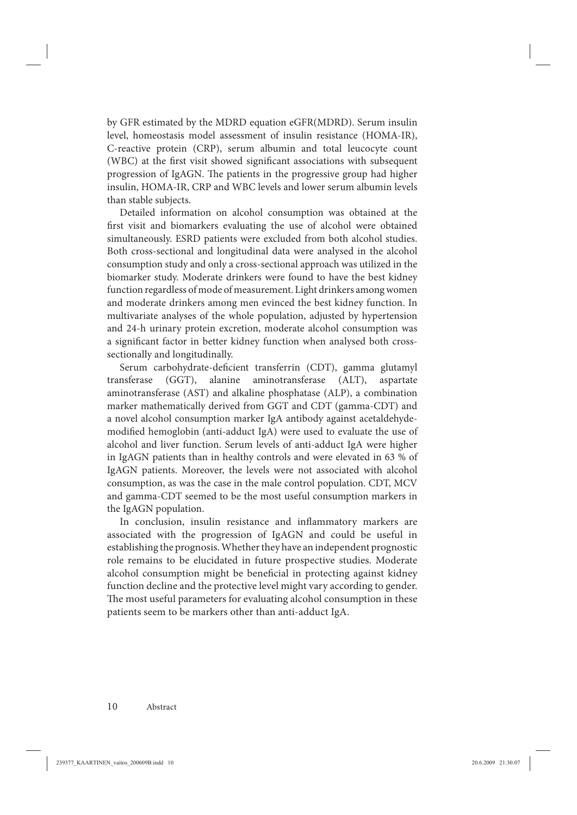by GFR estimated by the MDRD equation eGFR(MDRD). Serum insulin level, homeostasis model assessment of insulin resistance (HOMA-IR), C-reactive protein (CRP), serum albumin and total leucocyte count (WBC) at the first visit showed significant associations with subsequent progression of IgAGN. The patients in the progressive group had higher insulin, HOMA-IR, CRP and WBC levels and lower serum albumin levels than stable subjects.

Detailed information on alcohol consumption was obtained at the first visit and biomarkers evaluating the use of alcohol were obtained simultaneously. ESRD patients were excluded from both alcohol studies. Both cross-sectional and longitudinal data were analysed in the alcohol consumption study and only a cross-sectional approach was utilized in the biomarker study. Moderate drinkers were found to have the best kidney function regardless of mode of measurement. Light drinkers among women and moderate drinkers among men evinced the best kidney function. In multivariate analyses of the whole population, adjusted by hypertension and 24-h urinary protein excretion, moderate alcohol consumption was a significant factor in better kidney function when analysed both crosssectionally and longitudinally.

Serum carbohydrate-deficient transferrin (CDT), gamma glutamyl transferase (GGT), alanine aminotransferase (ALT), aspartate aminotransferase (AST) and alkaline phosphatase (ALP), a combination marker mathematically derived from GGT and CDT (gamma-CDT) and a novel alcohol consumption marker IgA antibody against acetaldehydemodified hemoglobin (anti-adduct IgA) were used to evaluate the use of alcohol and liver function. Serum levels of anti-adduct IgA were higher in IgAGN patients than in healthy controls and were elevated in 63 % of IgAGN patients. Moreover, the levels were not associated with alcohol consumption, as was the case in the male control population. CDT, MCV and gamma-CDT seemed to be the most useful consumption markers in the IgAGN population.

In conclusion, insulin resistance and inflammatory markers are associated with the progression of IgAGN and could be useful in establishing the prognosis. Whether they have an independent prognostic role remains to be elucidated in future prospective studies. Moderate alcohol consumption might be beneficial in protecting against kidney function decline and the protective level might vary according to gender. The most useful parameters for evaluating alcohol consumption in these patients seem to be markers other than anti-adduct IgA.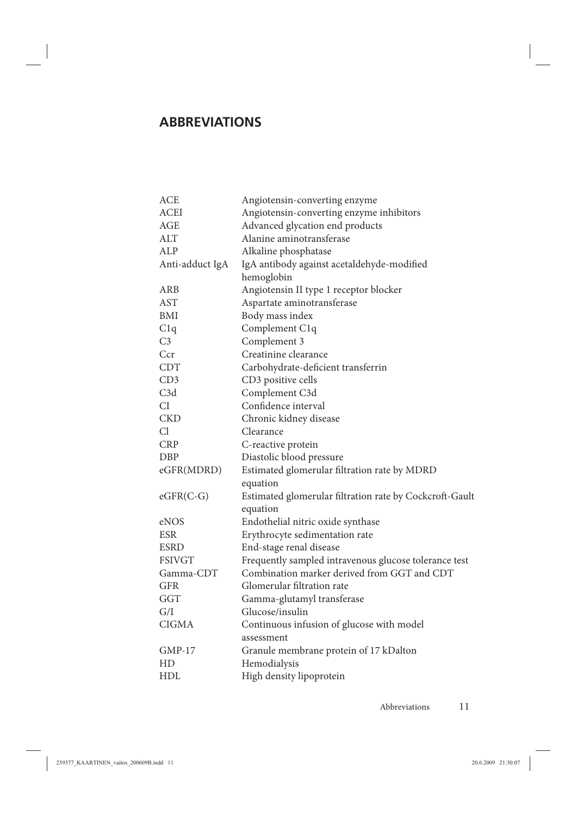# <span id="page-10-0"></span>**ABBREVIATIONS**

| <b>ACE</b>      | Angiotensin-converting enzyme                           |
|-----------------|---------------------------------------------------------|
| <b>ACEI</b>     | Angiotensin-converting enzyme inhibitors                |
| <b>AGE</b>      | Advanced glycation end products                         |
| ALT             | Alanine aminotransferase                                |
| ALP             | Alkaline phosphatase                                    |
| Anti-adduct IgA | IgA antibody against acetaldehyde-modified              |
|                 | hemoglobin                                              |
| <b>ARB</b>      | Angiotensin II type 1 receptor blocker                  |
| <b>AST</b>      | Aspartate aminotransferase                              |
| BMI             | Body mass index                                         |
| C1q             | Complement C1q                                          |
| C <sub>3</sub>  | Complement 3                                            |
| Ccr             | Creatinine clearance                                    |
| <b>CDT</b>      | Carbohydrate-deficient transferrin                      |
| CD3             | CD3 positive cells                                      |
| C3d             | Complement C3d                                          |
| CI              | Confidence interval                                     |
| <b>CKD</b>      | Chronic kidney disease                                  |
| Cl              | Clearance                                               |
| <b>CRP</b>      | C-reactive protein                                      |
| <b>DBP</b>      | Diastolic blood pressure                                |
| eGFR(MDRD)      | Estimated glomerular filtration rate by MDRD            |
|                 | equation                                                |
| $eGFR(C-G)$     | Estimated glomerular filtration rate by Cockcroft-Gault |
|                 | equation                                                |
| eNOS            | Endothelial nitric oxide synthase                       |
| <b>ESR</b>      | Erythrocyte sedimentation rate                          |
| <b>ESRD</b>     | End-stage renal disease                                 |
| <b>FSIVGT</b>   | Frequently sampled intravenous glucose tolerance test   |
| Gamma-CDT       | Combination marker derived from GGT and CDT             |
| GFR             | Glomerular filtration rate                              |
| GGT             | Gamma-glutamyl transferase                              |
| G/I             | Glucose/insulin                                         |
| <b>CIGMA</b>    | Continuous infusion of glucose with model               |
|                 | assessment                                              |
| <b>GMP-17</b>   | Granule membrane protein of 17 kDalton                  |
| HD              | Hemodialysis                                            |
| HDL             | High density lipoprotein                                |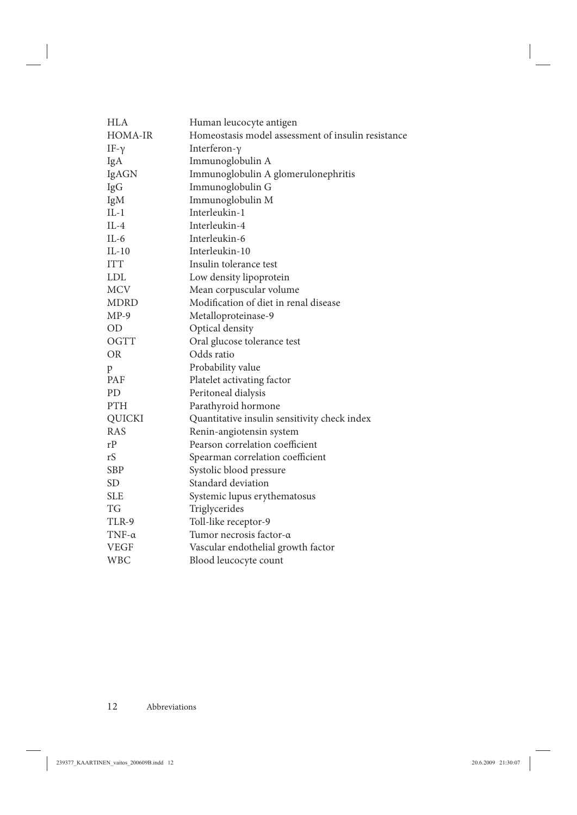| HLA           | Human leucocyte antigen                            |
|---------------|----------------------------------------------------|
| HOMA-IR       | Homeostasis model assessment of insulin resistance |
| IF- $\gamma$  | Interferon- $\gamma$                               |
| IgA           | Immunoglobulin A                                   |
| IgAGN         | Immunoglobulin A glomerulonephritis                |
| IgG           | Immunoglobulin G                                   |
| IgM           | Immunoglobulin M                                   |
| $IL-1$        | Interleukin-1                                      |
| $IL-4$        | Interleukin-4                                      |
| $IL-6$        | Interleukin-6                                      |
| $IL-10$       | Interleukin-10                                     |
| <b>ITT</b>    | Insulin tolerance test                             |
| <b>LDL</b>    | Low density lipoprotein                            |
| <b>MCV</b>    | Mean corpuscular volume                            |
| <b>MDRD</b>   | Modification of diet in renal disease              |
| $MP-9$        | Metalloproteinase-9                                |
| <b>OD</b>     | Optical density                                    |
| OGTT          | Oral glucose tolerance test                        |
| <b>OR</b>     | Odds ratio                                         |
| p             | Probability value                                  |
| PAF           | Platelet activating factor                         |
| <b>PD</b>     | Peritoneal dialysis                                |
| PTH           | Parathyroid hormone                                |
| <b>QUICKI</b> | Quantitative insulin sensitivity check index       |
| <b>RAS</b>    | Renin-angiotensin system                           |
| rP            | Pearson correlation coefficient                    |
| rS            | Spearman correlation coefficient                   |
| <b>SBP</b>    | Systolic blood pressure                            |
| SD.           | Standard deviation                                 |
| <b>SLE</b>    | Systemic lupus erythematosus                       |
| TG            | Triglycerides                                      |
| TLR-9         | Toll-like receptor-9                               |
| $TNF-\alpha$  | Tumor necrosis factor-a                            |
| <b>VEGF</b>   | Vascular endothelial growth factor                 |
| <b>WBC</b>    | Blood leucocyte count                              |
|               |                                                    |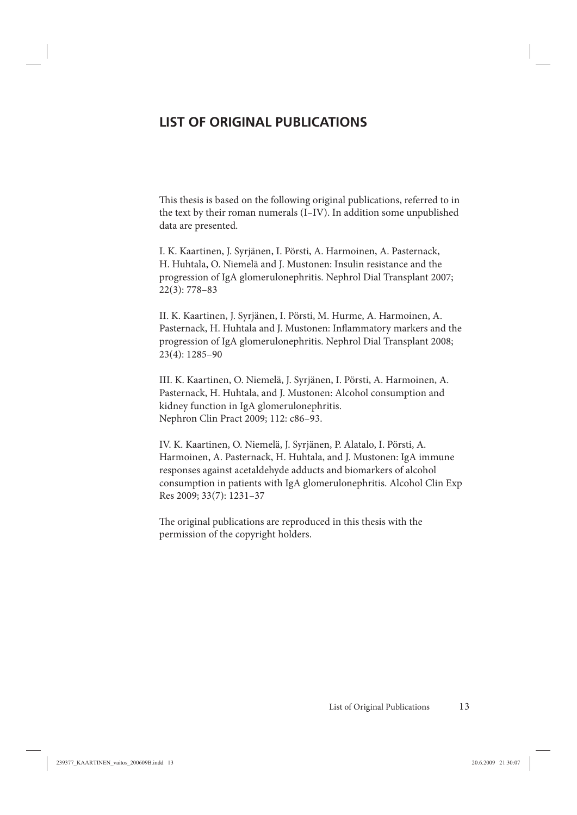# <span id="page-12-0"></span>**LIST OF ORIGINAL PUBLICATIONS**

This thesis is based on the following original publications, referred to in the text by their roman numerals (I–IV). In addition some unpublished data are presented.

I. K. Kaartinen, J. Syrjänen, I. Pörsti, A. Harmoinen, A. Pasternack, H. Huhtala, O. Niemelä and J. Mustonen: Insulin resistance and the progression of IgA glomerulonephritis. Nephrol Dial Transplant 2007; 22(3): 778–83

II. K. Kaartinen, J. Syrjänen, I. Pörsti, M. Hurme, A. Harmoinen, A. Pasternack, H. Huhtala and J. Mustonen: Inflammatory markers and the progression of IgA glomerulonephritis. Nephrol Dial Transplant 2008; 23(4): 1285–90

III. K. Kaartinen, O. Niemelä, J. Syrjänen, I. Pörsti, A. Harmoinen, A. Pasternack, H. Huhtala, and J. Mustonen: Alcohol consumption and kidney function in IgA glomerulonephritis. Nephron Clin Pract 2009; 112: c86–93.

IV. K. Kaartinen, O. Niemelä, J. Syrjänen, P. Alatalo, I. Pörsti, A. Harmoinen, A. Pasternack, H. Huhtala, and J. Mustonen: IgA immune responses against acetaldehyde adducts and biomarkers of alcohol consumption in patients with IgA glomerulonephritis. Alcohol Clin Exp Res 2009; 33(7): 1231–37

The original publications are reproduced in this thesis with the permission of the copyright holders.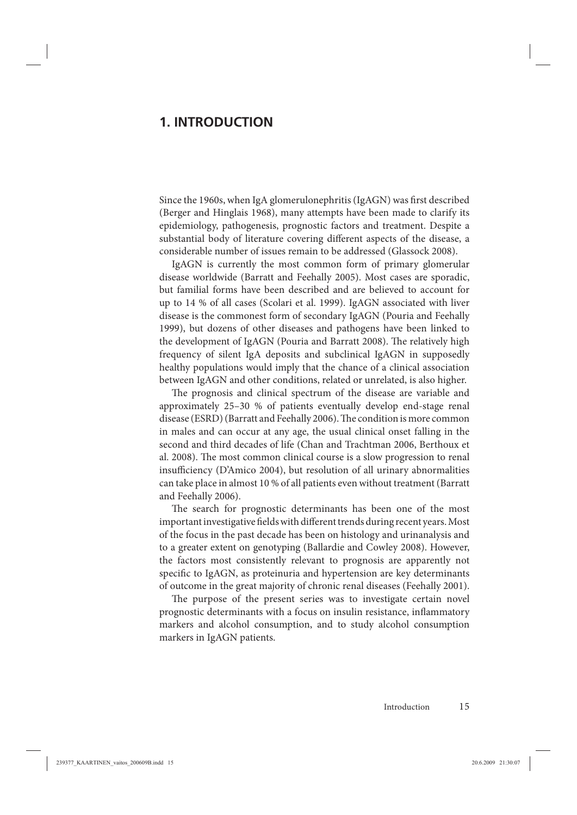# <span id="page-14-0"></span>**1. INTRODUCTION**

Since the 1960s, when IgA glomerulonephritis (IgAGN) was first described (Berger and Hinglais 1968), many attempts have been made to clarify its epidemiology, pathogenesis, prognostic factors and treatment. Despite a substantial body of literature covering different aspects of the disease, a considerable number of issues remain to be addressed (Glassock 2008).

IgAGN is currently the most common form of primary glomerular disease worldwide (Barratt and Feehally 2005). Most cases are sporadic, but familial forms have been described and are believed to account for up to 14 % of all cases (Scolari et al. 1999). IgAGN associated with liver disease is the commonest form of secondary IgAGN (Pouria and Feehally 1999), but dozens of other diseases and pathogens have been linked to the development of IgAGN (Pouria and Barratt 2008). The relatively high frequency of silent IgA deposits and subclinical IgAGN in supposedly healthy populations would imply that the chance of a clinical association between IgAGN and other conditions, related or unrelated, is also higher.

The prognosis and clinical spectrum of the disease are variable and approximately 25–30 % of patients eventually develop end-stage renal disease (ESRD) (Barratt and Feehally 2006). The condition is more common in males and can occur at any age, the usual clinical onset falling in the second and third decades of life (Chan and Trachtman 2006, Berthoux et al. 2008). The most common clinical course is a slow progression to renal insufficiency (D'Amico 2004), but resolution of all urinary abnormalities can take place in almost 10 % of all patients even without treatment (Barratt and Feehally 2006).

The search for prognostic determinants has been one of the most important investigative fields with different trends during recent years. Most of the focus in the past decade has been on histology and urinanalysis and to a greater extent on genotyping (Ballardie and Cowley 2008). However, the factors most consistently relevant to prognosis are apparently not specific to IgAGN, as proteinuria and hypertension are key determinants of outcome in the great majority of chronic renal diseases (Feehally 2001).

The purpose of the present series was to investigate certain novel prognostic determinants with a focus on insulin resistance, inflammatory markers and alcohol consumption, and to study alcohol consumption markers in IgAGN patients.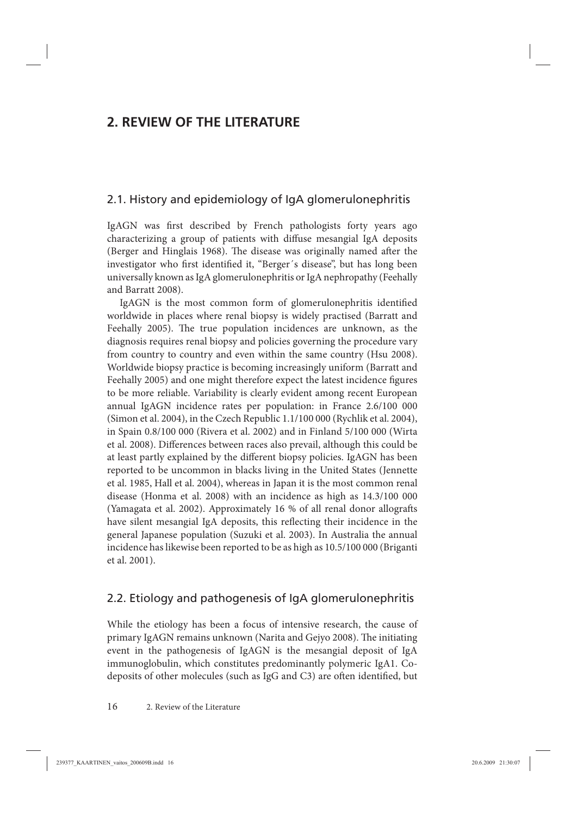# <span id="page-15-0"></span>**2. REVIEW OF THE LITERATURE**

## 2.1. History and epidemiology of IgA glomerulonephritis

IgAGN was first described by French pathologists forty years ago characterizing a group of patients with diffuse mesangial IgA deposits (Berger and Hinglais 1968). The disease was originally named after the investigator who first identified it, "Berger's disease", but has long been universally known as IgA glomerulonephritis or IgA nephropathy (Feehally and Barratt 2008).

IgAGN is the most common form of glomerulonephritis identified worldwide in places where renal biopsy is widely practised (Barratt and Feehally 2005). The true population incidences are unknown, as the diagnosis requires renal biopsy and policies governing the procedure vary from country to country and even within the same country (Hsu 2008). Worldwide biopsy practice is becoming increasingly uniform (Barratt and Feehally 2005) and one might therefore expect the latest incidence figures to be more reliable. Variability is clearly evident among recent European annual IgAGN incidence rates per population: in France 2.6/100 000 (Simon et al. 2004), in the Czech Republic 1.1/100 000 (Rychlik et al. 2004), in Spain 0.8/100 000 (Rivera et al. 2002) and in Finland 5/100 000 (Wirta et al. 2008). Differences between races also prevail, although this could be at least partly explained by the different biopsy policies. IgAGN has been reported to be uncommon in blacks living in the United States (Jennette et al. 1985, Hall et al. 2004), whereas in Japan it is the most common renal disease (Honma et al. 2008) with an incidence as high as 14.3/100 000 (Yamagata et al. 2002). Approximately 16 % of all renal donor allografts have silent mesangial IgA deposits, this reflecting their incidence in the general Japanese population (Suzuki et al. 2003). In Australia the annual incidence has likewise been reported to be as high as 10.5/100 000 (Briganti et al. 2001).

## 2.2. Etiology and pathogenesis of IgA glomerulonephritis

While the etiology has been a focus of intensive research, the cause of primary IgAGN remains unknown (Narita and Gejyo 2008). The initiating event in the pathogenesis of IgAGN is the mesangial deposit of IgA immunoglobulin, which constitutes predominantly polymeric IgA1. Codeposits of other molecules (such as IgG and C3) are often identified, but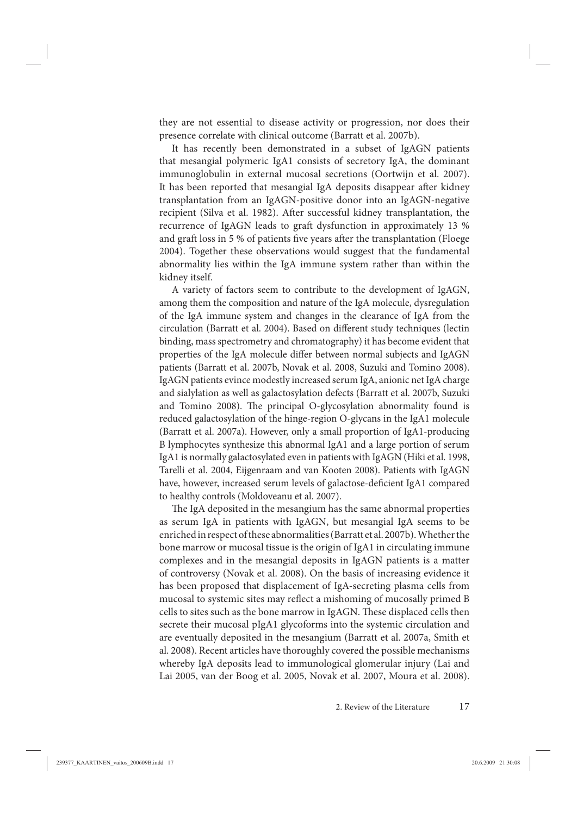they are not essential to disease activity or progression, nor does their presence correlate with clinical outcome (Barratt et al. 2007b).

It has recently been demonstrated in a subset of IgAGN patients that mesangial polymeric IgA1 consists of secretory IgA, the dominant immunoglobulin in external mucosal secretions (Oortwijn et al. 2007). It has been reported that mesangial IgA deposits disappear after kidney transplantation from an IgAGN-positive donor into an IgAGN-negative recipient (Silva et al. 1982). After successful kidney transplantation, the recurrence of IgAGN leads to graft dysfunction in approximately 13 % and graft loss in 5 % of patients five years after the transplantation (Floege 2004). Together these observations would suggest that the fundamental abnormality lies within the IgA immune system rather than within the kidney itself.

A variety of factors seem to contribute to the development of IgAGN, among them the composition and nature of the IgA molecule, dysregulation of the IgA immune system and changes in the clearance of IgA from the circulation (Barratt et al. 2004). Based on different study techniques (lectin binding, mass spectrometry and chromatography) it has become evident that properties of the IgA molecule differ between normal subjects and IgAGN patients (Barratt et al. 2007b, Novak et al. 2008, Suzuki and Tomino 2008). IgAGN patients evince modestly increased serum IgA, anionic net IgA charge and sialylation as well as galactosylation defects (Barratt et al. 2007b, Suzuki and Tomino 2008). The principal O-glycosylation abnormality found is reduced galactosylation of the hinge-region O-glycans in the IgA1 molecule (Barratt et al. 2007a). However, only a small proportion of IgA1-producing B lymphocytes synthesize this abnormal IgA1 and a large portion of serum IgA1 is normally galactosylated even in patients with IgAGN (Hiki et al. 1998, Tarelli et al. 2004, Eijgenraam and van Kooten 2008). Patients with IgAGN have, however, increased serum levels of galactose-deficient IgA1 compared to healthy controls (Moldoveanu et al. 2007).

The IgA deposited in the mesangium has the same abnormal properties as serum IgA in patients with IgAGN, but mesangial IgA seems to be enriched in respect of these abnormalities (Barratt et al. 2007b). Whether the bone marrow or mucosal tissue is the origin of IgA1 in circulating immune complexes and in the mesangial deposits in IgAGN patients is a matter of controversy (Novak et al. 2008). On the basis of increasing evidence it has been proposed that displacement of IgA-secreting plasma cells from mucosal to systemic sites may reflect a mishoming of mucosally primed B cells to sites such as the bone marrow in IgAGN. These displaced cells then secrete their mucosal pIgA1 glycoforms into the systemic circulation and are eventually deposited in the mesangium (Barratt et al. 2007a, Smith et al. 2008). Recent articles have thoroughly covered the possible mechanisms whereby IgA deposits lead to immunological glomerular injury (Lai and Lai 2005, van der Boog et al. 2005, Novak et al. 2007, Moura et al. 2008).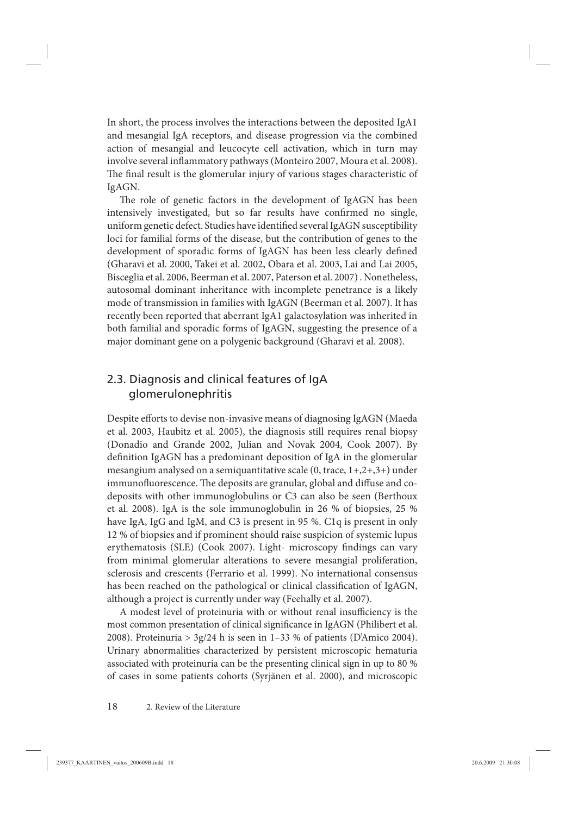<span id="page-17-0"></span>In short, the process involves the interactions between the deposited IgA1 and mesangial IgA receptors, and disease progression via the combined action of mesangial and leucocyte cell activation, which in turn may involve several inflammatory pathways (Monteiro 2007, Moura et al. 2008). The final result is the glomerular injury of various stages characteristic of IgAGN.

The role of genetic factors in the development of IgAGN has been intensively investigated, but so far results have confirmed no single, uniform genetic defect. Studies have identified several IgAGN susceptibility loci for familial forms of the disease, but the contribution of genes to the development of sporadic forms of IgAGN has been less clearly defined (Gharavi et al. 2000, Takei et al. 2002, Obara et al. 2003, Lai and Lai 2005, Bisceglia et al. 2006, Beerman et al. 2007, Paterson et al. 2007) . Nonetheless, autosomal dominant inheritance with incomplete penetrance is a likely mode of transmission in families with IgAGN (Beerman et al. 2007). It has recently been reported that aberrant IgA1 galactosylation was inherited in both familial and sporadic forms of IgAGN, suggesting the presence of a major dominant gene on a polygenic background (Gharavi et al. 2008).

# 2.3. Diagnosis and clinical features of IgA glomerulonephritis

Despite efforts to devise non-invasive means of diagnosing IgAGN (Maeda et al. 2003, Haubitz et al. 2005), the diagnosis still requires renal biopsy (Donadio and Grande 2002, Julian and Novak 2004, Cook 2007). By definition IgAGN has a predominant deposition of IgA in the glomerular mesangium analysed on a semiquantitative scale (0, trace, 1+,2+,3+) under immunofluorescence. The deposits are granular, global and diffuse and codeposits with other immunoglobulins or C3 can also be seen (Berthoux et al. 2008). IgA is the sole immunoglobulin in 26 % of biopsies, 25 % have IgA, IgG and IgM, and C3 is present in 95 %. C1q is present in only 12 % of biopsies and if prominent should raise suspicion of systemic lupus erythematosis (SLE) (Cook 2007). Light- microscopy findings can vary from minimal glomerular alterations to severe mesangial proliferation, sclerosis and crescents (Ferrario et al. 1999). No international consensus has been reached on the pathological or clinical classification of IgAGN, although a project is currently under way (Feehally et al. 2007).

A modest level of proteinuria with or without renal insufficiency is the most common presentation of clinical significance in IgAGN (Philibert et al. 2008). Proteinuria >  $3g/24$  h is seen in 1-33 % of patients (D'Amico 2004). Urinary abnormalities characterized by persistent microscopic hematuria associated with proteinuria can be the presenting clinical sign in up to 80 % of cases in some patients cohorts (Syrjänen et al. 2000), and microscopic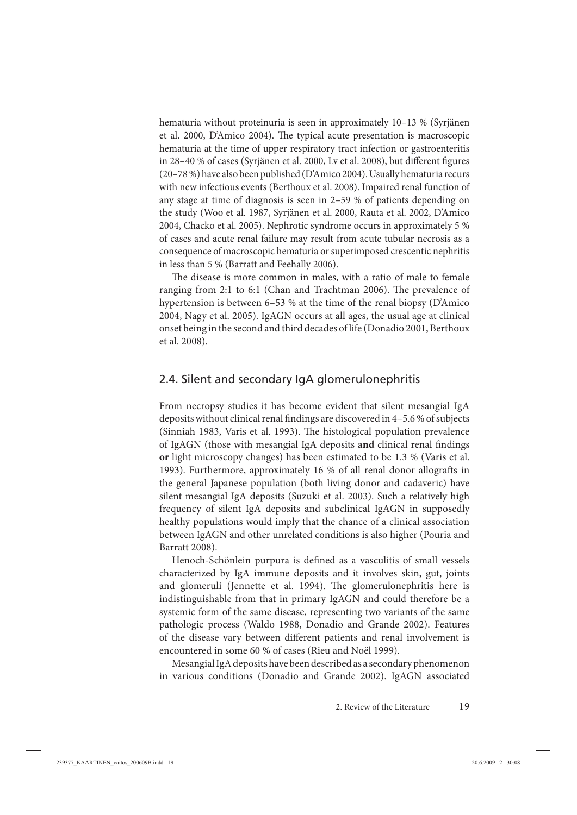<span id="page-18-0"></span>hematuria without proteinuria is seen in approximately 10–13 % (Syrjänen et al. 2000, D'Amico 2004). The typical acute presentation is macroscopic hematuria at the time of upper respiratory tract infection or gastroenteritis in 28–40 % of cases (Syrjänen et al. 2000, Lv et al. 2008), but different figures (20–78 %) have also been published (D'Amico 2004). Usually hematuria recurs with new infectious events (Berthoux et al. 2008). Impaired renal function of any stage at time of diagnosis is seen in 2–59 % of patients depending on the study (Woo et al. 1987, Syrjänen et al. 2000, Rauta et al. 2002, D'Amico 2004, Chacko et al. 2005). Nephrotic syndrome occurs in approximately 5 % of cases and acute renal failure may result from acute tubular necrosis as a consequence of macroscopic hematuria or superimposed crescentic nephritis in less than 5 % (Barratt and Feehally 2006).

The disease is more common in males, with a ratio of male to female ranging from 2:1 to 6:1 (Chan and Trachtman 2006). The prevalence of hypertension is between 6–53 % at the time of the renal biopsy (D'Amico 2004, Nagy et al. 2005). IgAGN occurs at all ages, the usual age at clinical onset being in the second and third decades of life (Donadio 2001, Berthoux et al. 2008).

## 2.4. Silent and secondary IgA glomerulonephritis

From necropsy studies it has become evident that silent mesangial IgA deposits without clinical renal findings are discovered in 4-5.6 % of subjects (Sinniah 1983, Varis et al. 1993). The histological population prevalence of IgAGN (those with mesangial IgA deposits and clinical renal findings **or** light microscopy changes) has been estimated to be 1.3 % (Varis et al. 1993). Furthermore, approximately 16 % of all renal donor allografts in the general Japanese population (both living donor and cadaveric) have silent mesangial IgA deposits (Suzuki et al. 2003). Such a relatively high frequency of silent IgA deposits and subclinical IgAGN in supposedly healthy populations would imply that the chance of a clinical association between IgAGN and other unrelated conditions is also higher (Pouria and Barratt 2008).

Henoch-Schönlein purpura is defined as a vasculitis of small vessels characterized by IgA immune deposits and it involves skin, gut, joints and glomeruli (Jennette et al. 1994). The glomerulonephritis here is indistinguishable from that in primary IgAGN and could therefore be a systemic form of the same disease, representing two variants of the same pathologic process (Waldo 1988, Donadio and Grande 2002). Features of the disease vary between different patients and renal involvement is encountered in some 60 % of cases (Rieu and Noël 1999).

Mesangial IgA deposits have been described as a secondary phenomenon in various conditions (Donadio and Grande 2002). IgAGN associated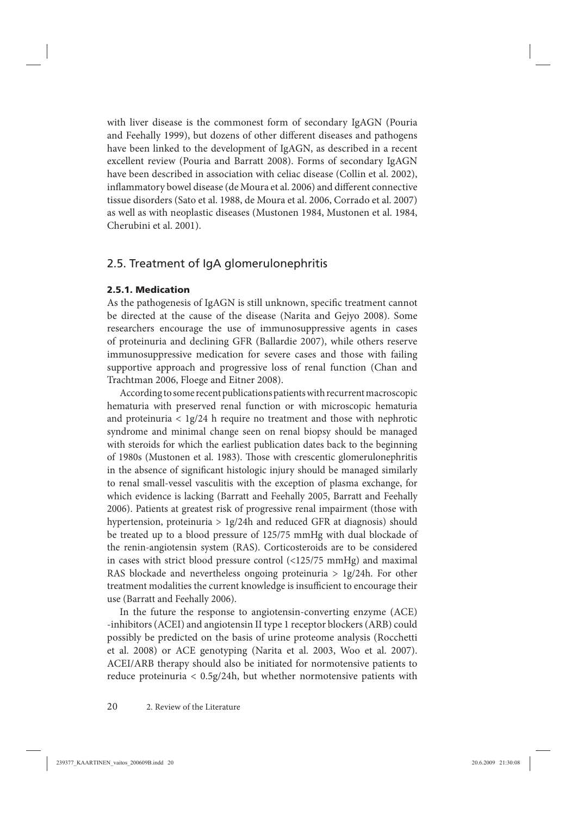<span id="page-19-0"></span>with liver disease is the commonest form of secondary IgAGN (Pouria and Feehally 1999), but dozens of other different diseases and pathogens have been linked to the development of IgAGN, as described in a recent excellent review (Pouria and Barratt 2008). Forms of secondary IgAGN have been described in association with celiac disease (Collin et al. 2002), inflammatory bowel disease (de Moura et al. 2006) and different connective tissue disorders (Sato et al. 1988, de Moura et al. 2006, Corrado et al. 2007) as well as with neoplastic diseases (Mustonen 1984, Mustonen et al. 1984, Cherubini et al. 2001).

## 2.5. Treatment of IgA glomerulonephritis

#### **2.5.1. Medication**

As the pathogenesis of IgAGN is still unknown, specific treatment cannot be directed at the cause of the disease (Narita and Gejyo 2008). Some researchers encourage the use of immunosuppressive agents in cases of proteinuria and declining GFR (Ballardie 2007), while others reserve immunosuppressive medication for severe cases and those with failing supportive approach and progressive loss of renal function (Chan and Trachtman 2006, Floege and Eitner 2008).

According to some recent publications patients with recurrent macroscopic hematuria with preserved renal function or with microscopic hematuria and proteinuria < 1g/24 h require no treatment and those with nephrotic syndrome and minimal change seen on renal biopsy should be managed with steroids for which the earliest publication dates back to the beginning of 1980s (Mustonen et al. 1983). Those with crescentic glomerulonephritis in the absence of significant histologic injury should be managed similarly to renal small-vessel vasculitis with the exception of plasma exchange, for which evidence is lacking (Barratt and Feehally 2005, Barratt and Feehally 2006). Patients at greatest risk of progressive renal impairment (those with hypertension, proteinuria  $> 1g/24h$  and reduced GFR at diagnosis) should be treated up to a blood pressure of 125/75 mmHg with dual blockade of the renin-angiotensin system (RAS). Corticosteroids are to be considered in cases with strict blood pressure control (<125/75 mmHg) and maximal RAS blockade and nevertheless ongoing proteinuria > 1g/24h. For other treatment modalities the current knowledge is insufficient to encourage their use (Barratt and Feehally 2006).

In the future the response to angiotensin-converting enzyme (ACE) -inhibitors (ACEI) and angiotensin II type 1 receptor blockers (ARB) could possibly be predicted on the basis of urine proteome analysis (Rocchetti et al. 2008) or ACE genotyping (Narita et al. 2003, Woo et al. 2007). ACEI/ARB therapy should also be initiated for normotensive patients to reduce proteinuria < 0.5g/24h, but whether normotensive patients with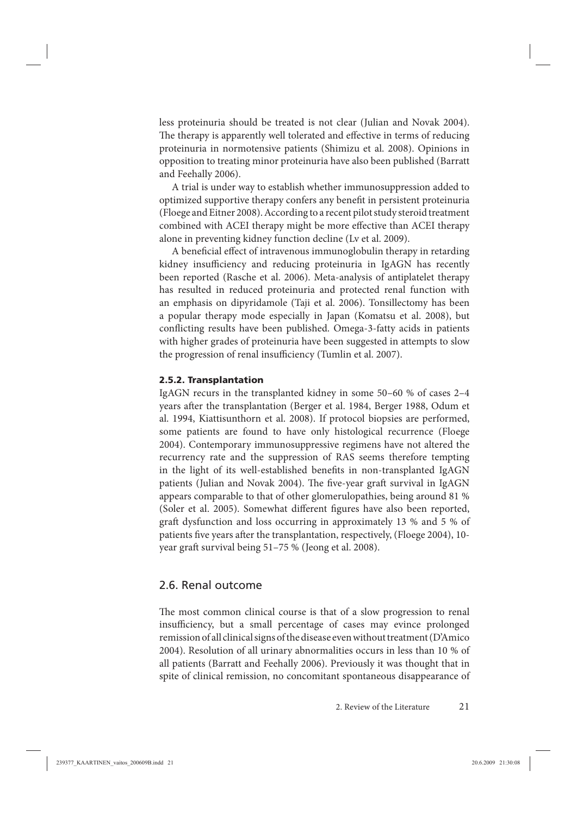<span id="page-20-0"></span>less proteinuria should be treated is not clear (Julian and Novak 2004). The therapy is apparently well tolerated and effective in terms of reducing proteinuria in normotensive patients (Shimizu et al. 2008). Opinions in opposition to treating minor proteinuria have also been published (Barratt and Feehally 2006).

A trial is under way to establish whether immunosuppression added to optimized supportive therapy confers any benefit in persistent proteinuria (Floege and Eitner 2008). According to a recent pilot study steroid treatment combined with ACEI therapy might be more effective than ACEI therapy alone in preventing kidney function decline (Lv et al. 2009).

A beneficial effect of intravenous immunoglobulin therapy in retarding kidney insufficiency and reducing proteinuria in IgAGN has recently been reported (Rasche et al. 2006). Meta-analysis of antiplatelet therapy has resulted in reduced proteinuria and protected renal function with an emphasis on dipyridamole (Taji et al. 2006). Tonsillectomy has been a popular therapy mode especially in Japan (Komatsu et al. 2008), but conflicting results have been published. Omega-3-fatty acids in patients with higher grades of proteinuria have been suggested in attempts to slow the progression of renal insufficiency (Tumlin et al. 2007).

#### **2.5.2. Transplantation**

IgAGN recurs in the transplanted kidney in some 50–60 % of cases 2–4 years after the transplantation (Berger et al. 1984, Berger 1988, Odum et al. 1994, Kiattisunthorn et al. 2008). If protocol biopsies are performed, some patients are found to have only histological recurrence (Floege 2004). Contemporary immunosuppressive regimens have not altered the recurrency rate and the suppression of RAS seems therefore tempting in the light of its well-established benefits in non-transplanted IgAGN patients (Julian and Novak 2004). The five-year graft survival in IgAGN appears comparable to that of other glomerulopathies, being around 81 % (Soler et al. 2005). Somewhat different figures have also been reported, graft dysfunction and loss occurring in approximately 13 % and 5 % of patients five years after the transplantation, respectively, (Floege 2004), 10year graft survival being 51–75 % (Jeong et al. 2008).

#### 2.6. Renal outcome

The most common clinical course is that of a slow progression to renal insufficiency, but a small percentage of cases may evince prolonged remission of all clinical signs of the disease even without treatment (D'Amico 2004). Resolution of all urinary abnormalities occurs in less than 10 % of all patients (Barratt and Feehally 2006). Previously it was thought that in spite of clinical remission, no concomitant spontaneous disappearance of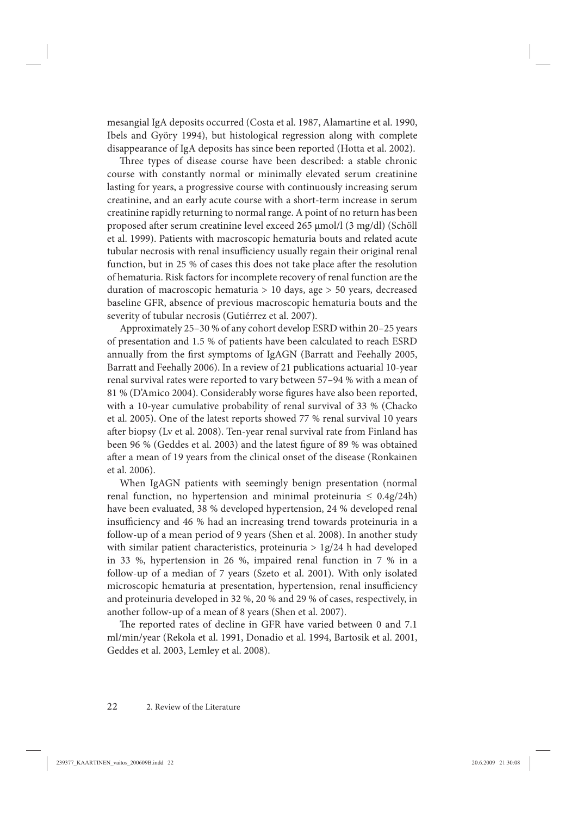mesangial IgA deposits occurred (Costa et al. 1987, Alamartine et al. 1990, Ibels and Györy 1994), but histological regression along with complete disappearance of IgA deposits has since been reported (Hotta et al. 2002).

Three types of disease course have been described: a stable chronic course with constantly normal or minimally elevated serum creatinine lasting for years, a progressive course with continuously increasing serum creatinine, and an early acute course with a short-term increase in serum creatinine rapidly returning to normal range. A point of no return has been proposed after serum creatinine level exceed 265 μmol/l (3 mg/dl) (Schöll et al. 1999). Patients with macroscopic hematuria bouts and related acute tubular necrosis with renal insufficiency usually regain their original renal function, but in 25 % of cases this does not take place after the resolution of hematuria. Risk factors for incomplete recovery of renal function are the duration of macroscopic hematuria > 10 days, age > 50 years, decreased baseline GFR, absence of previous macroscopic hematuria bouts and the severity of tubular necrosis (Gutiérrez et al. 2007).

Approximately 25–30 % of any cohort develop ESRD within 20–25 years of presentation and 1.5 % of patients have been calculated to reach ESRD annually from the first symptoms of IgAGN (Barratt and Feehally 2005, Barratt and Feehally 2006). In a review of 21 publications actuarial 10-year renal survival rates were reported to vary between 57–94 % with a mean of 81 % (D'Amico 2004). Considerably worse figures have also been reported, with a 10-year cumulative probability of renal survival of 33 % (Chacko et al. 2005). One of the latest reports showed 77 % renal survival 10 years after biopsy (Lv et al. 2008). Ten-year renal survival rate from Finland has been 96 % (Geddes et al. 2003) and the latest figure of 89 % was obtained after a mean of 19 years from the clinical onset of the disease (Ronkainen et al. 2006).

When IgAGN patients with seemingly benign presentation (normal renal function, no hypertension and minimal proteinuria  $\leq 0.4g/24h$ ) have been evaluated, 38 % developed hypertension, 24 % developed renal insufficiency and 46 % had an increasing trend towards proteinuria in a follow-up of a mean period of 9 years (Shen et al. 2008). In another study with similar patient characteristics, proteinuria > 1g/24 h had developed in 33 %, hypertension in 26 %, impaired renal function in 7 % in a follow-up of a median of 7 years (Szeto et al. 2001). With only isolated microscopic hematuria at presentation, hypertension, renal insufficiency and proteinuria developed in 32 %, 20 % and 29 % of cases, respectively, in another follow-up of a mean of 8 years (Shen et al. 2007).

The reported rates of decline in GFR have varied between 0 and 7.1 ml/min/year (Rekola et al. 1991, Donadio et al. 1994, Bartosik et al. 2001, Geddes et al. 2003, Lemley et al. 2008).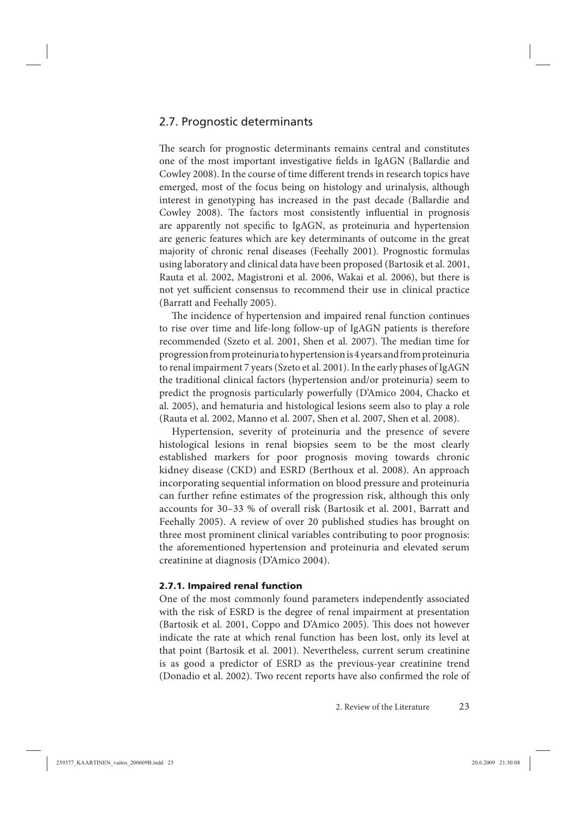## <span id="page-22-0"></span>2.7. Prognostic determinants

The search for prognostic determinants remains central and constitutes one of the most important investigative fields in IgAGN (Ballardie and Cowley 2008). In the course of time different trends in research topics have emerged, most of the focus being on histology and urinalysis, although interest in genotyping has increased in the past decade (Ballardie and Cowley 2008). The factors most consistently influential in prognosis are apparently not specific to IgAGN, as proteinuria and hypertension are generic features which are key determinants of outcome in the great majority of chronic renal diseases (Feehally 2001). Prognostic formulas using laboratory and clinical data have been proposed (Bartosik et al. 2001, Rauta et al. 2002, Magistroni et al. 2006, Wakai et al. 2006), but there is not yet sufficient consensus to recommend their use in clinical practice (Barratt and Feehally 2005).

The incidence of hypertension and impaired renal function continues to rise over time and life-long follow-up of IgAGN patients is therefore recommended (Szeto et al. 2001, Shen et al. 2007). The median time for progression from proteinuria to hypertension is 4 years and from proteinuria to renal impairment 7 years (Szeto et al. 2001). In the early phases of IgAGN the traditional clinical factors (hypertension and/or proteinuria) seem to predict the prognosis particularly powerfully (D'Amico 2004, Chacko et al. 2005), and hematuria and histological lesions seem also to play a role (Rauta et al. 2002, Manno et al. 2007, Shen et al. 2007, Shen et al. 2008).

Hypertension, severity of proteinuria and the presence of severe histological lesions in renal biopsies seem to be the most clearly established markers for poor prognosis moving towards chronic kidney disease (CKD) and ESRD (Berthoux et al. 2008). An approach incorporating sequential information on blood pressure and proteinuria can further refine estimates of the progression risk, although this only accounts for 30–33 % of overall risk (Bartosik et al. 2001, Barratt and Feehally 2005). A review of over 20 published studies has brought on three most prominent clinical variables contributing to poor prognosis: the aforementioned hypertension and proteinuria and elevated serum creatinine at diagnosis (D'Amico 2004).

#### **2.7.1. Impaired renal function**

One of the most commonly found parameters independently associated with the risk of ESRD is the degree of renal impairment at presentation (Bartosik et al. 2001, Coppo and D'Amico 2005). This does not however indicate the rate at which renal function has been lost, only its level at that point (Bartosik et al. 2001). Nevertheless, current serum creatinine is as good a predictor of ESRD as the previous-year creatinine trend (Donadio et al. 2002). Two recent reports have also confirmed the role of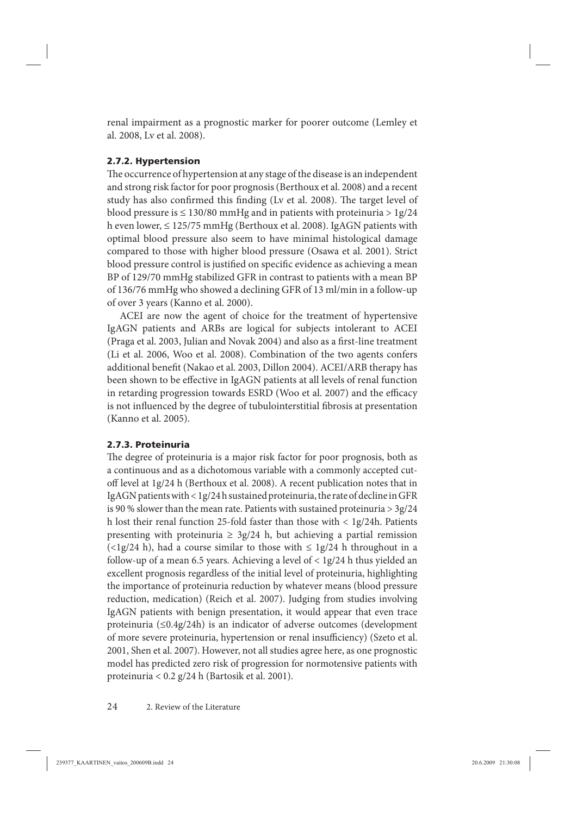<span id="page-23-0"></span>renal impairment as a prognostic marker for poorer outcome (Lemley et al. 2008, Lv et al. 2008).

## **2.7.2. Hypertension**

The occurrence of hypertension at any stage of the disease is an independent and strong risk factor for poor prognosis (Berthoux et al. 2008) and a recent study has also confirmed this finding (Lv et al. 2008). The target level of blood pressure is  $\leq$  130/80 mmHg and in patients with proteinuria > 1g/24 h even lower, ≤ 125/75 mmHg (Berthoux et al. 2008). IgAGN patients with optimal blood pressure also seem to have minimal histological damage compared to those with higher blood pressure (Osawa et al. 2001). Strict blood pressure control is justified on specific evidence as achieving a mean BP of 129/70 mmHg stabilized GFR in contrast to patients with a mean BP of 136/76 mmHg who showed a declining GFR of 13 ml/min in a follow-up of over 3 years (Kanno et al. 2000).

ACEI are now the agent of choice for the treatment of hypertensive IgAGN patients and ARBs are logical for subjects intolerant to ACEI (Praga et al. 2003, Julian and Novak 2004) and also as a first-line treatment (Li et al. 2006, Woo et al. 2008). Combination of the two agents confers additional benefit (Nakao et al. 2003, Dillon 2004). ACEI/ARB therapy has been shown to be effective in IgAGN patients at all levels of renal function in retarding progression towards ESRD (Woo et al. 2007) and the efficacy is not influenced by the degree of tubulointerstitial fibrosis at presentation (Kanno et al. 2005).

## **2.7.3. Proteinuria**

The degree of proteinuria is a major risk factor for poor prognosis, both as a continuous and as a dichotomous variable with a commonly accepted cutoff level at 1g/24 h (Berthoux et al. 2008). A recent publication notes that in IgAGN patients with < 1g/24 h sustained proteinuria, the rate of decline in GFR is 90 % slower than the mean rate. Patients with sustained proteinuria > 3g/24 h lost their renal function 25-fold faster than those with < 1g/24h. Patients presenting with proteinuria  $\geq 3g/24$  h, but achieving a partial remission (<1g/24 h), had a course similar to those with  $\leq$  1g/24 h throughout in a follow-up of a mean 6.5 years. Achieving a level of < 1g/24 h thus yielded an excellent prognosis regardless of the initial level of proteinuria, highlighting the importance of proteinuria reduction by whatever means (blood pressure reduction, medication) (Reich et al. 2007). Judging from studies involving IgAGN patients with benign presentation, it would appear that even trace proteinuria (≤0.4g/24h) is an indicator of adverse outcomes (development of more severe proteinuria, hypertension or renal insufficiency) (Szeto et al. 2001, Shen et al. 2007). However, not all studies agree here, as one prognostic model has predicted zero risk of progression for normotensive patients with proteinuria < 0.2 g/24 h (Bartosik et al. 2001).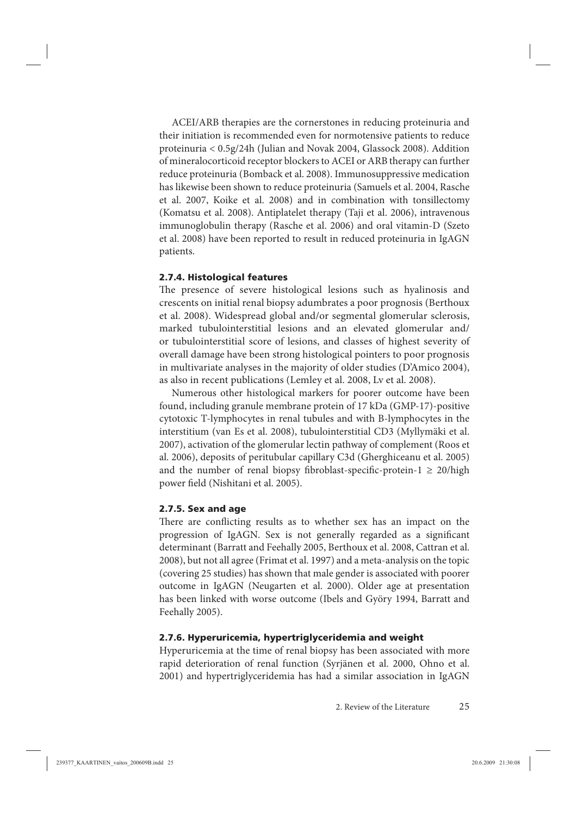<span id="page-24-0"></span>ACEI/ARB therapies are the cornerstones in reducing proteinuria and their initiation is recommended even for normotensive patients to reduce proteinuria < 0.5g/24h (Julian and Novak 2004, Glassock 2008). Addition of mineralocorticoid receptor blockers to ACEI or ARB therapy can further reduce proteinuria (Bomback et al. 2008). Immunosuppressive medication has likewise been shown to reduce proteinuria (Samuels et al. 2004, Rasche et al. 2007, Koike et al. 2008) and in combination with tonsillectomy (Komatsu et al. 2008). Antiplatelet therapy (Taji et al. 2006), intravenous immunoglobulin therapy (Rasche et al. 2006) and oral vitamin-D (Szeto et al. 2008) have been reported to result in reduced proteinuria in IgAGN patients.

#### **2.7.4. Histological features**

The presence of severe histological lesions such as hyalinosis and crescents on initial renal biopsy adumbrates a poor prognosis (Berthoux et al. 2008). Widespread global and/or segmental glomerular sclerosis, marked tubulointerstitial lesions and an elevated glomerular and/ or tubulointerstitial score of lesions, and classes of highest severity of overall damage have been strong histological pointers to poor prognosis in multivariate analyses in the majority of older studies (D'Amico 2004), as also in recent publications (Lemley et al. 2008, Lv et al. 2008).

Numerous other histological markers for poorer outcome have been found, including granule membrane protein of 17 kDa (GMP-17)-positive cytotoxic T-lymphocytes in renal tubules and with B-lymphocytes in the interstitium (van Es et al. 2008), tubulointerstitial CD3 (Myllymäki et al. 2007), activation of the glomerular lectin pathway of complement (Roos et al. 2006), deposits of peritubular capillary C3d (Gherghiceanu et al. 2005) and the number of renal biopsy fibroblast-specific-protein-1  $\geq$  20/high power field (Nishitani et al. 2005).

#### **2.7.5. Sex and age**

There are conflicting results as to whether sex has an impact on the progression of IgAGN. Sex is not generally regarded as a significant determinant (Barratt and Feehally 2005, Berthoux et al. 2008, Cattran et al. 2008), but not all agree (Frimat et al. 1997) and a meta-analysis on the topic (covering 25 studies) has shown that male gender is associated with poorer outcome in IgAGN (Neugarten et al. 2000). Older age at presentation has been linked with worse outcome (Ibels and Györy 1994, Barratt and Feehally 2005).

### **2.7.6. Hyperuricemia, hypertriglyceridemia and weight**

Hyperuricemia at the time of renal biopsy has been associated with more rapid deterioration of renal function (Syrjänen et al. 2000, Ohno et al. 2001) and hypertriglyceridemia has had a similar association in IgAGN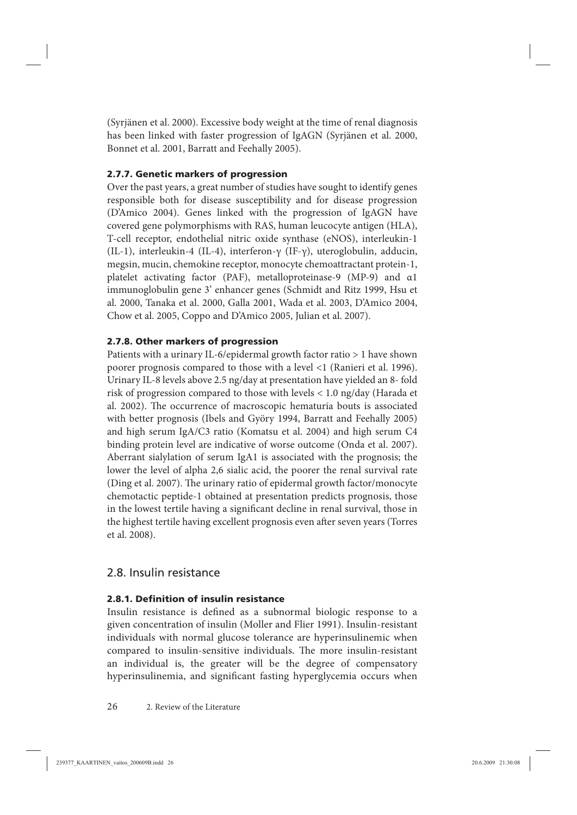<span id="page-25-0"></span>(Syrjänen et al. 2000). Excessive body weight at the time of renal diagnosis has been linked with faster progression of IgAGN (Syrjänen et al. 2000, Bonnet et al. 2001, Barratt and Feehally 2005).

## **2.7.7. Genetic markers of progression**

Over the past years, a great number of studies have sought to identify genes responsible both for disease susceptibility and for disease progression (D'Amico 2004). Genes linked with the progression of IgAGN have covered gene polymorphisms with RAS, human leucocyte antigen (HLA), T-cell receptor, endothelial nitric oxide synthase (eNOS), interleukin-1 (IL-1), interleukin-4 (IL-4), interferon-γ (IF-γ), uteroglobulin, adducin, megsin, mucin, chemokine receptor, monocyte chemoattractant protein-1, platelet activating factor (PAF), metalloproteinase-9 (MP-9) and α1 immunoglobulin gene 3' enhancer genes (Schmidt and Ritz 1999, Hsu et al. 2000, Tanaka et al. 2000, Galla 2001, Wada et al. 2003, D'Amico 2004, Chow et al. 2005, Coppo and D'Amico 2005, Julian et al. 2007).

## **2.7.8. Other markers of progression**

Patients with a urinary IL-6/epidermal growth factor ratio > 1 have shown poorer prognosis compared to those with a level <1 (Ranieri et al. 1996). Urinary IL-8 levels above 2.5 ng/day at presentation have yielded an 8- fold risk of progression compared to those with levels < 1.0 ng/day (Harada et al. 2002). The occurrence of macroscopic hematuria bouts is associated with better prognosis (Ibels and Györy 1994, Barratt and Feehally 2005) and high serum IgA/C3 ratio (Komatsu et al. 2004) and high serum C4 binding protein level are indicative of worse outcome (Onda et al. 2007). Aberrant sialylation of serum IgA1 is associated with the prognosis; the lower the level of alpha 2,6 sialic acid, the poorer the renal survival rate (Ding et al. 2007). The urinary ratio of epidermal growth factor/monocyte chemotactic peptide-1 obtained at presentation predicts prognosis, those in the lowest tertile having a significant decline in renal survival, those in the highest tertile having excellent prognosis even after seven years (Torres et al. 2008).

# 2.8. Insulin resistance

## **2.8.1. Definition of insulin resistance**

Insulin resistance is defined as a subnormal biologic response to a given concentration of insulin (Moller and Flier 1991). Insulin-resistant individuals with normal glucose tolerance are hyperinsulinemic when compared to insulin-sensitive individuals. The more insulin-resistant an individual is, the greater will be the degree of compensatory hyperinsulinemia, and significant fasting hyperglycemia occurs when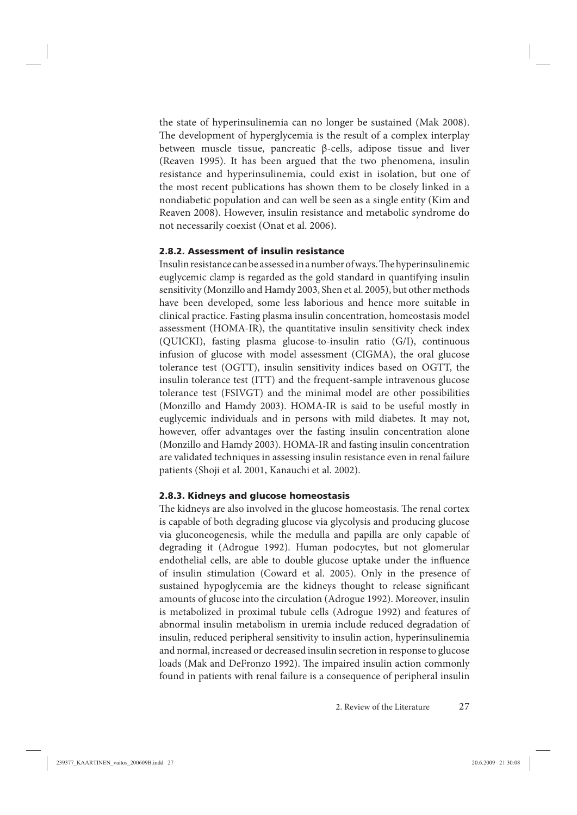<span id="page-26-0"></span>the state of hyperinsulinemia can no longer be sustained (Mak 2008). The development of hyperglycemia is the result of a complex interplay between muscle tissue, pancreatic β-cells, adipose tissue and liver (Reaven 1995). It has been argued that the two phenomena, insulin resistance and hyperinsulinemia, could exist in isolation, but one of the most recent publications has shown them to be closely linked in a nondiabetic population and can well be seen as a single entity (Kim and Reaven 2008). However, insulin resistance and metabolic syndrome do not necessarily coexist (Onat et al. 2006).

#### **2.8.2. Assessment of insulin resistance**

Insulin resistance can be assessed in a number of ways. The hyperinsulinemic euglycemic clamp is regarded as the gold standard in quantifying insulin sensitivity (Monzillo and Hamdy 2003, Shen et al. 2005), but other methods have been developed, some less laborious and hence more suitable in clinical practice. Fasting plasma insulin concentration, homeostasis model assessment (HOMA-IR), the quantitative insulin sensitivity check index (QUICKI), fasting plasma glucose-to-insulin ratio (G/I), continuous infusion of glucose with model assessment (CIGMA), the oral glucose tolerance test (OGTT), insulin sensitivity indices based on OGTT, the insulin tolerance test (ITT) and the frequent-sample intravenous glucose tolerance test (FSIVGT) and the minimal model are other possibilities (Monzillo and Hamdy 2003). HOMA-IR is said to be useful mostly in euglycemic individuals and in persons with mild diabetes. It may not, however, offer advantages over the fasting insulin concentration alone (Monzillo and Hamdy 2003). HOMA-IR and fasting insulin concentration are validated techniques in assessing insulin resistance even in renal failure patients (Shoji et al. 2001, Kanauchi et al. 2002).

#### **2.8.3. Kidneys and glucose homeostasis**

The kidneys are also involved in the glucose homeostasis. The renal cortex is capable of both degrading glucose via glycolysis and producing glucose via gluconeogenesis, while the medulla and papilla are only capable of degrading it (Adrogue 1992). Human podocytes, but not glomerular endothelial cells, are able to double glucose uptake under the influence of insulin stimulation (Coward et al. 2005). Only in the presence of sustained hypoglycemia are the kidneys thought to release significant amounts of glucose into the circulation (Adrogue 1992). Moreover, insulin is metabolized in proximal tubule cells (Adrogue 1992) and features of abnormal insulin metabolism in uremia include reduced degradation of insulin, reduced peripheral sensitivity to insulin action, hyperinsulinemia and normal, increased or decreased insulin secretion in response to glucose loads (Mak and DeFronzo 1992). The impaired insulin action commonly found in patients with renal failure is a consequence of peripheral insulin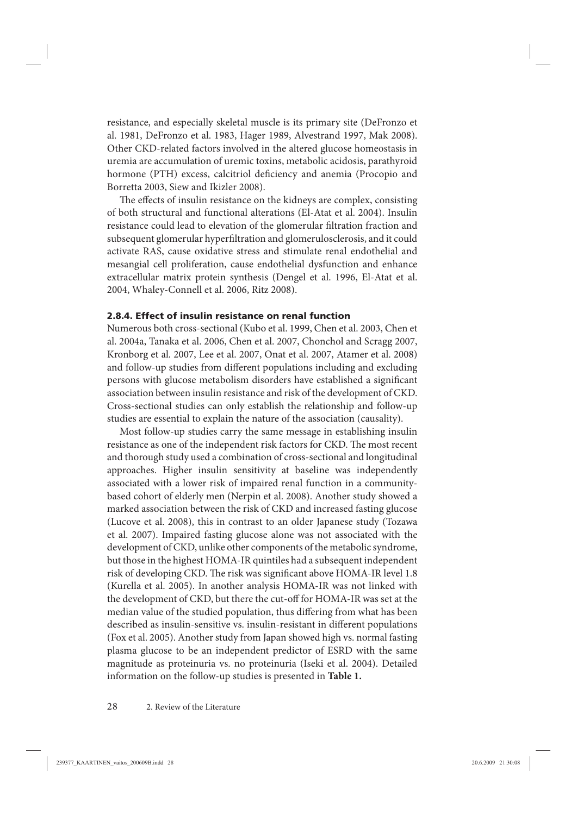<span id="page-27-0"></span>resistance, and especially skeletal muscle is its primary site (DeFronzo et al. 1981, DeFronzo et al. 1983, Hager 1989, Alvestrand 1997, Mak 2008). Other CKD-related factors involved in the altered glucose homeostasis in uremia are accumulation of uremic toxins, metabolic acidosis, parathyroid hormone (PTH) excess, calcitriol deficiency and anemia (Procopio and Borretta 2003, Siew and Ikizler 2008).

The effects of insulin resistance on the kidneys are complex, consisting of both structural and functional alterations (El-Atat et al. 2004). Insulin resistance could lead to elevation of the glomerular filtration fraction and subsequent glomerular hyperfiltration and glomerulosclerosis, and it could activate RAS, cause oxidative stress and stimulate renal endothelial and mesangial cell proliferation, cause endothelial dysfunction and enhance extracellular matrix protein synthesis (Dengel et al. 1996, El-Atat et al. 2004, Whaley-Connell et al. 2006, Ritz 2008).

#### **2.8.4. Effect of insulin resistance on renal function**

Numerous both cross-sectional (Kubo et al. 1999, Chen et al. 2003, Chen et al. 2004a, Tanaka et al. 2006, Chen et al. 2007, Chonchol and Scragg 2007, Kronborg et al. 2007, Lee et al. 2007, Onat et al. 2007, Atamer et al. 2008) and follow-up studies from different populations including and excluding persons with glucose metabolism disorders have established a significant association between insulin resistance and risk of the development of CKD. Cross-sectional studies can only establish the relationship and follow-up studies are essential to explain the nature of the association (causality).

Most follow-up studies carry the same message in establishing insulin resistance as one of the independent risk factors for CKD. The most recent and thorough study used a combination of cross-sectional and longitudinal approaches. Higher insulin sensitivity at baseline was independently associated with a lower risk of impaired renal function in a communitybased cohort of elderly men (Nerpin et al. 2008). Another study showed a marked association between the risk of CKD and increased fasting glucose (Lucove et al. 2008), this in contrast to an older Japanese study (Tozawa et al. 2007). Impaired fasting glucose alone was not associated with the development of CKD, unlike other components of the metabolic syndrome, but those in the highest HOMA-IR quintiles had a subsequent independent risk of developing CKD. The risk was significant above HOMA-IR level 1.8 (Kurella et al. 2005). In another analysis HOMA-IR was not linked with the development of CKD, but there the cut-off for HOMA-IR was set at the median value of the studied population, thus differing from what has been described as insulin-sensitive vs. insulin-resistant in different populations (Fox et al. 2005). Another study from Japan showed high vs. normal fasting plasma glucose to be an independent predictor of ESRD with the same magnitude as proteinuria vs. no proteinuria (Iseki et al. 2004). Detailed information on the follow-up studies is presented in **Table 1.**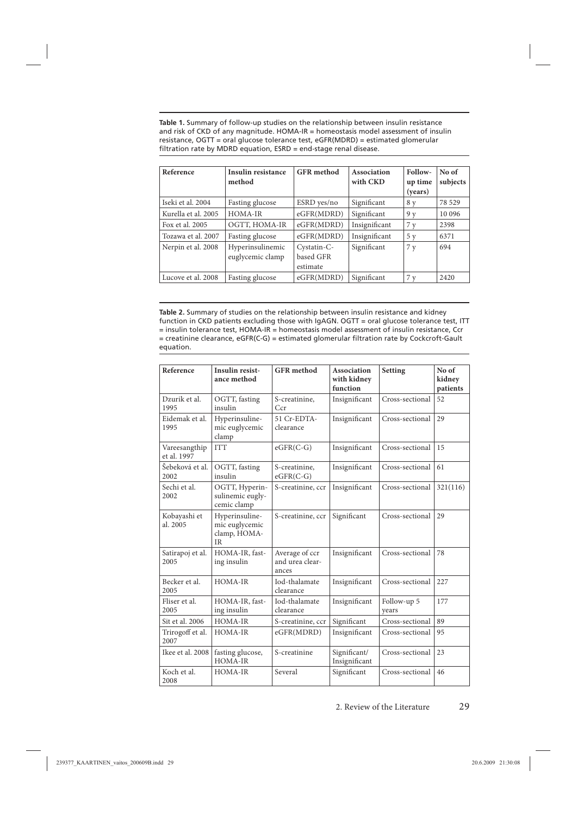**Table 1.** Summary of follow-up studies on the relationship between insulin resistance and risk of CKD of any magnitude. HOMA-IR = homeostasis model assessment of insulin resistance, OGTT = oral glucose tolerance test, eGFR(MDRD) = estimated glomerular filtration rate by MDRD equation,  $ESRD = end-stage$  renal disease.

| Reference           | Insulin resistance<br>method         | <b>GFR</b> method                    | Association<br>with CKD | Follow-<br>up time<br>(years) | No of<br>subjects |
|---------------------|--------------------------------------|--------------------------------------|-------------------------|-------------------------------|-------------------|
| Iseki et al. 2004   | Fasting glucose                      | ESRD yes/no                          | Significant             | 8 y                           | 78 529            |
| Kurella et al. 2005 | HOMA-IR                              | eGFR(MDRD)                           | Significant             | 9 <sub>v</sub>                | 10 0 96           |
| Fox et al. 2005     | OGTT, HOMA-IR                        | eGFR(MDRD)                           | Insignificant           | 7y                            | 2398              |
| Tozawa et al. 2007  | Fasting glucose                      | eGFR(MDRD)                           | Insignificant           | 5 y                           | 6371              |
| Nerpin et al. 2008  | Hyperinsulinemic<br>euglycemic clamp | Cystatin-C-<br>based GFR<br>estimate | Significant             | 7y                            | 694               |
| Lucove et al. 2008  | Fasting glucose                      | eGFR(MDRD)                           | Significant             | 7v                            | 2420              |

**Table 2.** Summary of studies on the relationship between insulin resistance and kidney function in CKD patients excluding those with IgAGN. OGTT = oral glucose tolerance test, ITT  $=$  insulin tolerance test, HOMA-IR  $=$  homeostasis model assessment of insulin resistance, Ccr = creatinine clearance, eGFR(C-G) = estimated glomerular fi ltration rate by Cockcroft-Gault equation.

| Reference                    | <b>Insulin resist-</b><br>ance method                         | <b>GFR</b> method                          | Association<br>with kidney<br>function | Setting              | No of<br>kidney<br>patients |
|------------------------------|---------------------------------------------------------------|--------------------------------------------|----------------------------------------|----------------------|-----------------------------|
| Dzurik et al.<br>1995        | OGTT, fasting<br>insulin                                      | S-creatinine,<br>Ccr                       | Insignificant                          | Cross-sectional      | 52                          |
| Eidemak et al.<br>1995       | Hyperinsuline-<br>mic euglycemic<br>clamp                     | 51 Cr-EDTA-<br>clearance                   | Insignificant                          | Cross-sectional      | 29                          |
| Vareesangthip<br>et al. 1997 | <b>ITT</b>                                                    | $eGFR(C-G)$                                | Insignificant                          | Cross-sectional      | 15                          |
| Šebeková et al.<br>2002      | OGTT, fasting<br>insulin                                      | S-creatinine,<br>$eGFR(C-G)$               | Insignificant                          | Cross-sectional      | 61                          |
| Sechi et al.<br>2002         | OGTT, Hyperin-<br>sulinemic eugly-<br>cemic clamp             | S-creatinine, ccr                          | Insignificant                          | Cross-sectional      | 321(116)                    |
| Kobayashi et<br>al. 2005     | Hyperinsuline-<br>mic euglycemic<br>clamp, HOMA-<br><b>IR</b> | S-creatinine, ccr                          | Significant                            | Cross-sectional      | 29                          |
| Satirapoj et al.<br>2005     | HOMA-IR, fast-<br>ing insulin                                 | Average of ccr<br>and urea clear-<br>ances | Insignificant                          | Cross-sectional      | 78                          |
| Becker et al.<br>2005        | HOMA-IR                                                       | Iod-thalamate<br>clearance                 | Insignificant                          | Cross-sectional      | 227                         |
| Fliser et al.<br>2005        | HOMA-IR, fast-<br>ing insulin                                 | Iod-thalamate<br>clearance                 | Insignificant                          | Follow-up 5<br>vears | 177                         |
| Sit et al. 2006              | HOMA-IR                                                       | S-creatinine, ccr                          | Significant                            | Cross-sectional      | 89                          |
| Trirogoff et al.<br>2007     | HOMA-IR                                                       | eGFR(MDRD)                                 | Insignificant                          | Cross-sectional      | 95                          |
| Ikee et al. 2008             | fasting glucose,<br>HOMA-IR                                   | S-creatinine                               | Significant/<br>Insignificant          | Cross-sectional      | 23                          |
| Koch et al.<br>2008          | HOMA-IR                                                       | Several                                    | Significant                            | Cross-sectional      | 46                          |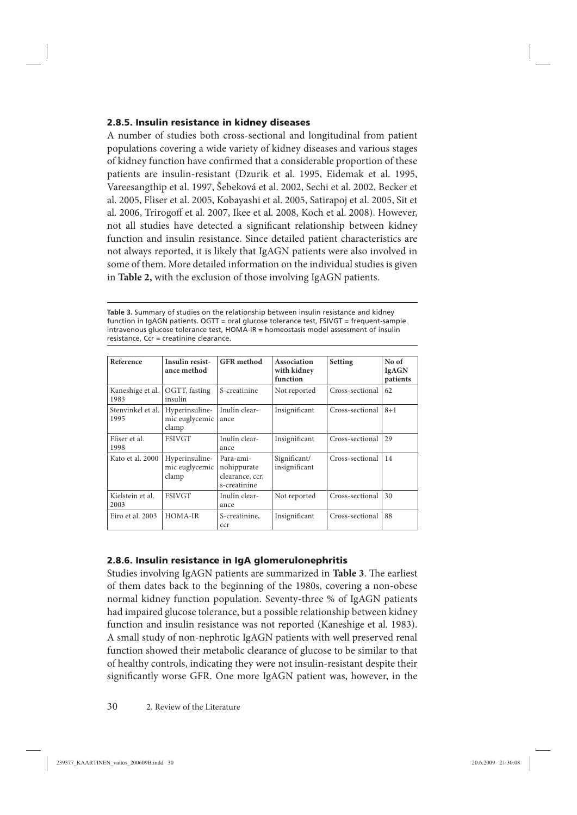### <span id="page-29-0"></span>**2.8.5. Insulin resistance in kidney diseases**

A number of studies both cross-sectional and longitudinal from patient populations covering a wide variety of kidney diseases and various stages of kidney function have confirmed that a considerable proportion of these patients are insulin-resistant (Dzurik et al. 1995, Eidemak et al. 1995, Vareesangthip et al. 1997, Šebeková et al. 2002, Sechi et al. 2002, Becker et al. 2005, Fliser et al. 2005, Kobayashi et al. 2005, Satirapoj et al. 2005, Sit et al. 2006, Trirogoff et al. 2007, Ikee et al. 2008, Koch et al. 2008). However, not all studies have detected a significant relationship between kidney function and insulin resistance. Since detailed patient characteristics are not always reported, it is likely that IgAGN patients were also involved in some of them. More detailed information on the individual studies is given in **Table 2,** with the exclusion of those involving IgAGN patients.

**Table 3.** Summary of studies on the relationship between insulin resistance and kidney function in IgAGN patients. OGTT = oral glucose tolerance test, FSIVGT = frequent-sample intravenous glucose tolerance test, HOMA-IR = homeostasis model assessment of insulin resistance, Ccr = creatinine clearance.

| Reference                 | <b>Insulin resist-</b><br>ance method     | <b>GFR</b> method                                           | Association<br>with kidney<br>function | Setting         | No of<br><b>IgAGN</b><br>patients |
|---------------------------|-------------------------------------------|-------------------------------------------------------------|----------------------------------------|-----------------|-----------------------------------|
| Kaneshige et al.<br>1983  | OGTT, fasting<br>insulin                  | S-creatinine                                                | Not reported                           | Cross-sectional | 62                                |
| Stenvinkel et al.<br>1995 | Hyperinsuline-<br>mic euglycemic<br>clamp | Inulin clear-<br>ance                                       | Insignificant                          | Cross-sectional | $8 + 1$                           |
| Fliser et al.<br>1998     | <b>FSIVGT</b>                             | Inulin clear-<br>ance                                       | Insignificant                          | Cross-sectional | 29                                |
| Kato et al. 2000          | Hyperinsuline-<br>mic euglycemic<br>clamp | Para-ami-<br>nohippurate<br>clearance, ccr,<br>s-creatinine | Significant/<br>insignificant          | Cross-sectional | 14                                |
| Kielstein et al.<br>2003  | <b>FSIVGT</b>                             | Inulin clear-<br>ance                                       | Not reported                           | Cross-sectional | 30                                |
| Eiro et al. 2003          | HOMA-IR                                   | S-creatinine,<br>ccr                                        | Insignificant                          | Cross-sectional | 88                                |

## **2.8.6. Insulin resistance in IgA glomerulonephritis**

Studies involving IgAGN patients are summarized in Table 3. The earliest of them dates back to the beginning of the 1980s, covering a non-obese normal kidney function population. Seventy-three % of IgAGN patients had impaired glucose tolerance, but a possible relationship between kidney function and insulin resistance was not reported (Kaneshige et al. 1983). A small study of non-nephrotic IgAGN patients with well preserved renal function showed their metabolic clearance of glucose to be similar to that of healthy controls, indicating they were not insulin-resistant despite their significantly worse GFR. One more IgAGN patient was, however, in the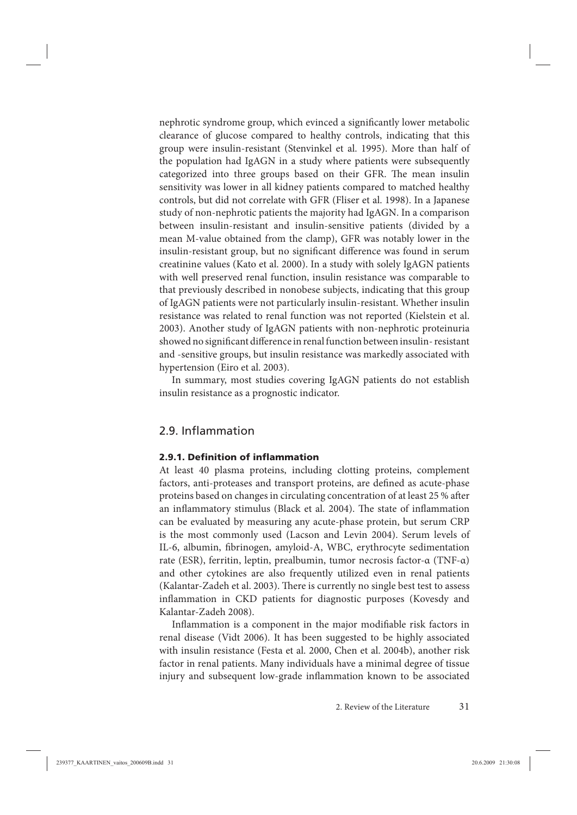<span id="page-30-0"></span>nephrotic syndrome group, which evinced a significantly lower metabolic clearance of glucose compared to healthy controls, indicating that this group were insulin-resistant (Stenvinkel et al. 1995). More than half of the population had IgAGN in a study where patients were subsequently categorized into three groups based on their GFR. The mean insulin sensitivity was lower in all kidney patients compared to matched healthy controls, but did not correlate with GFR (Fliser et al. 1998). In a Japanese study of non-nephrotic patients the majority had IgAGN. In a comparison between insulin-resistant and insulin-sensitive patients (divided by a mean M-value obtained from the clamp), GFR was notably lower in the insulin-resistant group, but no significant difference was found in serum creatinine values (Kato et al. 2000). In a study with solely IgAGN patients with well preserved renal function, insulin resistance was comparable to that previously described in nonobese subjects, indicating that this group of IgAGN patients were not particularly insulin-resistant. Whether insulin resistance was related to renal function was not reported (Kielstein et al. 2003). Another study of IgAGN patients with non-nephrotic proteinuria showed no significant difference in renal function between insulin-resistant and -sensitive groups, but insulin resistance was markedly associated with hypertension (Eiro et al. 2003).

In summary, most studies covering IgAGN patients do not establish insulin resistance as a prognostic indicator.

## 2.9. Inflammation

#### **2.9.1. Definition of inflammation**

At least 40 plasma proteins, including clotting proteins, complement factors, anti-proteases and transport proteins, are defined as acute-phase proteins based on changes in circulating concentration of at least 25 % after an inflammatory stimulus (Black et al. 2004). The state of inflammation can be evaluated by measuring any acute-phase protein, but serum CRP is the most commonly used (Lacson and Levin 2004). Serum levels of IL-6, albumin, fibrinogen, amyloid-A, WBC, erythrocyte sedimentation rate (ESR), ferritin, leptin, prealbumin, tumor necrosis factor-α (TNF-α) and other cytokines are also frequently utilized even in renal patients (Kalantar-Zadeh et al. 2003). There is currently no single best test to assess inflammation in CKD patients for diagnostic purposes (Kovesdy and Kalantar-Zadeh 2008).

Inflammation is a component in the major modifiable risk factors in renal disease (Vidt 2006). It has been suggested to be highly associated with insulin resistance (Festa et al. 2000, Chen et al. 2004b), another risk factor in renal patients. Many individuals have a minimal degree of tissue injury and subsequent low-grade inflammation known to be associated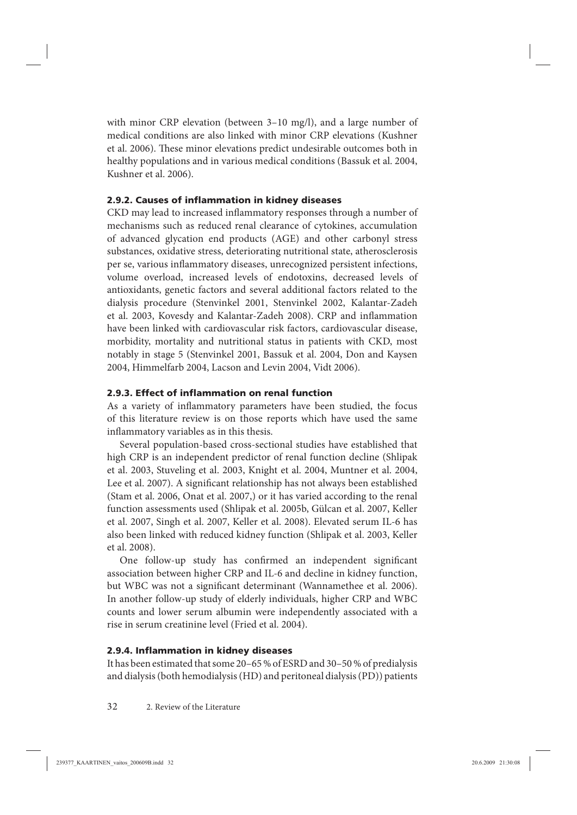<span id="page-31-0"></span>with minor CRP elevation (between 3–10 mg/l), and a large number of medical conditions are also linked with minor CRP elevations (Kushner et al. 2006). These minor elevations predict undesirable outcomes both in healthy populations and in various medical conditions (Bassuk et al. 2004, Kushner et al. 2006).

### **2.9.2. Causes of inflammation in kidney diseases**

CKD may lead to increased inflammatory responses through a number of mechanisms such as reduced renal clearance of cytokines, accumulation of advanced glycation end products (AGE) and other carbonyl stress substances, oxidative stress, deteriorating nutritional state, atherosclerosis per se, various inflammatory diseases, unrecognized persistent infections, volume overload, increased levels of endotoxins, decreased levels of antioxidants, genetic factors and several additional factors related to the dialysis procedure (Stenvinkel 2001, Stenvinkel 2002, Kalantar-Zadeh et al. 2003, Kovesdy and Kalantar-Zadeh 2008). CRP and inflammation have been linked with cardiovascular risk factors, cardiovascular disease, morbidity, mortality and nutritional status in patients with CKD, most notably in stage 5 (Stenvinkel 2001, Bassuk et al. 2004, Don and Kaysen 2004, Himmelfarb 2004, Lacson and Levin 2004, Vidt 2006).

### **2.9.3. Effect of inflammation on renal function**

As a variety of inflammatory parameters have been studied, the focus of this literature review is on those reports which have used the same inflammatory variables as in this thesis.

Several population-based cross-sectional studies have established that high CRP is an independent predictor of renal function decline (Shlipak et al. 2003, Stuveling et al. 2003, Knight et al. 2004, Muntner et al. 2004, Lee et al. 2007). A significant relationship has not always been established (Stam et al. 2006, Onat et al. 2007,) or it has varied according to the renal function assessments used (Shlipak et al. 2005b, Gülcan et al. 2007, Keller et al. 2007, Singh et al. 2007, Keller et al. 2008). Elevated serum IL-6 has also been linked with reduced kidney function (Shlipak et al. 2003, Keller et al. 2008).

One follow-up study has confirmed an independent significant association between higher CRP and IL-6 and decline in kidney function, but WBC was not a significant determinant (Wannamethee et al. 2006). In another follow-up study of elderly individuals, higher CRP and WBC counts and lower serum albumin were independently associated with a rise in serum creatinine level (Fried et al. 2004).

#### **2.9.4. Inflammation in kidney diseases**

It has been estimated that some 20–65 % of ESRD and 30–50 % of predialysis and dialysis (both hemodialysis (HD) and peritoneal dialysis (PD)) patients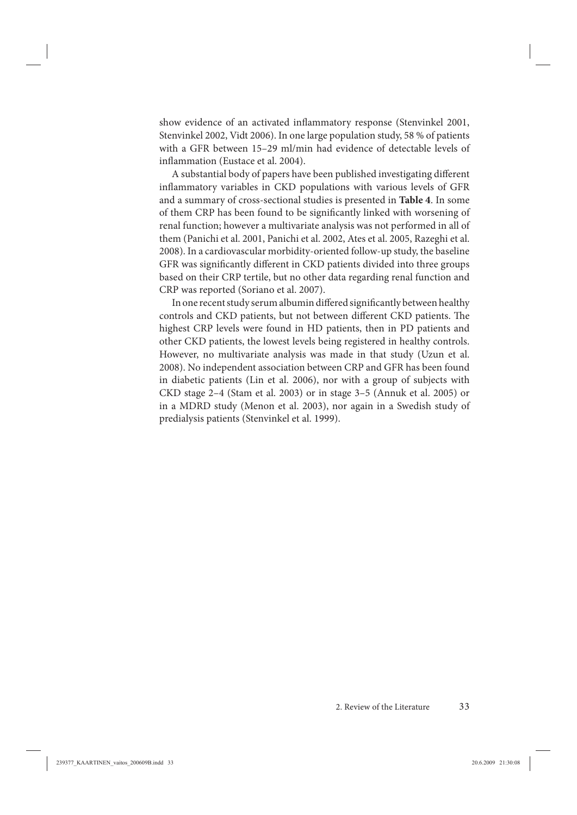show evidence of an activated inflammatory response (Stenvinkel 2001, Stenvinkel 2002, Vidt 2006). In one large population study, 58 % of patients with a GFR between 15–29 ml/min had evidence of detectable levels of inflammation (Eustace et al. 2004).

A substantial body of papers have been published investigating different inflammatory variables in CKD populations with various levels of GFR and a summary of cross-sectional studies is presented in **Table 4**. In some of them CRP has been found to be significantly linked with worsening of renal function; however a multivariate analysis was not performed in all of them (Panichi et al. 2001, Panichi et al. 2002, Ates et al. 2005, Razeghi et al. 2008). In a cardiovascular morbidity-oriented follow-up study, the baseline GFR was significantly different in CKD patients divided into three groups based on their CRP tertile, but no other data regarding renal function and CRP was reported (Soriano et al. 2007).

In one recent study serum albumin differed significantly between healthy controls and CKD patients, but not between different CKD patients. The highest CRP levels were found in HD patients, then in PD patients and other CKD patients, the lowest levels being registered in healthy controls. However, no multivariate analysis was made in that study (Uzun et al. 2008). No independent association between CRP and GFR has been found in diabetic patients (Lin et al. 2006), nor with a group of subjects with CKD stage 2–4 (Stam et al. 2003) or in stage 3–5 (Annuk et al. 2005) or in a MDRD study (Menon et al. 2003), nor again in a Swedish study of predialysis patients (Stenvinkel et al. 1999).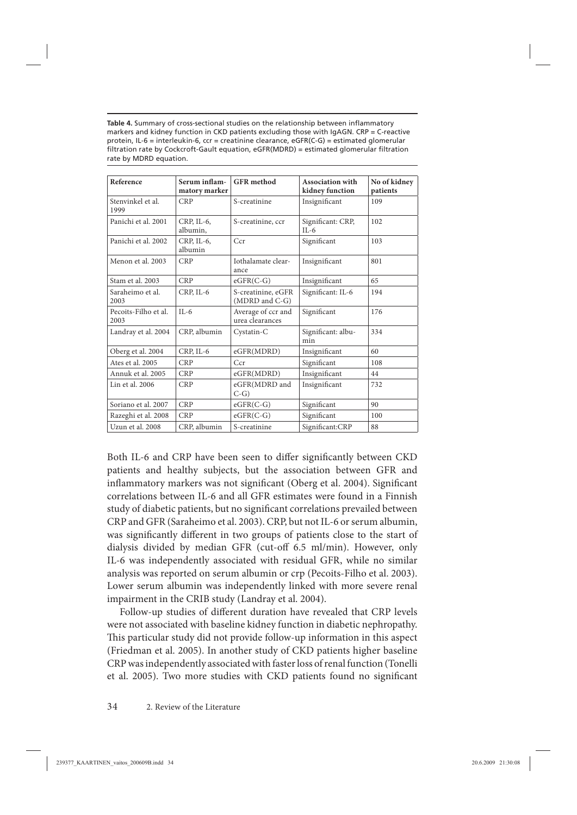Table 4. Summary of cross-sectional studies on the relationship between inflammatory markers and kidney function in CKD patients excluding those with IgAGN. CRP = C-reactive protein, IL-6 = interleukin-6, ccr = creatinine clearance, eGFR(C-G) = estimated glomerular filtration rate by Cockcroft-Gault equation, eGFR(MDRD) = estimated glomerular filtration rate by MDRD equation.

| Reference                    | Serum inflam-<br>matory marker | <b>GFR</b> method                     | Association with<br>kidney function | No of kidney<br>patients |
|------------------------------|--------------------------------|---------------------------------------|-------------------------------------|--------------------------|
| Stenvinkel et al.<br>1999    | <b>CRP</b>                     | S-creatinine                          | Insignificant                       | 109                      |
| Panichi et al. 2001          | CRP, IL-6,<br>albumin.         | S-creatinine, ccr                     | Significant: CRP,<br>$IL-6$         | 102                      |
| Panichi et al. 2002          | CRP, IL-6,<br>albumin          | Ccr                                   | Significant                         | 103                      |
| Menon et al. 2003            | <b>CRP</b>                     | Iothalamate clear-<br>ance            | Insignificant                       | 801                      |
| Stam et al. 2003             | <b>CRP</b>                     | $eGFR(C-G)$                           | Insignificant                       | 65                       |
| Saraheimo et al.<br>2003     | CRP, IL-6                      | S-creatinine, eGFR<br>(MDRD and C-G)  | Significant: IL-6                   | 194                      |
| Pecoits-Filho et al.<br>2003 | $IL-6$                         | Average of ccr and<br>urea clearances | Significant                         | 176                      |
| Landray et al. 2004          | CRP, albumin                   | Cystatin-C                            | Significant: albu-<br>min           | 334                      |
| Oberg et al. 2004            | CRP, IL-6                      | eGFR(MDRD)                            | Insignificant                       | 60                       |
| Ates et al. 2005             | <b>CRP</b>                     | Ccr                                   | Significant                         | 108                      |
| Annuk et al. 2005            | <b>CRP</b>                     | eGFR(MDRD)                            | Insignificant                       | 44                       |
| Lin et al. 2006              | <b>CRP</b>                     | eGFR(MDRD and<br>$C-G$                | Insignificant                       | 732                      |
| Soriano et al. 2007          | <b>CRP</b>                     | $eGFR(C-G)$                           | Significant                         | 90                       |
| Razeghi et al. 2008          | <b>CRP</b>                     | $eGFR(C-G)$                           | Significant                         | 100                      |
| Uzun et al. 2008             | CRP, albumin                   | S-creatinine                          | Significant:CRP                     | 88                       |

Both IL-6 and CRP have been seen to differ significantly between CKD patients and healthy subjects, but the association between GFR and inflammatory markers was not significant (Oberg et al. 2004). Significant correlations between IL-6 and all GFR estimates were found in a Finnish study of diabetic patients, but no significant correlations prevailed between CRP and GFR (Saraheimo et al. 2003). CRP, but not IL-6 or serum albumin, was significantly different in two groups of patients close to the start of dialysis divided by median GFR (cut-off 6.5 ml/min). However, only IL-6 was independently associated with residual GFR, while no similar analysis was reported on serum albumin or crp (Pecoits-Filho et al. 2003). Lower serum albumin was independently linked with more severe renal impairment in the CRIB study (Landray et al. 2004).

Follow-up studies of different duration have revealed that CRP levels were not associated with baseline kidney function in diabetic nephropathy. This particular study did not provide follow-up information in this aspect (Friedman et al. 2005). In another study of CKD patients higher baseline CRP was independently associated with faster loss of renal function (Tonelli et al. 2005). Two more studies with CKD patients found no significant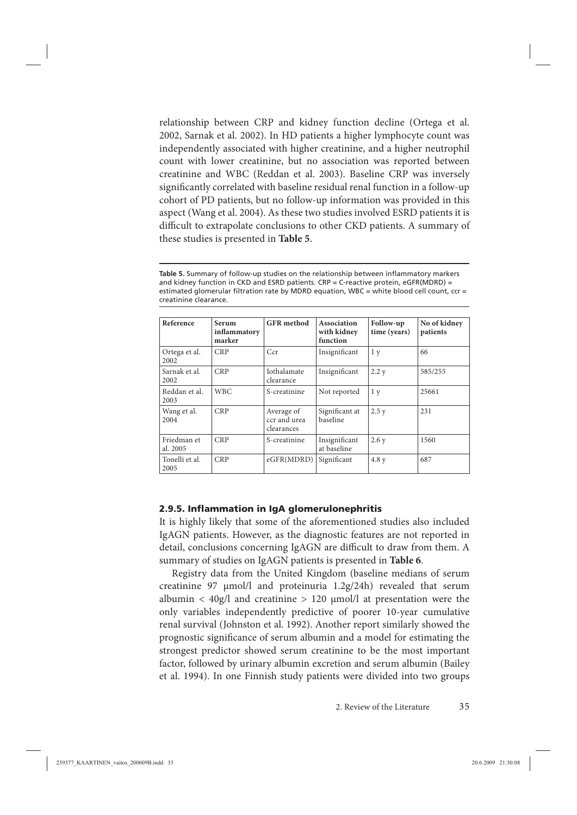<span id="page-34-0"></span>relationship between CRP and kidney function decline (Ortega et al. 2002, Sarnak et al. 2002). In HD patients a higher lymphocyte count was independently associated with higher creatinine, and a higher neutrophil count with lower creatinine, but no association was reported between creatinine and WBC (Reddan et al. 2003). Baseline CRP was inversely significantly correlated with baseline residual renal function in a follow-up cohort of PD patients, but no follow-up information was provided in this aspect (Wang et al. 2004). As these two studies involved ESRD patients it is difficult to extrapolate conclusions to other CKD patients. A summary of these studies is presented in **Table 5**.

Table 5. Summary of follow-up studies on the relationship between inflammatory markers and kidney function in CKD and ESRD patients.  $CRP = C$ -reactive protein, eGFR(MDRD) = estimated glomerular filtration rate by MDRD equation, WBC = white blood cell count,  $ccr =$ creatinine clearance.

| Reference               | Serum<br>inflammatory<br>marker | <b>GFR</b> method                        | Association<br>with kidney<br>function | Follow-up<br>time (years) | No of kidney<br>patients |
|-------------------------|---------------------------------|------------------------------------------|----------------------------------------|---------------------------|--------------------------|
| Ortega et al.<br>2002   | <b>CRP</b>                      | Ccr                                      | Insignificant                          | 1 <sub>y</sub>            | 66                       |
| Sarnak et al.<br>2002   | <b>CRP</b>                      | <b>Iothalamate</b><br>clearance          | Insignificant                          | 2.2 y                     | 585/255                  |
| Reddan et al.<br>2003   | <b>WBC</b>                      | S-creatinine                             | Not reported                           | 1 <sub>y</sub>            | 25661                    |
| Wang et al.<br>2004     | <b>CRP</b>                      | Average of<br>ccr and urea<br>clearances | Significant at<br>baseline             | 2.5y                      | 231                      |
| Friedman et<br>al. 2005 | <b>CRP</b>                      | S-creatinine                             | Insignificant<br>at baseline           | 2.6y                      | 1560                     |
| Tonelli et al.<br>2005  | <b>CRP</b>                      | eGFR(MDRD)                               | Significant                            | 4.8y                      | 687                      |

#### **2.9.5. Inflammation in IgA glomerulonephritis**

It is highly likely that some of the aforementioned studies also included IgAGN patients. However, as the diagnostic features are not reported in detail, conclusions concerning IgAGN are difficult to draw from them. A summary of studies on IgAGN patients is presented in **Table 6**.

Registry data from the United Kingdom (baseline medians of serum creatinine 97 μmol/l and proteinuria 1.2g/24h) revealed that serum albumin  $\langle 40g/1$  and creatinine  $> 120 \mu$ mol/l at presentation were the only variables independently predictive of poorer 10-year cumulative renal survival (Johnston et al. 1992). Another report similarly showed the prognostic significance of serum albumin and a model for estimating the strongest predictor showed serum creatinine to be the most important factor, followed by urinary albumin excretion and serum albumin (Bailey et al. 1994). In one Finnish study patients were divided into two groups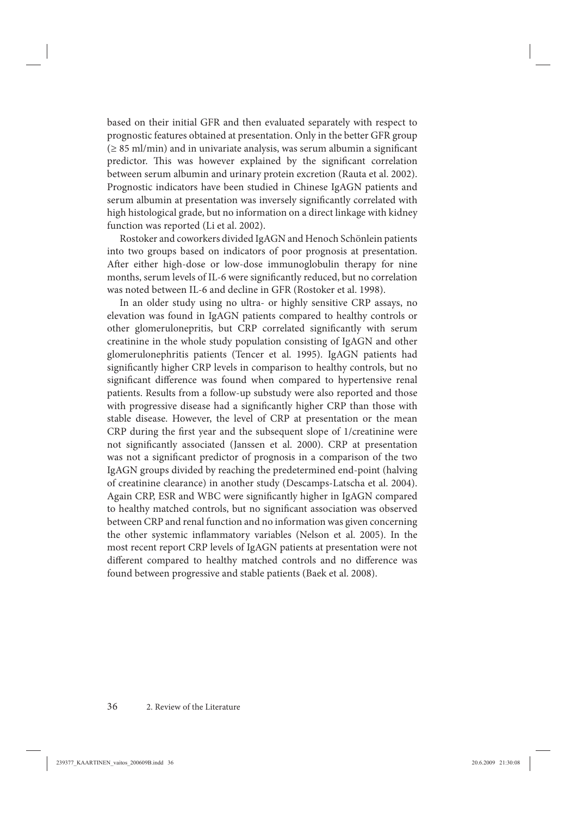based on their initial GFR and then evaluated separately with respect to prognostic features obtained at presentation. Only in the better GFR group  $(\geq 85 \text{ ml/min})$  and in univariate analysis, was serum albumin a significant predictor. This was however explained by the significant correlation between serum albumin and urinary protein excretion (Rauta et al. 2002). Prognostic indicators have been studied in Chinese IgAGN patients and serum albumin at presentation was inversely significantly correlated with high histological grade, but no information on a direct linkage with kidney function was reported (Li et al. 2002).

Rostoker and coworkers divided IgAGN and Henoch Schönlein patients into two groups based on indicators of poor prognosis at presentation. After either high-dose or low-dose immunoglobulin therapy for nine months, serum levels of IL-6 were significantly reduced, but no correlation was noted between IL-6 and decline in GFR (Rostoker et al. 1998).

In an older study using no ultra- or highly sensitive CRP assays, no elevation was found in IgAGN patients compared to healthy controls or other glomerulonepritis, but CRP correlated significantly with serum creatinine in the whole study population consisting of IgAGN and other glomerulonephritis patients (Tencer et al. 1995). IgAGN patients had significantly higher CRP levels in comparison to healthy controls, but no significant difference was found when compared to hypertensive renal patients. Results from a follow-up substudy were also reported and those with progressive disease had a significantly higher CRP than those with stable disease. However, the level of CRP at presentation or the mean CRP during the first year and the subsequent slope of 1/creatinine were not significantly associated (Janssen et al. 2000). CRP at presentation was not a significant predictor of prognosis in a comparison of the two IgAGN groups divided by reaching the predetermined end-point (halving of creatinine clearance) in another study (Descamps-Latscha et al. 2004). Again CRP, ESR and WBC were significantly higher in IgAGN compared to healthy matched controls, but no significant association was observed between CRP and renal function and no information was given concerning the other systemic inflammatory variables (Nelson et al. 2005). In the most recent report CRP levels of IgAGN patients at presentation were not different compared to healthy matched controls and no difference was found between progressive and stable patients (Baek et al. 2008).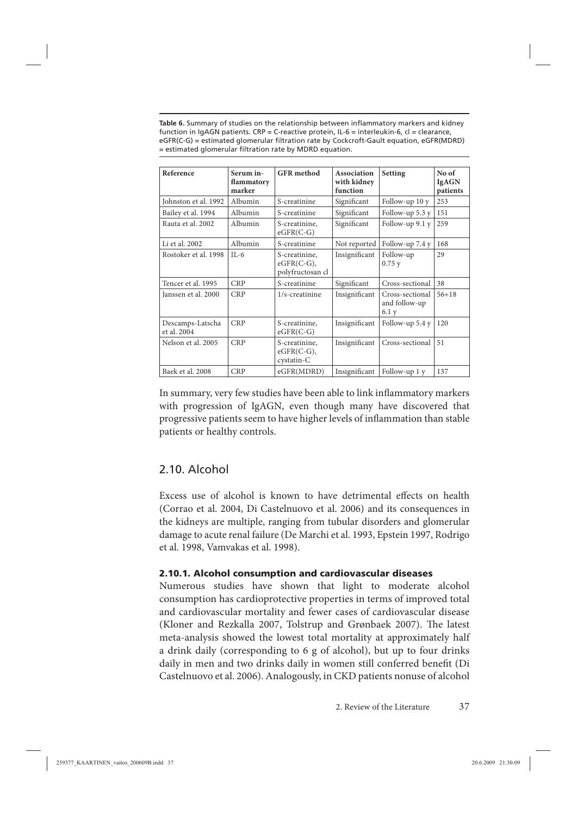Table 6. Summary of studies on the relationship between inflammatory markers and kidney function in IgAGN patients. CRP = C-reactive protein, IL-6 = interleukin-6, cl = clearance, eGFR(C-G) = estimated glomerular filtration rate by Cockcroft-Gault equation, eGFR(MDRD) = estimated glomerular filtration rate by MDRD equation.

| Reference                       | Serum in-<br>flammatory<br>marker | <b>GFR</b> method                                 | <b>Association</b><br>with kidney<br>function | Setting                                   | No of<br><b>IgAGN</b><br>patients |
|---------------------------------|-----------------------------------|---------------------------------------------------|-----------------------------------------------|-------------------------------------------|-----------------------------------|
| Johnston et al. 1992            | Albumin                           | S-creatinine                                      | Significant                                   | Follow-up 10 y                            | 253                               |
| Bailey et al. 1994              | Albumin                           | S-creatinine                                      | Significant                                   | Follow-up $5.3 y$                         | 151                               |
| Rauta et al. 2002               | Albumin                           | S-creatinine,<br>$eGFR(C-G)$                      | Significant                                   | Follow-up 9.1 y                           | 259                               |
| Li et al. 2002                  | Albumin                           | S-creatinine                                      | Not reported                                  | Follow-up 7.4 y                           | 168                               |
| Rostoker et al. 1998            | $IL-6$                            | S-creatinine.<br>$eGFR(C-G),$<br>polyfructosan cl | Insignificant                                 | Follow-up<br>0.75y                        | 29                                |
| Tencer et al. 1995              | <b>CRP</b>                        | S-creatinine                                      | Significant                                   | Cross-sectional                           | 38                                |
| Janssen et al. 2000             | <b>CRP</b>                        | $1/s$ -creatinine                                 | Insignificant                                 | Cross-sectional<br>and follow-up<br>6.1 y | $56 + 18$                         |
| Descamps-Latscha<br>et al. 2004 | <b>CRP</b>                        | S-creatinine,<br>$eGFR(C-G)$                      | Insignificant                                 | Follow-up 5.4 y                           | 120                               |
| Nelson et al. 2005              | <b>CRP</b>                        | S-creatinine.<br>$eGFR(C-G),$<br>cystatin-C       | Insignificant                                 | Cross-sectional                           | 51                                |
| Baek et al. 2008                | <b>CRP</b>                        | eGFR(MDRD)                                        | Insignificant                                 | Follow-up 1 y                             | 137                               |

In summary, very few studies have been able to link inflammatory markers with progression of IgAGN, even though many have discovered that progressive patients seem to have higher levels of inflammation than stable patients or healthy controls.

## 2.10. Alcohol

Excess use of alcohol is known to have detrimental effects on health (Corrao et al. 2004, Di Castelnuovo et al. 2006) and its consequences in the kidneys are multiple, ranging from tubular disorders and glomerular damage to acute renal failure (De Marchi et al. 1993, Epstein 1997, Rodrigo et al. 1998, Vamvakas et al. 1998).

### **2.10.1. Alcohol consumption and cardiovascular diseases**

Numerous studies have shown that light to moderate alcohol consumption has cardioprotective properties in terms of improved total and cardiovascular mortality and fewer cases of cardiovascular disease (Kloner and Rezkalla 2007, Tolstrup and Grønbaek 2007). The latest meta-analysis showed the lowest total mortality at approximately half a drink daily (corresponding to 6 g of alcohol), but up to four drinks daily in men and two drinks daily in women still conferred benefit (Di Castelnuovo et al. 2006). Analogously, in CKD patients nonuse of alcohol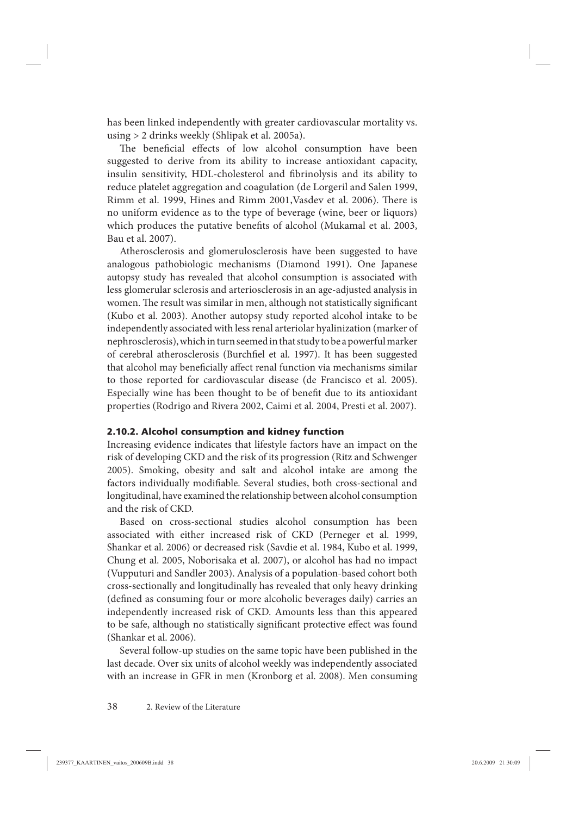has been linked independently with greater cardiovascular mortality vs. using > 2 drinks weekly (Shlipak et al. 2005a).

The beneficial effects of low alcohol consumption have been suggested to derive from its ability to increase antioxidant capacity, insulin sensitivity, HDL-cholesterol and fibrinolysis and its ability to reduce platelet aggregation and coagulation (de Lorgeril and Salen 1999, Rimm et al. 1999, Hines and Rimm 2001, Vasdev et al. 2006). There is no uniform evidence as to the type of beverage (wine, beer or liquors) which produces the putative benefits of alcohol (Mukamal et al. 2003, Bau et al. 2007).

Atherosclerosis and glomerulosclerosis have been suggested to have analogous pathobiologic mechanisms (Diamond 1991). One Japanese autopsy study has revealed that alcohol consumption is associated with less glomerular sclerosis and arteriosclerosis in an age-adjusted analysis in women. The result was similar in men, although not statistically significant (Kubo et al. 2003). Another autopsy study reported alcohol intake to be independently associated with less renal arteriolar hyalinization (marker of nephrosclerosis), which in turn seemed in that study to be a powerful marker of cerebral atherosclerosis (Burchfiel et al. 1997). It has been suggested that alcohol may beneficially affect renal function via mechanisms similar to those reported for cardiovascular disease (de Francisco et al. 2005). Especially wine has been thought to be of benefit due to its antioxidant properties (Rodrigo and Rivera 2002, Caimi et al. 2004, Presti et al. 2007).

#### **2.10.2. Alcohol consumption and kidney function**

Increasing evidence indicates that lifestyle factors have an impact on the risk of developing CKD and the risk of its progression (Ritz and Schwenger 2005). Smoking, obesity and salt and alcohol intake are among the factors individually modifiable. Several studies, both cross-sectional and longitudinal, have examined the relationship between alcohol consumption and the risk of CKD.

Based on cross-sectional studies alcohol consumption has been associated with either increased risk of CKD (Perneger et al. 1999, Shankar et al. 2006) or decreased risk (Savdie et al. 1984, Kubo et al. 1999, Chung et al. 2005, Noborisaka et al. 2007), or alcohol has had no impact (Vupputuri and Sandler 2003). Analysis of a population-based cohort both cross-sectionally and longitudinally has revealed that only heavy drinking (defined as consuming four or more alcoholic beverages daily) carries an independently increased risk of CKD. Amounts less than this appeared to be safe, although no statistically significant protective effect was found (Shankar et al. 2006).

Several follow-up studies on the same topic have been published in the last decade. Over six units of alcohol weekly was independently associated with an increase in GFR in men (Kronborg et al. 2008). Men consuming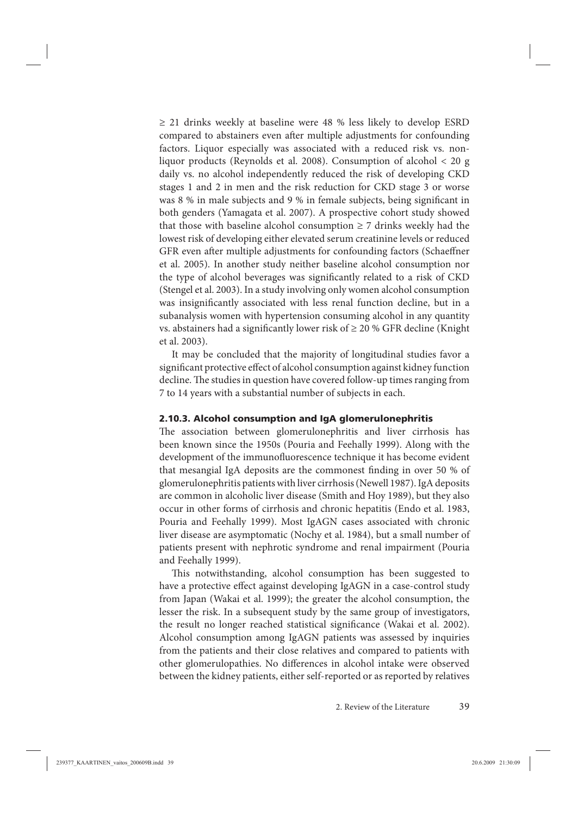$\geq$  21 drinks weekly at baseline were 48 % less likely to develop ESRD compared to abstainers even after multiple adjustments for confounding factors. Liquor especially was associated with a reduced risk vs. nonliquor products (Reynolds et al. 2008). Consumption of alcohol < 20 g daily vs. no alcohol independently reduced the risk of developing CKD stages 1 and 2 in men and the risk reduction for CKD stage 3 or worse was 8 % in male subjects and 9 % in female subjects, being significant in both genders (Yamagata et al. 2007). A prospective cohort study showed that those with baseline alcohol consumption  $\geq 7$  drinks weekly had the lowest risk of developing either elevated serum creatinine levels or reduced GFR even after multiple adjustments for confounding factors (Schaeffner et al. 2005). In another study neither baseline alcohol consumption nor the type of alcohol beverages was significantly related to a risk of CKD (Stengel et al. 2003). In a study involving only women alcohol consumption was insignificantly associated with less renal function decline, but in a subanalysis women with hypertension consuming alcohol in any quantity vs. abstainers had a significantly lower risk of  $\geq 20$  % GFR decline (Knight et al. 2003).

It may be concluded that the majority of longitudinal studies favor a significant protective effect of alcohol consumption against kidney function decline. The studies in question have covered follow-up times ranging from 7 to 14 years with a substantial number of subjects in each.

#### **2.10.3. Alcohol consumption and IgA glomerulonephritis**

The association between glomerulonephritis and liver cirrhosis has been known since the 1950s (Pouria and Feehally 1999). Along with the development of the immunofluorescence technique it has become evident that mesangial IgA deposits are the commonest finding in over 50 % of glomerulonephritis patients with liver cirrhosis (Newell 1987). IgA deposits are common in alcoholic liver disease (Smith and Hoy 1989), but they also occur in other forms of cirrhosis and chronic hepatitis (Endo et al. 1983, Pouria and Feehally 1999). Most IgAGN cases associated with chronic liver disease are asymptomatic (Nochy et al. 1984), but a small number of patients present with nephrotic syndrome and renal impairment (Pouria and Feehally 1999).

This notwithstanding, alcohol consumption has been suggested to have a protective effect against developing IgAGN in a case-control study from Japan (Wakai et al. 1999); the greater the alcohol consumption, the lesser the risk. In a subsequent study by the same group of investigators, the result no longer reached statistical significance (Wakai et al. 2002). Alcohol consumption among IgAGN patients was assessed by inquiries from the patients and their close relatives and compared to patients with other glomerulopathies. No differences in alcohol intake were observed between the kidney patients, either self-reported or as reported by relatives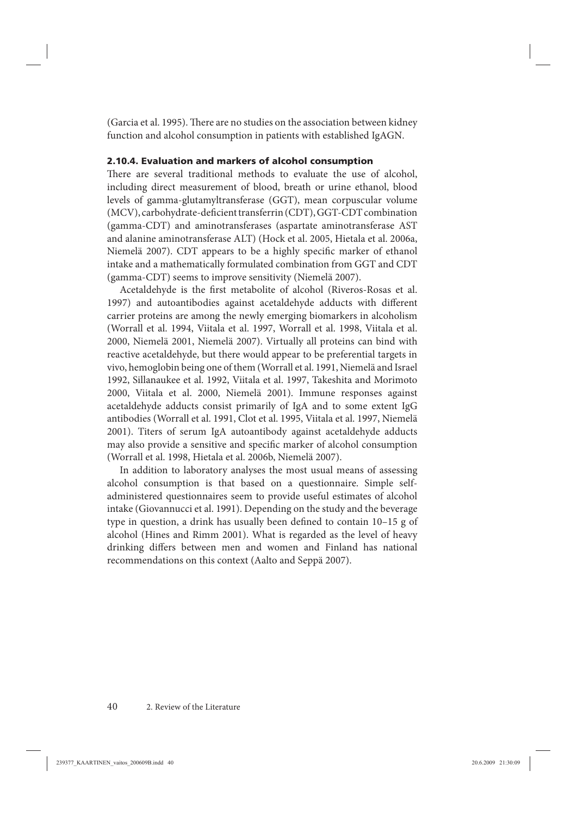(Garcia et al. 1995). There are no studies on the association between kidney function and alcohol consumption in patients with established IgAGN.

### **2.10.4. Evaluation and markers of alcohol consumption**

There are several traditional methods to evaluate the use of alcohol, including direct measurement of blood, breath or urine ethanol, blood levels of gamma-glutamyltransferase (GGT), mean corpuscular volume (MCV), carbohydrate-deficient transferrin (CDT), GGT-CDT combination (gamma-CDT) and aminotransferases (aspartate aminotransferase AST and alanine aminotransferase ALT) (Hock et al. 2005, Hietala et al. 2006a, Niemelä 2007). CDT appears to be a highly specific marker of ethanol intake and a mathematically formulated combination from GGT and CDT (gamma-CDT) seems to improve sensitivity (Niemelä 2007).

Acetaldehyde is the first metabolite of alcohol (Riveros-Rosas et al. 1997) and autoantibodies against acetaldehyde adducts with different carrier proteins are among the newly emerging biomarkers in alcoholism (Worrall et al. 1994, Viitala et al. 1997, Worrall et al. 1998, Viitala et al. 2000, Niemelä 2001, Niemelä 2007). Virtually all proteins can bind with reactive acetaldehyde, but there would appear to be preferential targets in vivo, hemoglobin being one of them (Worrall et al. 1991, Niemelä and Israel 1992, Sillanaukee et al. 1992, Viitala et al. 1997, Takeshita and Morimoto 2000, Viitala et al. 2000, Niemelä 2001). Immune responses against acetaldehyde adducts consist primarily of IgA and to some extent IgG antibodies (Worrall et al. 1991, Clot et al. 1995, Viitala et al. 1997, Niemelä 2001). Titers of serum IgA autoantibody against acetaldehyde adducts may also provide a sensitive and specific marker of alcohol consumption (Worrall et al. 1998, Hietala et al. 2006b, Niemelä 2007).

In addition to laboratory analyses the most usual means of assessing alcohol consumption is that based on a questionnaire. Simple selfadministered questionnaires seem to provide useful estimates of alcohol intake (Giovannucci et al. 1991). Depending on the study and the beverage type in question, a drink has usually been defined to contain  $10-15$  g of alcohol (Hines and Rimm 2001). What is regarded as the level of heavy drinking differs between men and women and Finland has national recommendations on this context (Aalto and Seppä 2007).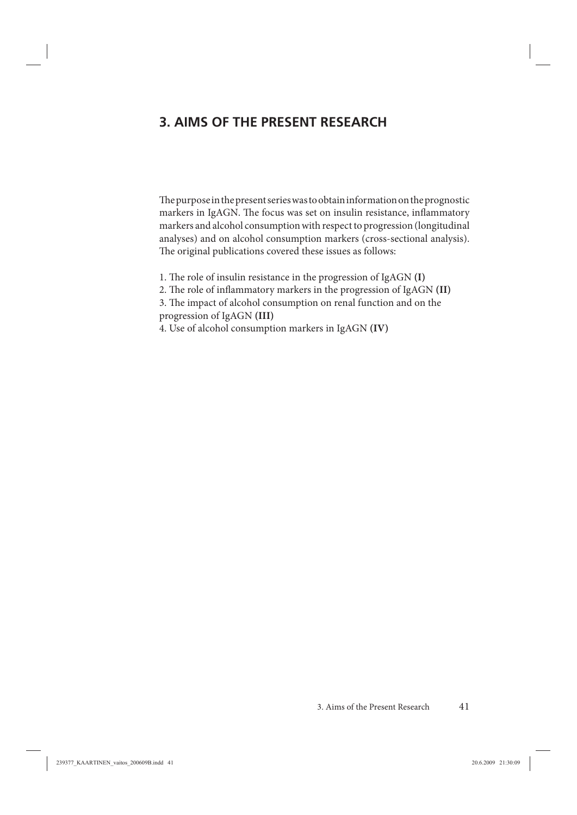# **3. AIMS OF THE PRESENT RESEARCH**

The purpose in the present series was to obtain information on the prognostic markers in IgAGN. The focus was set on insulin resistance, inflammatory markers and alcohol consumption with respect to progression (longitudinal analyses) and on alcohol consumption markers (cross-sectional analysis). The original publications covered these issues as follows:

1. The role of insulin resistance in the progression of IgAGN **(I)** 

2. The role of inflammatory markers in the progression of IgAGN (II)

3. The impact of alcohol consumption on renal function and on the progression of IgAGN **(III)**

4. Use of alcohol consumption markers in IgAGN **(IV)**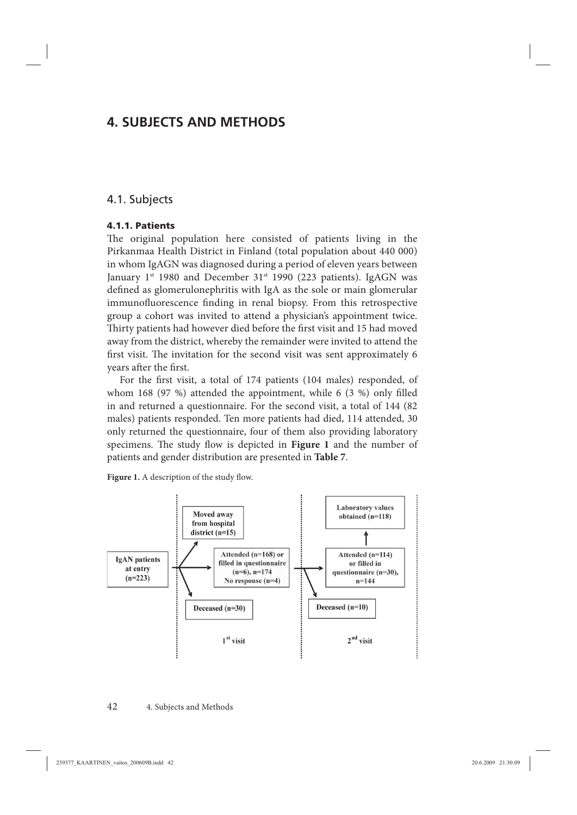# **4. SUBJECTS AND METHODS**

### 4.1. Subjects

#### **4.1.1. Patients**

The original population here consisted of patients living in the Pirkanmaa Health District in Finland (total population about 440 000) in whom IgAGN was diagnosed during a period of eleven years between January  $1^{st}$  1980 and December 31 $^{st}$  1990 (223 patients). IgAGN was defined as glomerulonephritis with IgA as the sole or main glomerular immunofluorescence finding in renal biopsy. From this retrospective group a cohort was invited to attend a physician's appointment twice. Thirty patients had however died before the first visit and 15 had moved away from the district, whereby the remainder were invited to attend the first visit. The invitation for the second visit was sent approximately 6 years after the first.

For the first visit, a total of 174 patients (104 males) responded, of whom 168 (97 %) attended the appointment, while  $6$  (3 %) only filled in and returned a questionnaire. For the second visit, a total of 144 (82 males) patients responded. Ten more patients had died, 114 attended, 30 only returned the questionnaire, four of them also providing laboratory specimens. The study flow is depicted in Figure 1 and the number of patients and gender distribution are presented in **Table 7**.

Figure 1. A description of the study flow.

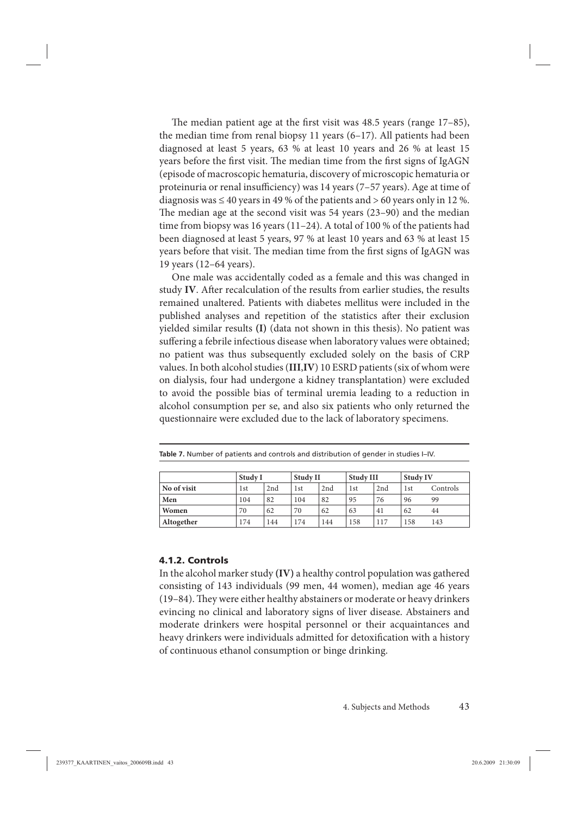The median patient age at the first visit was  $48.5$  years (range  $17-85$ ), the median time from renal biopsy 11 years (6–17). All patients had been diagnosed at least 5 years, 63 % at least 10 years and 26 % at least 15 years before the first visit. The median time from the first signs of IgAGN (episode of macroscopic hematuria, discovery of microscopic hematuria or proteinuria or renal insufficiency) was 14 years (7–57 years). Age at time of diagnosis was  $\leq 40$  years in 49 % of the patients and  $> 60$  years only in 12 %. The median age at the second visit was  $54$  years (23–90) and the median time from biopsy was 16 years (11–24). A total of 100 % of the patients had been diagnosed at least 5 years, 97 % at least 10 years and 63 % at least 15 years before that visit. The median time from the first signs of IgAGN was 19 years (12–64 years).

One male was accidentally coded as a female and this was changed in study **IV**. After recalculation of the results from earlier studies, the results remained unaltered. Patients with diabetes mellitus were included in the published analyses and repetition of the statistics after their exclusion yielded similar results **(I)** (data not shown in this thesis). No patient was suffering a febrile infectious disease when laboratory values were obtained; no patient was thus subsequently excluded solely on the basis of CRP values. In both alcohol studies (**III**,**IV**) 10 ESRD patients (six of whom were on dialysis, four had undergone a kidney transplantation) were excluded to avoid the possible bias of terminal uremia leading to a reduction in alcohol consumption per se, and also six patients who only returned the questionnaire were excluded due to the lack of laboratory specimens.

|             | Study I |     | Study II |     | Study III |     | <b>Study IV</b> |          |
|-------------|---------|-----|----------|-----|-----------|-----|-----------------|----------|
| No of visit | 1st     | 2nd | 1st      | 2nd | 1st       | 2nd | 1st             | Controls |
| Men         | 104     | 82  | 104      | 82  | 95        | 76  | 96              | 99       |
| Women       | 70      | 62  | 70       | 62  | 63        | 41  | 62              | 44       |
| Altogether  | 174     | 144 | 174      | 144 | 158       | 117 | 158             | 143      |

|  |  | Table 7. Number of patients and controls and distribution of gender in studies I-IV. |  |
|--|--|--------------------------------------------------------------------------------------|--|
|  |  |                                                                                      |  |

#### **4.1.2. Controls**

In the alcohol marker study **(IV)** a healthy control population was gathered consisting of 143 individuals (99 men, 44 women), median age 46 years (19-84). They were either healthy abstainers or moderate or heavy drinkers evincing no clinical and laboratory signs of liver disease. Abstainers and moderate drinkers were hospital personnel or their acquaintances and heavy drinkers were individuals admitted for detoxification with a history of continuous ethanol consumption or binge drinking.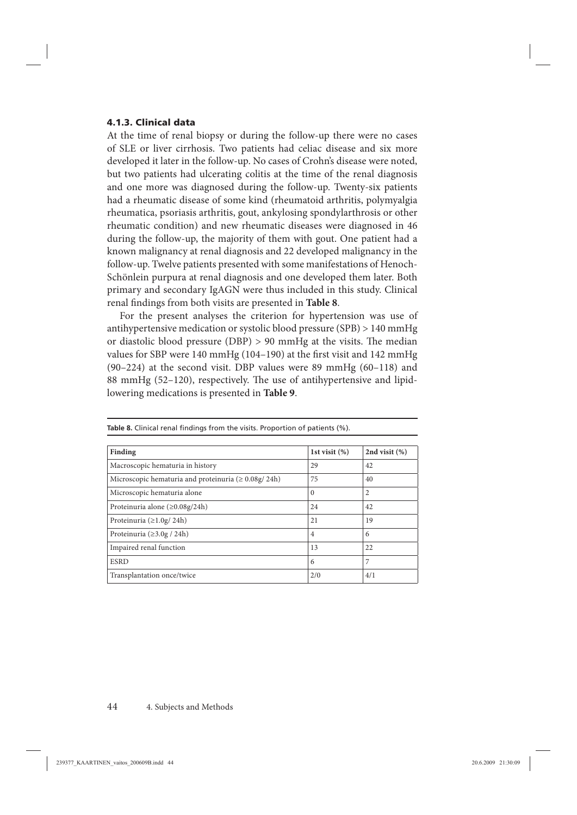#### **4.1.3. Clinical data**

At the time of renal biopsy or during the follow-up there were no cases of SLE or liver cirrhosis. Two patients had celiac disease and six more developed it later in the follow-up. No cases of Crohn's disease were noted, but two patients had ulcerating colitis at the time of the renal diagnosis and one more was diagnosed during the follow-up. Twenty-six patients had a rheumatic disease of some kind (rheumatoid arthritis, polymyalgia rheumatica, psoriasis arthritis, gout, ankylosing spondylarthrosis or other rheumatic condition) and new rheumatic diseases were diagnosed in 46 during the follow-up, the majority of them with gout. One patient had a known malignancy at renal diagnosis and 22 developed malignancy in the follow-up. Twelve patients presented with some manifestations of Henoch-Schönlein purpura at renal diagnosis and one developed them later. Both primary and secondary IgAGN were thus included in this study. Clinical renal findings from both visits are presented in **Table 8**.

For the present analyses the criterion for hypertension was use of antihypertensive medication or systolic blood pressure (SPB) > 140 mmHg or diastolic blood pressure (DBP)  $> 90$  mmHg at the visits. The median values for SBP were 140 mmHg (104-190) at the first visit and 142 mmHg (90–224) at the second visit. DBP values were 89 mmHg (60–118) and 88 mmHg (52–120), respectively. The use of antihypertensive and lipidlowering medications is presented in **Table 9**.

| Finding                                                    | 1st visit $(\%)$ | 2nd visit $(\%)$ |
|------------------------------------------------------------|------------------|------------------|
| Macroscopic hematuria in history                           | 29               | 42               |
| Microscopic hematuria and proteinuria ( $\geq 0.08$ g/24h) | 75               | 40               |
| Microscopic hematuria alone                                | $\Omega$         | $\overline{2}$   |
| Proteinuria alone ( $\geq 0.08$ g/24h)                     | 24               | 42               |
| Proteinuria ( $\geq$ 1.0g/24h)                             | 21               | 19               |
| Proteinuria ( $\geq$ 3.0g / 24h)                           | $\overline{4}$   | 6                |
| Impaired renal function                                    | 13               | 22               |
| <b>ESRD</b>                                                | 6                | 7                |
| Transplantation once/twice                                 | 2/0              | 4/1              |

Table 8. Clinical renal findings from the visits. Proportion of patients (%).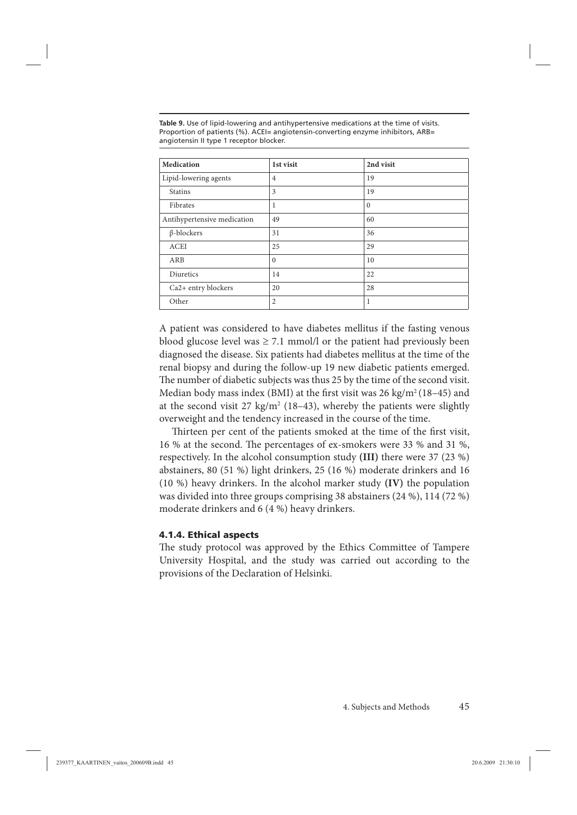**Table 9.** Use of lipid-lowering and antihypertensive medications at the time of visits. Proportion of patients (%). ACEI= angiotensin-converting enzyme inhibitors, ARB= angiotensin II type 1 receptor blocker.

| Medication                  | 1st visit               | 2nd visit |
|-----------------------------|-------------------------|-----------|
| Lipid-lowering agents       | $\overline{4}$          | 19        |
| <b>Statins</b>              | $\overline{\mathbf{3}}$ | 19        |
| Fibrates                    | 1                       | $\Omega$  |
| Antihypertensive medication | 49                      | 60        |
| $\beta$ -blockers           | 31                      | 36        |
| <b>ACEI</b>                 | 25                      | 29        |
| ARB                         | $\Omega$                | 10        |
| Diuretics                   | 14                      | 22        |
| Ca2+ entry blockers         | 20                      | 28        |
| Other                       | $\overline{2}$          | 1         |

A patient was considered to have diabetes mellitus if the fasting venous blood glucose level was  $\geq 7.1$  mmol/l or the patient had previously been diagnosed the disease. Six patients had diabetes mellitus at the time of the renal biopsy and during the follow-up 19 new diabetic patients emerged. The number of diabetic subjects was thus 25 by the time of the second visit. Median body mass index (BMI) at the first visit was  $26 \text{ kg/m}^2 (18-45)$  and at the second visit  $27 \text{ kg/m}^2$  (18–43), whereby the patients were slightly overweight and the tendency increased in the course of the time.

Thirteen per cent of the patients smoked at the time of the first visit, 16 % at the second. The percentages of ex-smokers were 33 % and 31 %, respectively. In the alcohol consumption study **(III)** there were 37 (23 %) abstainers, 80 (51 %) light drinkers, 25 (16 %) moderate drinkers and 16 (10 %) heavy drinkers. In the alcohol marker study **(IV)** the population was divided into three groups comprising 38 abstainers (24 %), 114 (72 %) moderate drinkers and 6 (4 %) heavy drinkers.

#### **4.1.4. Ethical aspects**

The study protocol was approved by the Ethics Committee of Tampere University Hospital, and the study was carried out according to the provisions of the Declaration of Helsinki.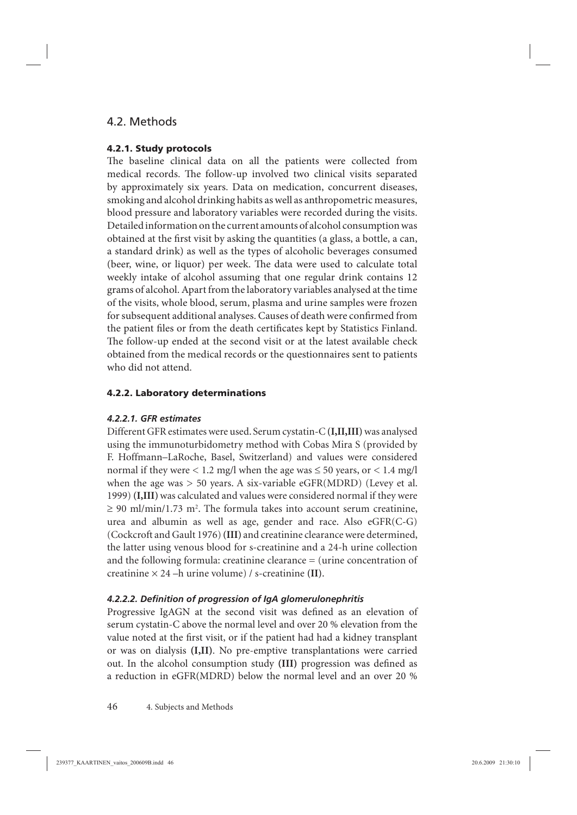## 4.2. Methods

### **4.2.1. Study protocols**

The baseline clinical data on all the patients were collected from medical records. The follow-up involved two clinical visits separated by approximately six years. Data on medication, concurrent diseases, smoking and alcohol drinking habits as well as anthropometric measures, blood pressure and laboratory variables were recorded during the visits. Detailed information on the current amounts of alcohol consumption was obtained at the first visit by asking the quantities (a glass, a bottle, a can, a standard drink) as well as the types of alcoholic beverages consumed (beer, wine, or liquor) per week. The data were used to calculate total weekly intake of alcohol assuming that one regular drink contains 12 grams of alcohol. Apart from the laboratory variables analysed at the time of the visits, whole blood, serum, plasma and urine samples were frozen for subsequent additional analyses. Causes of death were confirmed from the patient files or from the death certificates kept by Statistics Finland. The follow-up ended at the second visit or at the latest available check obtained from the medical records or the questionnaires sent to patients who did not attend.

### **4.2.2. Laboratory determinations**

### *4.2.2.1. GFR estimates*

Different GFR estimates were used. Serum cystatin-C **(I,II,III)** was analysed using the immunoturbidometry method with Cobas Mira S (provided by F. Hoffmann–LaRoche, Basel, Switzerland) and values were considered normal if they were  $\lt 1.2$  mg/l when the age was  $\le 50$  years, or  $\lt 1.4$  mg/l when the age was  $> 50$  years. A six-variable eGFR(MDRD) (Levey et al. 1999) **(I,III)** was calculated and values were considered normal if they were  $\geq 90$  ml/min/1.73 m<sup>2</sup>. The formula takes into account serum creatinine, urea and albumin as well as age, gender and race. Also eGFR(C-G) (Cockcroft and Gault 1976) **(III)** and creatinine clearance were determined, the latter using venous blood for s-creatinine and a 24-h urine collection and the following formula: creatinine clearance = (urine concentration of creatinine × 24 –h urine volume) / s-creatinine **(II)**.

### *4.2.2.2. Defi nition of progression of IgA glomerulonephritis*

Progressive IgAGN at the second visit was defined as an elevation of serum cystatin-C above the normal level and over 20 % elevation from the value noted at the first visit, or if the patient had had a kidney transplant or was on dialysis **(I,II)**. No pre-emptive transplantations were carried out. In the alcohol consumption study (III) progression was defined as a reduction in eGFR(MDRD) below the normal level and an over 20 %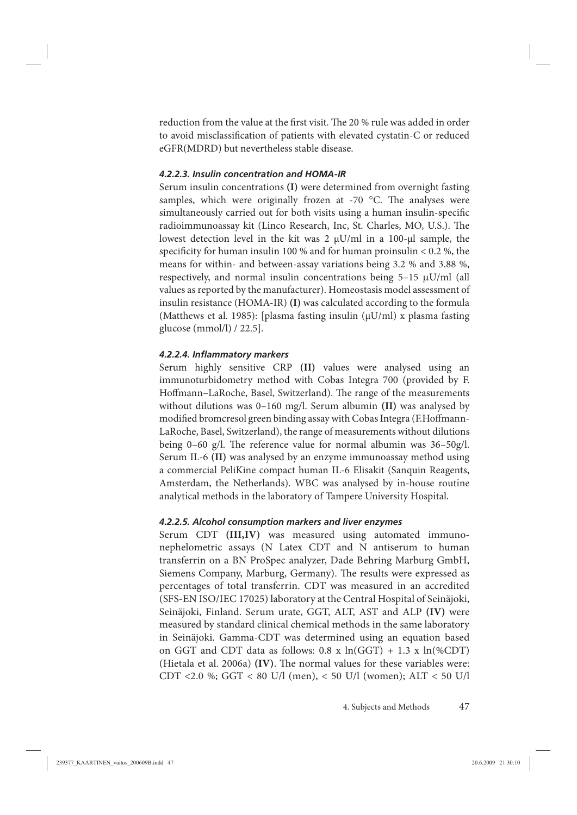reduction from the value at the first visit. The 20 % rule was added in order to avoid misclassification of patients with elevated cystatin-C or reduced eGFR(MDRD) but nevertheless stable disease.

### *4.2.2.3. Insulin concentration and HOMA-IR*

Serum insulin concentrations **(I)** were determined from overnight fasting samples, which were originally frozen at -70  $^{\circ}$ C. The analyses were simultaneously carried out for both visits using a human insulin-specific radioimmunoassay kit (Linco Research, Inc, St. Charles, MO, U.S.). The lowest detection level in the kit was 2 μU/ml in a 100-μl sample, the specificity for human insulin 100 % and for human proinsulin  $< 0.2$  %, the means for within- and between-assay variations being 3.2 % and 3.88 %, respectively, and normal insulin concentrations being  $5-15 \mu U/ml$  (all values as reported by the manufacturer). Homeostasis model assessment of insulin resistance (HOMA-IR) **(I)** was calculated according to the formula (Matthews et al. 1985): [plasma fasting insulin ( $\mu$ U/ml) x plasma fasting glucose (mmol/l) / 22.5].

#### *4.2.2.4. Infl ammatory markers*

Serum highly sensitive CRP **(II)** values were analysed using an immunoturbidometry method with Cobas Integra 700 (provided by F. Hoffmann–LaRoche, Basel, Switzerland). The range of the measurements without dilutions was 0–160 mg/l. Serum albumin **(II)** was analysed by modified bromcresol green binding assay with Cobas Integra (F.Hoffmann-LaRoche, Basel, Switzerland), the range of measurements without dilutions being 0–60 g/l. The reference value for normal albumin was  $36-50$ g/l. Serum IL-6 **(II)** was analysed by an enzyme immunoassay method using a commercial PeliKine compact human IL-6 Elisakit (Sanquin Reagents, Amsterdam, the Netherlands). WBC was analysed by in-house routine analytical methods in the laboratory of Tampere University Hospital.

#### *4.2.2.5. Alcohol consumption markers and liver enzymes*

Serum CDT **(III,IV)** was measured using automated immunonephelometric assays (N Latex CDT and N antiserum to human transferrin on a BN ProSpec analyzer, Dade Behring Marburg GmbH, Siemens Company, Marburg, Germany). The results were expressed as percentages of total transferrin. CDT was measured in an accredited (SFS-EN ISO/IEC 17025) laboratory at the Central Hospital of Seinäjoki, Seinäjoki, Finland. Serum urate, GGT, ALT, AST and ALP **(IV)** were measured by standard clinical chemical methods in the same laboratory in Seinäjoki. Gamma-CDT was determined using an equation based on GGT and CDT data as follows:  $0.8 \times \ln(GGT) + 1.3 \times \ln(\%CDT)$ (Hietala et al. 2006a) **(IV)**. The normal values for these variables were: CDT <2.0 %; GGT < 80 U/l (men), < 50 U/l (women); ALT < 50 U/l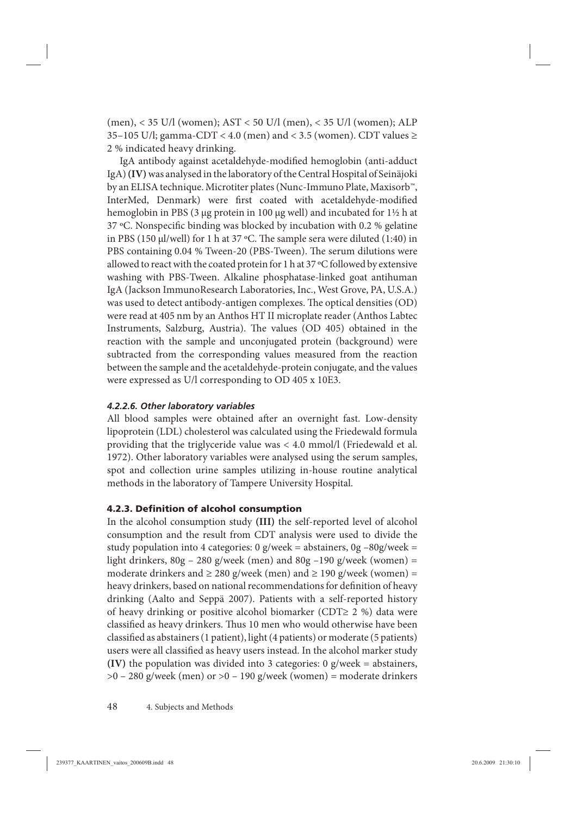(men), < 35 U/l (women); AST < 50 U/l (men), < 35 U/l (women); ALP 35–105 U/l; gamma-CDT < 4.0 (men) and < 3.5 (women). CDT values  $\ge$ 2 % indicated heavy drinking.

IgA antibody against acetaldehyde-modified hemoglobin (anti-adduct IgA) **(IV)** was analysed in the laboratory of the Central Hospital of Seinäjoki by an ELISA technique. Microtiter plates (Nunc-Immuno Plate, Maxisorb™, InterMed, Denmark) were first coated with acetaldehyde-modified hemoglobin in PBS (3 μg protein in 100 μg well) and incubated for 1½ h at 37  $°C$ . Nonspecific binding was blocked by incubation with 0.2 % gelatine in PBS (150 μl/well) for 1 h at 37 °C. The sample sera were diluted (1:40) in PBS containing 0.04 % Tween-20 (PBS-Tween). The serum dilutions were allowed to react with the coated protein for 1 h at 37 ºC followed by extensive washing with PBS-Tween. Alkaline phosphatase-linked goat antihuman IgA (Jackson ImmunoResearch Laboratories, Inc., West Grove, PA, U.S.A.) was used to detect antibody-antigen complexes. The optical densities (OD) were read at 405 nm by an Anthos HT II microplate reader (Anthos Labtec Instruments, Salzburg, Austria). The values (OD 405) obtained in the reaction with the sample and unconjugated protein (background) were subtracted from the corresponding values measured from the reaction between the sample and the acetaldehyde-protein conjugate, and the values were expressed as U/l corresponding to OD 405 x 10E3.

### *4.2.2.6. Other laboratory variables*

All blood samples were obtained after an overnight fast. Low-density lipoprotein (LDL) cholesterol was calculated using the Friedewald formula providing that the triglyceride value was < 4.0 mmol/l (Friedewald et al. 1972). Other laboratory variables were analysed using the serum samples, spot and collection urine samples utilizing in-house routine analytical methods in the laboratory of Tampere University Hospital.

### **4.2.3. Definition of alcohol consumption**

In the alcohol consumption study **(III)** the self-reported level of alcohol consumption and the result from CDT analysis were used to divide the study population into 4 categories:  $0$  g/week = abstainers,  $0$ g -80g/week = light drinkers,  $80g - 280$  g/week (men) and  $80g - 190$  g/week (women) = moderate drinkers and  $\geq 280$  g/week (men) and  $\geq 190$  g/week (women) = heavy drinkers, based on national recommendations for definition of heavy drinking (Aalto and Seppä 2007). Patients with a self-reported history of heavy drinking or positive alcohol biomarker (CDT≥ 2 %) data were classified as heavy drinkers. Thus 10 men who would otherwise have been classified as abstainers (1 patient), light (4 patients) or moderate (5 patients) users were all classified as heavy users instead. In the alcohol marker study **(IV)** the population was divided into 3 categories: 0 g/week = abstainers,  $>0 - 280$  g/week (men) or  $>0 - 190$  g/week (women) = moderate drinkers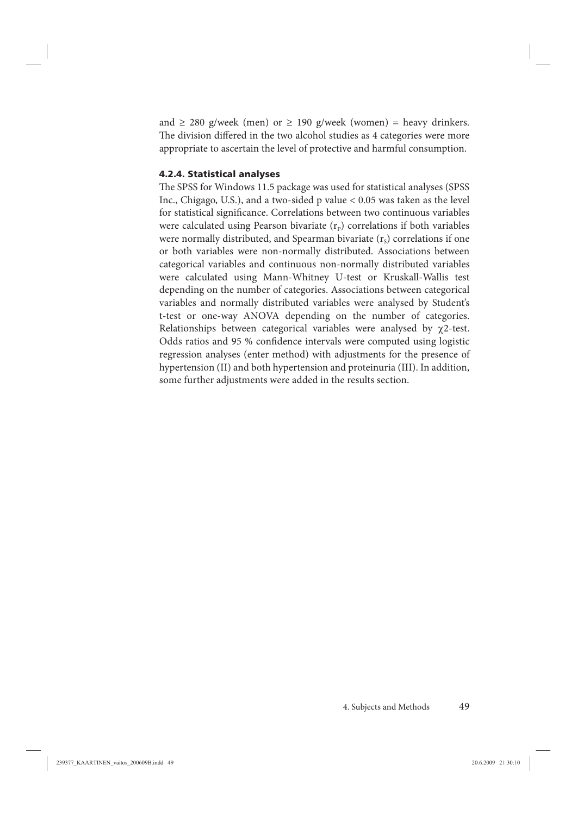and  $\geq$  280 g/week (men) or  $\geq$  190 g/week (women) = heavy drinkers. The division differed in the two alcohol studies as 4 categories were more appropriate to ascertain the level of protective and harmful consumption.

### **4.2.4. Statistical analyses**

The SPSS for Windows 11.5 package was used for statistical analyses (SPSS Inc., Chigago, U.S.), and a two-sided p value < 0.05 was taken as the level for statistical significance. Correlations between two continuous variables were calculated using Pearson bivariate  $(r<sub>p</sub>)$  correlations if both variables were normally distributed, and Spearman bivariate  $(r<sub>s</sub>)$  correlations if one or both variables were non-normally distributed. Associations between categorical variables and continuous non-normally distributed variables were calculated using Mann-Whitney U-test or Kruskall-Wallis test depending on the number of categories. Associations between categorical variables and normally distributed variables were analysed by Student's t-test or one-way ANOVA depending on the number of categories. Relationships between categorical variables were analysed by  $\gamma$ 2-test. Odds ratios and 95 % confidence intervals were computed using logistic regression analyses (enter method) with adjustments for the presence of hypertension (II) and both hypertension and proteinuria (III). In addition, some further adjustments were added in the results section.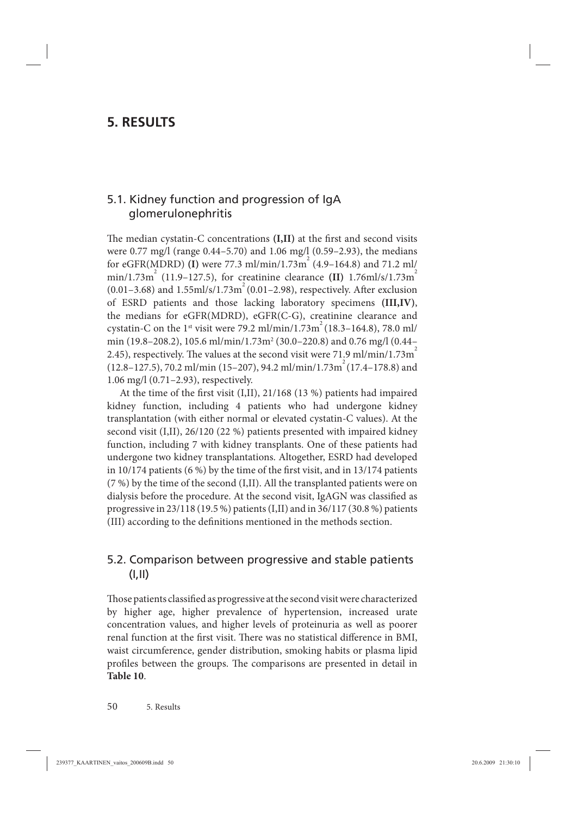# **5. RESULTS**

## 5.1. Kidney function and progression of IgA glomerulonephritis

The median cystatin-C concentrations (I,II) at the first and second visits were 0.77 mg/l (range 0.44–5.70) and 1.06 mg/l (0.59–2.93), the medians for eGFR(MDRD) **(I)** were 77.3 ml/min/1.73m<sup>2</sup> (4.9–164.8) and 71.2 ml/  $\text{min}/1.73\text{m}^2$  (11.9–127.5), for creatinine clearance **(II)** 1.76ml/s/1.73m<sup>2</sup>  $(0.01-3.68)$  and  $1.55$ ml/s/1.73m<sup>2</sup> (0.01–2.98), respectively. After exclusion of ESRD patients and those lacking laboratory specimens **(III,IV)**, the medians for eGFR(MDRD), eGFR(C-G), creatinine clearance and cystatin-C on the 1<sup>st</sup> visit were 79.2 ml/min/1.73m<sup> $\degree$ </sup> (18.3–164.8), 78.0 ml/ min (19.8–208.2), 105.6 ml/min/1.73m² (30.0–220.8) and 0.76 mg/l (0.44– 2.45), respectively. The values at the second visit were 71.9 ml/min/1.73 $m<sup>2</sup>$  $(12.8-127.5)$ , 70.2 ml/min (15–207), 94.2 ml/min/1.73m<sup>2</sup> (17.4–178.8) and 1.06 mg/l (0.71–2.93), respectively.

At the time of the first visit  $(I,II)$ , 21/168 (13 %) patients had impaired kidney function, including 4 patients who had undergone kidney transplantation (with either normal or elevated cystatin-C values). At the second visit (I,II), 26/120 (22 %) patients presented with impaired kidney function, including 7 with kidney transplants. One of these patients had undergone two kidney transplantations. Altogether, ESRD had developed in 10/174 patients  $(6\%)$  by the time of the first visit, and in 13/174 patients (7 %) by the time of the second (I,II). All the transplanted patients were on dialysis before the procedure. At the second visit, IgAGN was classified as progressive in 23/118 (19.5 %) patients (I,II) and in 36/117 (30.8 %) patients (III) according to the definitions mentioned in the methods section.

## 5.2. Comparison between progressive and stable patients (I,II)

Those patients classified as progressive at the second visit were characterized by higher age, higher prevalence of hypertension, increased urate concentration values, and higher levels of proteinuria as well as poorer renal function at the first visit. There was no statistical difference in BMI, waist circumference, gender distribution, smoking habits or plasma lipid profiles between the groups. The comparisons are presented in detail in **Table 10**.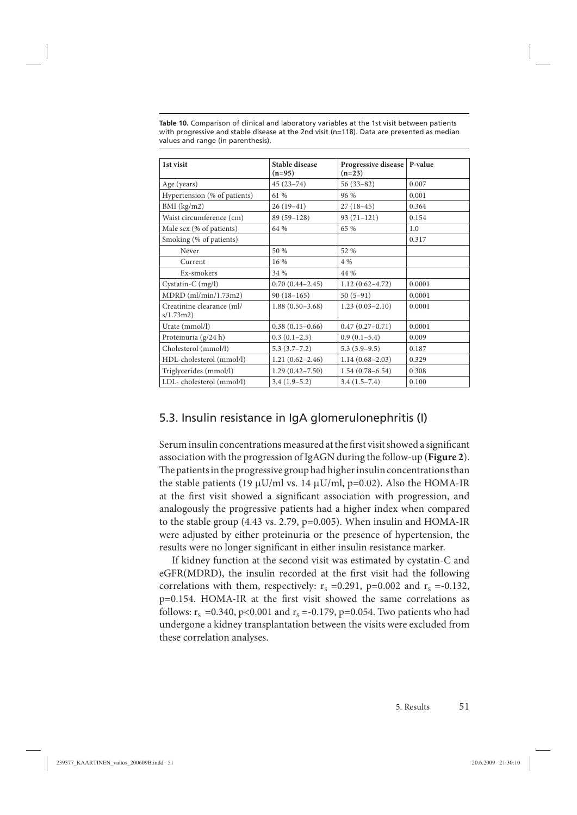| 1st visit                              | <b>Stable disease</b><br>$(n=95)$ | Progressive disease   P-value<br>$(n=23)$ |        |
|----------------------------------------|-----------------------------------|-------------------------------------------|--------|
| Age (years)                            | $45(23-74)$                       | $56(33-82)$                               | 0.007  |
| Hypertension (% of patients)           | 61 %                              | 96 %                                      | 0.001  |
| $BMI$ (kg/m2)                          | $26(19-41)$                       | $27(18-45)$                               | 0.364  |
| Waist circumference (cm)               | 89 (59-128)                       | $93(71-121)$                              | 0.154  |
| Male sex (% of patients)               | 64 %                              | 65 %                                      | 1.0    |
| Smoking (% of patients)                |                                   |                                           | 0.317  |
| Never                                  | 50 %                              | 52 %                                      |        |
| Current                                | 16%                               | 4 %                                       |        |
| Ex-smokers                             | 34 %                              | 44 %                                      |        |
| Cystatin-C (mg/l)                      | $0.70(0.44 - 2.45)$               | $1.12(0.62 - 4.72)$                       | 0.0001 |
| $MDRD$ (ml/min/1.73m2)                 | $90(18-165)$                      | $50(5-91)$                                | 0.0001 |
| Creatinine clearance (ml/<br>s/1.73m2) | $1.88(0.50-3.68)$                 | $1.23(0.03 - 2.10)$                       | 0.0001 |
| Urate (mmol/l)                         | $0.38(0.15-0.66)$                 | $0.47(0.27-0.71)$                         | 0.0001 |
| Proteinuria (g/24 h)                   | $0.3(0.1-2.5)$                    | $0.9(0.1-5.4)$                            | 0.009  |
| Cholesterol (mmol/l)                   | $5.3(3.7 - 7.2)$                  | $5.3(3.9-9.5)$                            | 0.187  |
| HDL-cholesterol (mmol/l)               | $1.21(0.62 - 2.46)$               | $1.14(0.68 - 2.03)$                       | 0.329  |
| Triglycerides (mmol/l)                 | $1.29(0.42 - 7.50)$               | $1.54(0.78 - 6.54)$                       | 0.308  |
| LDL-cholesterol (mmol/l)               | $3.4(1.9-5.2)$                    | $3.4(1.5-7.4)$                            | 0.100  |

**Table 10.** Comparison of clinical and laboratory variables at the 1st visit between patients with progressive and stable disease at the 2nd visit (n=118). Data are presented as median values and range (in parenthesis).

### 5.3. Insulin resistance in IgA glomerulonephritis (I)

Serum insulin concentrations measured at the first visit showed a significant association with the progression of IgAGN during the follow-up (**Figure 2**). The patients in the progressive group had higher insulin concentrations than the stable patients (19  $\mu$ U/ml vs. 14  $\mu$ U/ml, p=0.02). Also the HOMA-IR at the first visit showed a significant association with progression, and analogously the progressive patients had a higher index when compared to the stable group (4.43 vs. 2.79, p=0.005). When insulin and HOMA-IR were adjusted by either proteinuria or the presence of hypertension, the results were no longer significant in either insulin resistance marker.

If kidney function at the second visit was estimated by cystatin-C and eGFR(MDRD), the insulin recorded at the first visit had the following correlations with them, respectively:  $r_s = 0.291$ , p=0.002 and  $r_s = -0.132$ , p=0.154. HOMA-IR at the first visit showed the same correlations as follows:  $r_s = 0.340$ , p<0.001 and  $r_s = -0.179$ , p=0.054. Two patients who had undergone a kidney transplantation between the visits were excluded from these correlation analyses.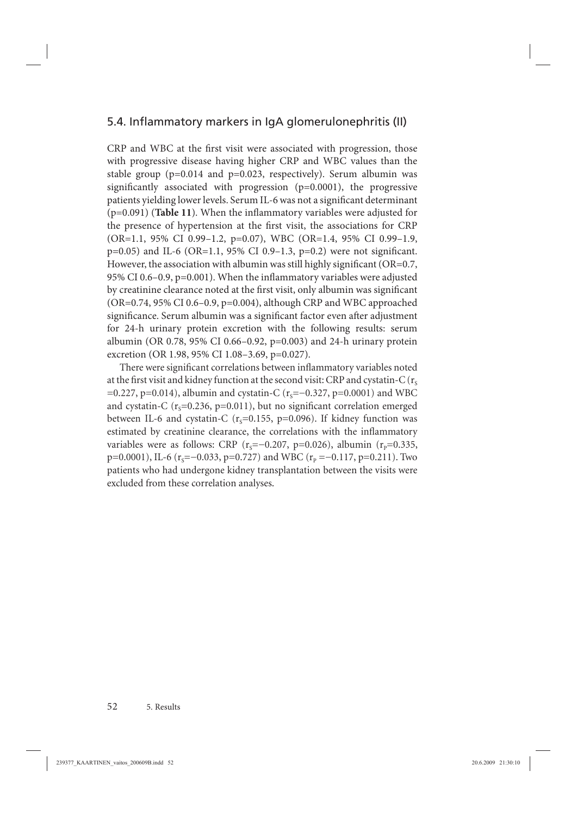# 5.4. Inflammatory markers in IgA glomerulonephritis (II)

CRP and WBC at the first visit were associated with progression, those with progressive disease having higher CRP and WBC values than the stable group ( $p=0.014$  and  $p=0.023$ , respectively). Serum albumin was significantly associated with progression  $(p=0.0001)$ , the progressive patients yielding lower levels. Serum IL-6 was not a significant determinant  $(p=0.091)$  (**Table 11**). When the inflammatory variables were adjusted for the presence of hypertension at the first visit, the associations for CRP (OR=1.1, 95% CI 0.99–1.2, p=0.07), WBC (OR=1.4, 95% CI 0.99–1.9,  $p=0.05$ ) and IL-6 (OR=1.1, 95% CI 0.9–1.3,  $p=0.2$ ) were not significant. However, the association with albumin was still highly significant ( $OR=0.7$ , 95% CI 0.6–0.9,  $p=0.001$ ). When the inflammatory variables were adjusted by creatinine clearance noted at the first visit, only albumin was significant (OR=0.74, 95% CI 0.6–0.9, p=0.004), although CRP and WBC approached significance. Serum albumin was a significant factor even after adjustment for 24-h urinary protein excretion with the following results: serum albumin (OR 0.78, 95% CI 0.66–0.92, p=0.003) and 24-h urinary protein excretion (OR 1.98, 95% CI 1.08–3.69, p=0.027).

There were significant correlations between inflammatory variables noted at the first visit and kidney function at the second visit: CRP and cystatin-C ( $r_s$ ) =0.227, p=0.014), albumin and cystatin-C ( $r_s$ =−0.327, p=0.0001) and WBC and cystatin-C ( $r_s$ =0.236, p=0.011), but no significant correlation emerged between IL-6 and cystatin-C ( $r_s$ =0.155, p=0.096). If kidney function was estimated by creatinine clearance, the correlations with the inflammatory variables were as follows: CRP ( $r_s=-0.207$ , p=0.026), albumin ( $r_p=0.335$ , p=0.0001), IL-6 (r<sub>s</sub>=−0.033, p=0.727) and WBC (r<sub>p</sub> =−0.117, p=0.211). Two patients who had undergone kidney transplantation between the visits were excluded from these correlation analyses.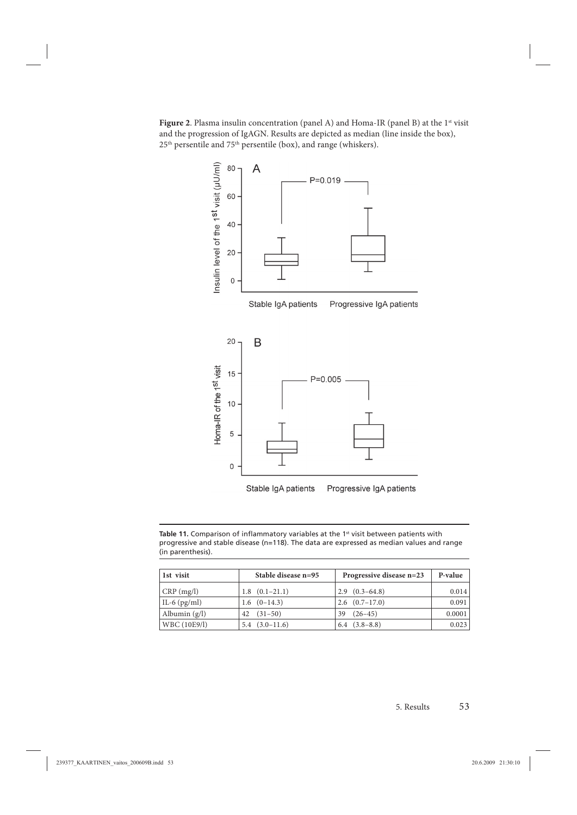Figure 2. Plasma insulin concentration (panel A) and Homa-IR (panel B) at the 1<sup>st</sup> visit and the progression of IgAGN. Results are depicted as median (line inside the box),  $25<sup>th</sup>$  persentile and  $75<sup>th</sup>$  persentile (box), and range (whiskers).



Table 11. Comparison of inflammatory variables at the 1<sup>st</sup> visit between patients with progressive and stable disease (n=118). The data are expressed as median values and range (in parenthesis).

| 1st visit        | Stable disease n=95 | Progressive disease n=23 | P-value |
|------------------|---------------------|--------------------------|---------|
| CRP(mg/l)        | $1.8$ $(0.1-21.1)$  | $2.9(0.3-64.8)$          | 0.014   |
| $ IL-6 (pg/ml) $ | $1.6(0-14.3)$       | $2.6$ $(0.7-17.0)$       | 0.091   |
| Albumin $(g/l)$  | $(31 - 50)$<br>42   | $(26 - 45)$<br>39        | 0.0001  |
| WBC (10E9/l)     | $5.4(3.0-11.6)$     | $6.4$ $(3.8-8.8)$        | 0.023   |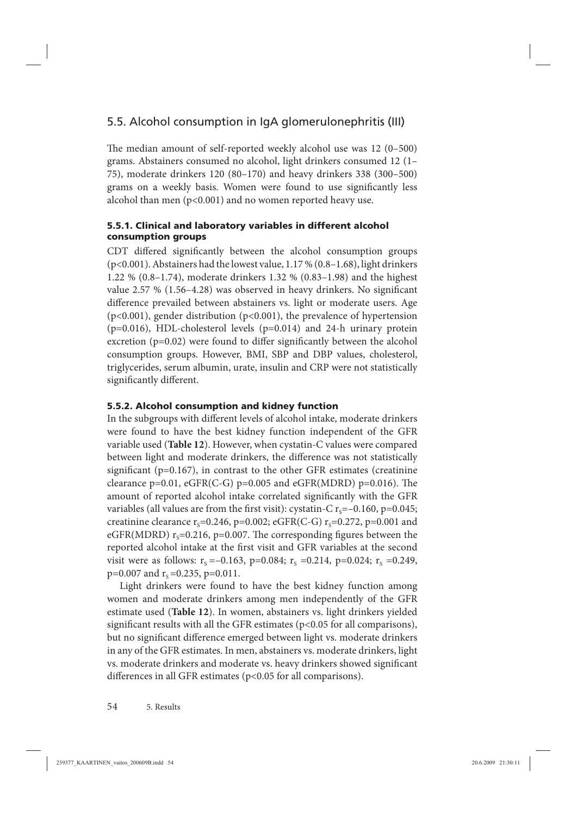# 5.5. Alcohol consumption in IgA glomerulonephritis (III)

The median amount of self-reported weekly alcohol use was 12 (0–500) grams. Abstainers consumed no alcohol, light drinkers consumed 12 (1– 75), moderate drinkers 120 (80–170) and heavy drinkers 338 (300–500) grams on a weekly basis. Women were found to use significantly less alcohol than men (p<0.001) and no women reported heavy use.

### **5.5.1. Clinical and laboratory variables in different alcohol consumption groups**

CDT differed significantly between the alcohol consumption groups (p<0.001). Abstainers had the lowest value, 1.17 % (0.8–1.68), light drinkers 1.22 % (0.8–1.74), moderate drinkers 1.32 % (0.83–1.98) and the highest value 2.57 % (1.56-4.28) was observed in heavy drinkers. No significant difference prevailed between abstainers vs. light or moderate users. Age (p<0.001), gender distribution (p<0.001), the prevalence of hypertension  $(p=0.016)$ , HDL-cholesterol levels  $(p=0.014)$  and 24-h urinary protein excretion ( $p=0.02$ ) were found to differ significantly between the alcohol consumption groups. However, BMI, SBP and DBP values, cholesterol, triglycerides, serum albumin, urate, insulin and CRP were not statistically significantly different.

### **5.5.2. Alcohol consumption and kidney function**

In the subgroups with different levels of alcohol intake, moderate drinkers were found to have the best kidney function independent of the GFR variable used (**Table 12**). However, when cystatin-C values were compared between light and moderate drinkers, the difference was not statistically significant ( $p=0.167$ ), in contrast to the other GFR estimates (creatinine clearance  $p=0.01$ , eGFR(C-G)  $p=0.005$  and eGFR(MDRD)  $p=0.016$ ). The amount of reported alcohol intake correlated significantly with the GFR variables (all values are from the first visit): cystatin-C  $r_s = -0.160$ , p=0.045; creatinine clearance  $r_s$ =0.246, p=0.002; eGFR(C-G)  $r_s$ =0.272, p=0.001 and eGFR(MDRD)  $r_s$ =0.216, p=0.007. The corresponding figures between the reported alcohol intake at the first visit and GFR variables at the second visit were as follows:  $r_s = -0.163$ , p=0.084;  $r_s = 0.214$ , p=0.024;  $r_s = 0.249$ ,  $p=0.007$  and  $r_s = 0.235$ ,  $p=0.011$ .

Light drinkers were found to have the best kidney function among women and moderate drinkers among men independently of the GFR estimate used (**Table 12**). In women, abstainers vs. light drinkers yielded significant results with all the GFR estimates ( $p$ <0.05 for all comparisons), but no significant difference emerged between light vs. moderate drinkers in any of the GFR estimates. In men, abstainers vs. moderate drinkers, light vs. moderate drinkers and moderate vs. heavy drinkers showed significant differences in all GFR estimates ( $p$ <0.05 for all comparisons).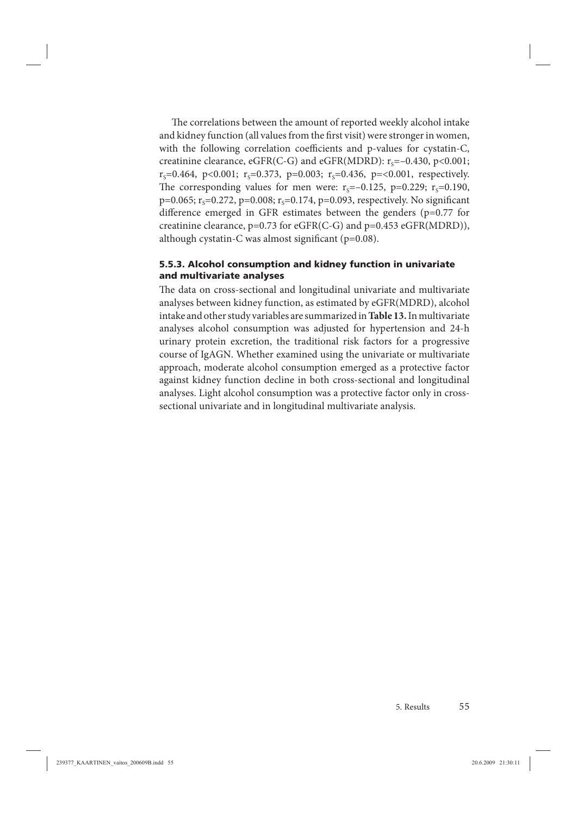The correlations between the amount of reported weekly alcohol intake and kidney function (all values from the first visit) were stronger in women, with the following correlation coefficients and p-values for cystatin-C, creatinine clearance, eGFR(C-G) and eGFR(MDRD):  $r_s = -0.430$ , p<0.001;  $r_s$ =0.464, p<0.001;  $r_s$ =0.373, p=0.003;  $r_s$ =0.436, p=<0.001, respectively. The corresponding values for men were:  $r_s=-0.125$ , p=0.229;  $r_s=0.190$ , p=0.065;  $r_s$ =0.272, p=0.008;  $r_s$ =0.174, p=0.093, respectively. No significant difference emerged in GFR estimates between the genders ( $p=0.77$  for creatinine clearance, p=0.73 for eGFR(C-G) and p=0.453 eGFR(MDRD)), although cystatin-C was almost significant ( $p=0.08$ ).

#### **5.5.3. Alcohol consumption and kidney function in univariate and multivariate analyses**

The data on cross-sectional and longitudinal univariate and multivariate analyses between kidney function, as estimated by eGFR(MDRD), alcohol intake and other study variables are summarized in **Table 13.** In multivariate analyses alcohol consumption was adjusted for hypertension and 24-h urinary protein excretion, the traditional risk factors for a progressive course of IgAGN. Whether examined using the univariate or multivariate approach, moderate alcohol consumption emerged as a protective factor against kidney function decline in both cross-sectional and longitudinal analyses. Light alcohol consumption was a protective factor only in crosssectional univariate and in longitudinal multivariate analysis.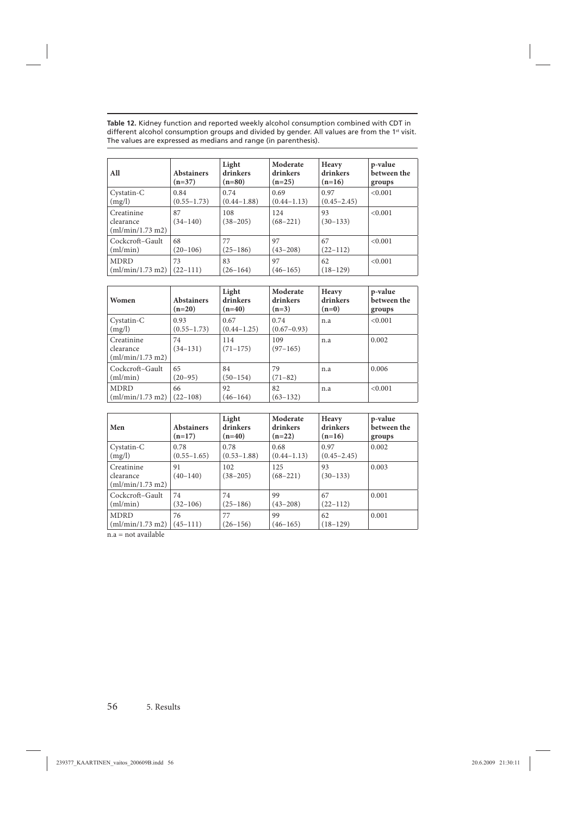**Table 12.** Kidney function and reported weekly alcohol consumption combined with CDT in different alcohol consumption groups and divided by gender. All values are from the 1st visit.  $\,$ The values are expressed as medians and range (in parenthesis).

| All                                         | <b>Abstainers</b><br>$(n=37)$ | Light<br>drinkers<br>$(n=80)$ | Moderate<br>drinkers<br>$(n=25)$ | Heavy<br>drinkers<br>$(n=16)$ | p-value<br>between the<br>groups |
|---------------------------------------------|-------------------------------|-------------------------------|----------------------------------|-------------------------------|----------------------------------|
| Cystatin-C                                  | 0.84                          | 0.74                          | 0.69                             | 0.97                          | < 0.001                          |
| (mg/l)                                      | $(0.55 - 1.73)$               | $(0.44 - 1.88)$               | $(0.44 - 1.13)$                  | $(0.45 - 2.45)$               |                                  |
| Creatinine<br>clearance<br>(ml/min/1.73 m2) | 87<br>$(34-140)$              | 108<br>$(38 - 205)$           | 124<br>$(68 - 221)$              | 93<br>$(30-133)$              | < 0.001                          |
| Cockcroft-Gault                             | 68                            | 77                            | 97                               | 67                            | < 0.001                          |
| (ml/min)                                    | $(20-106)$                    | $(25-186)$                    | $(43 - 208)$                     | $(22-112)$                    |                                  |
| <b>MDRD</b>                                 | 73                            | 83                            | 97                               | 62                            | < 0.001                          |
| (ml/min/1.73 m2)                            | $(22-111)$                    | $(26-164)$                    | $(46 - 165)$                     | $(18-129)$                    |                                  |

| Women                                       | <b>Abstainers</b><br>$(n=20)$ | Light<br>drinkers<br>$(n=40)$ | Moderate<br>drinkers<br>$(n=3)$ | Heavy<br>drinkers<br>$(n=0)$ | p-value<br>between the<br>groups |
|---------------------------------------------|-------------------------------|-------------------------------|---------------------------------|------------------------------|----------------------------------|
| Cystatin-C<br>(mg/l)                        | 0.93<br>$(0.55 - 1.73)$       | 0.67<br>$(0.44 - 1.25)$       | 0.74<br>$(0.67 - 0.93)$         | n.a                          | < 0.001                          |
| Creatinine<br>clearance<br>(ml/min/1.73 m2) | 74<br>$(34-131)$              | 114<br>$(71 - 175)$           | 109<br>$(97-165)$               | n.a                          | 0.002                            |
| Cockcroft-Gault<br>(ml/min)                 | 65<br>$(20-95)$               | 84<br>$(50 - 154)$            | 79<br>$(71 - 82)$               | n.a                          | 0.006                            |
| <b>MDRD</b><br>(ml/min/1.73 m2)             | 66<br>$(22 - 108)$            | 92<br>$(46 - 164)$            | 82<br>$(63 - 132)$              | n.a                          | < 0.001                          |

| Men                                         | <b>Abstainers</b><br>$(n=17)$ | Light<br>drinkers<br>$(n=40)$ | Moderate<br>drinkers<br>$(n=22)$ | Heavy<br>drinkers<br>$(n=16)$ | p-value<br>between the<br>groups |
|---------------------------------------------|-------------------------------|-------------------------------|----------------------------------|-------------------------------|----------------------------------|
| Cystatin-C                                  | 0.78                          | 0.78                          | 0.68                             | 0.97                          | 0.002                            |
| (mg/l)                                      | $(0.55 - 1.65)$               | $(0.53 - 1.88)$               | $(0.44 - 1.13)$                  | $(0.45 - 2.45)$               |                                  |
| Creatinine<br>clearance<br>(ml/min/1.73 m2) | 91<br>$(40-140)$              | 102<br>$(38 - 205)$           | 125<br>$(68 - 221)$              | 93<br>$(30-133)$              | 0.003                            |
| Cockcroft-Gault                             | 74                            | 74                            | 99                               | 67                            | 0.001                            |
| (ml/min)                                    | $(32 - 106)$                  | $(25-186)$                    | $(43 - 208)$                     | $(22-112)$                    |                                  |
| <b>MDRD</b>                                 | 76                            | 77                            | 99                               | 62                            | 0.001                            |
| (ml/min/1.73 m2)                            | $(45-111)$                    | $(26 - 156)$                  | $(46-165)$                       | $(18-129)$                    |                                  |

 $n.a = not available$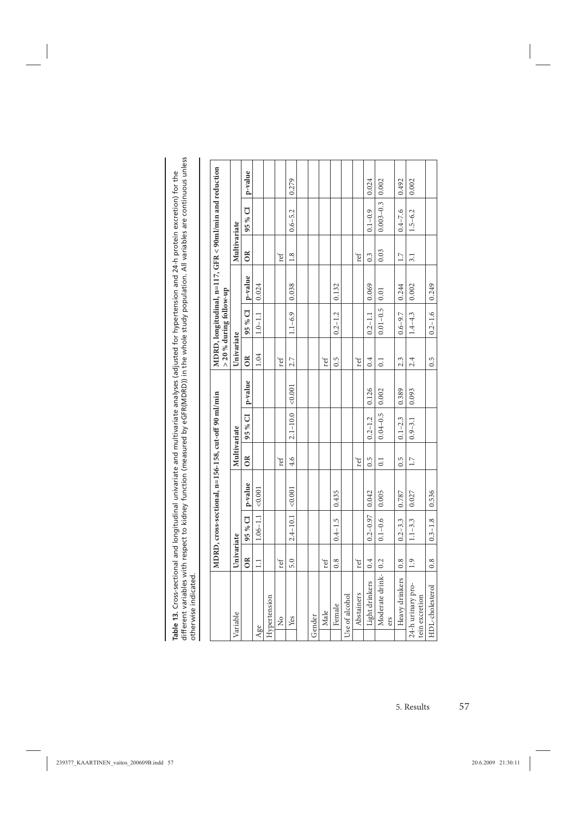| .<br>.<br>.<br>$\sim$ $\sim$ $\sim$ $\sim$ $\sim$ $\sim$ $\sim$ | المادنيدين<br>$\frac{1}{1}$ | Ï                        |
|-----------------------------------------------------------------|-----------------------------|--------------------------|
|                                                                 |                             |                          |
| lable                                                           | $\ddot{\dot{}}$<br>i        | $\overline{\overline{}}$ |

|        |                                     |               |              | MDRD, cross-sectional, n=156-158, cut-off 90 ml/min |                  |                           |         |                  | > 20 % during follow-up | MDRD, longitudinal, n=117, GFR < 90ml/min and reduction |                  |               |         |  |
|--------|-------------------------------------|---------------|--------------|-----------------------------------------------------|------------------|---------------------------|---------|------------------|-------------------------|---------------------------------------------------------|------------------|---------------|---------|--|
|        | Variable                            | Univariate    |              |                                                     | Multivariate     |                           |         | Univariate       |                         |                                                         | Multivariate     |               |         |  |
|        |                                     | ÕŘ            | 95 % CI      | p-value                                             | $\overline{O}R$  | 95 % CI                   | p-value | OR               | 95 % CI                 | p-value                                                 | $\approx$        | 95 % CI       | p-value |  |
| Age    |                                     | $\Xi$         | $1.06 - 1.1$ | < 0.001                                             |                  |                           |         | 1.04             | $1.0 - 1.1$             | 0.024                                                   |                  |               |         |  |
|        | Hypertension                        |               |              |                                                     |                  |                           |         |                  |                         |                                                         |                  |               |         |  |
|        | $\frac{1}{2}$                       | ref           |              |                                                     | ref              |                           |         | ref              |                         |                                                         | ref              |               |         |  |
|        | Yes                                 | 5.0           | $2.4 - 10.1$ | 0.001                                               | 4.6              | $2.1 - 10.0$ $\leq 0.001$ |         | 2.7              | $1.1 - 6.9$             | 0.038                                                   | 1.8              | $0.6 - 5.2$   | 0.279   |  |
|        |                                     |               |              |                                                     |                  |                           |         |                  |                         |                                                         |                  |               |         |  |
| Gender |                                     |               |              |                                                     |                  |                           |         |                  |                         |                                                         |                  |               |         |  |
|        | Male                                | ref           |              |                                                     |                  |                           |         | ref              |                         |                                                         |                  |               |         |  |
|        | Female                              | 0.8           | $0.4 - 1.5$  | 0.435                                               |                  |                           |         | $0.\overline{5}$ | $0.2 - 1.2$             | 0.132                                                   |                  |               |         |  |
|        | Use of alcohol                      |               |              |                                                     |                  |                           |         |                  |                         |                                                         |                  |               |         |  |
|        | Abstainers                          | ref           |              |                                                     | ref              |                           |         | ref              |                         |                                                         | ref              |               |         |  |
|        | Light drinkers                      | 0.4           | $0.2 - 0.97$ | 0.042                                               | $0.\overline{5}$ | $0.2 - 1.2$               | 0.126   | 0.4              | $0.2 - 1.1$             | 0.069                                                   | $0.\overline{3}$ | $0.1 - 0.9$   | 0.024   |  |
|        | Moderate drink-   0.2<br>ers        |               | $0.1 - 0.6$  | 0.005                                               | 0.1              | $0.04 - 0.5$ 0.002        |         | $\overline{0}$   | $0.01 - 0.5$            | 0.01                                                    | 0.03             | $0.003 - 0.3$ | 0.002   |  |
|        | Heavy drinkers                      | 0.8           | $0.2 - 3.3$  | 0.787                                               | $0.\overline{5}$ | $0.1 - 2.3$               | 0.389   | 2.3              | $0.6 - 9.7$             | 0.244                                                   | 1.7              | $0.4 - 7.6$   | 0.492   |  |
|        | 24-h urinary pro-<br>tein excretion | $\frac{1}{2}$ | $1.1 - 3.3$  | 0.027                                               | 1.7              | $0.9 - 3.1$               | 0.093   | 2.4              | $1.4 - 4.3$             | 0.002                                                   | 3.1              | $1.5 - 6.2$   | 0.002   |  |
|        | HDL-cholesterol                     | 0.8           | $0.3 - 1.8$  | 0.536                                               |                  |                           |         | 0.5              | $0.2 - 1.6$             | 0.249                                                   |                  |               |         |  |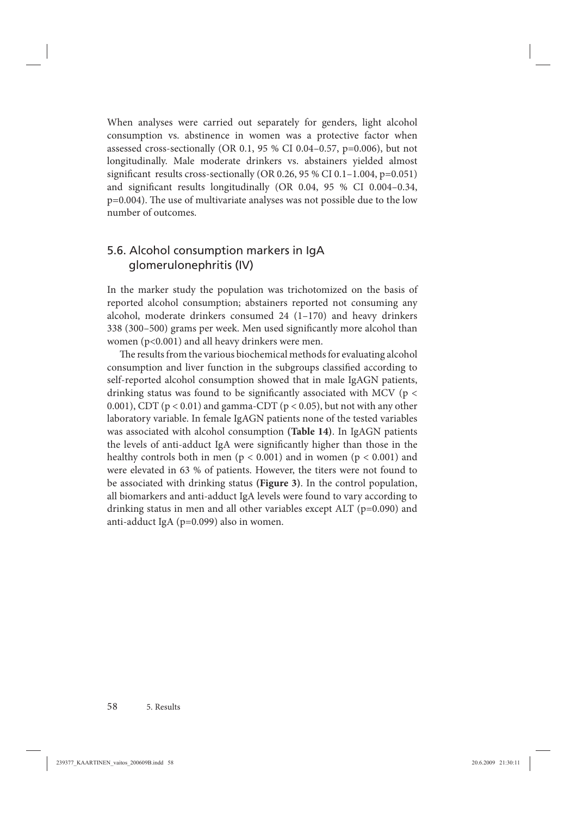When analyses were carried out separately for genders, light alcohol consumption vs. abstinence in women was a protective factor when assessed cross-sectionally (OR 0.1, 95 % CI 0.04–0.57, p=0.006), but not longitudinally. Male moderate drinkers vs. abstainers yielded almost significant results cross-sectionally (OR 0.26, 95 % CI 0.1-1.004, p=0.051) and significant results longitudinally (OR  $0.04$ ,  $95\%$  CI  $0.004-0.34$ ,  $p=0.004$ ). The use of multivariate analyses was not possible due to the low number of outcomes.

# 5.6. Alcohol consumption markers in IgA glomerulonephritis (IV)

In the marker study the population was trichotomized on the basis of reported alcohol consumption; abstainers reported not consuming any alcohol, moderate drinkers consumed 24 (1–170) and heavy drinkers 338 (300–500) grams per week. Men used significantly more alcohol than women (p<0.001) and all heavy drinkers were men.

The results from the various biochemical methods for evaluating alcohol consumption and liver function in the subgroups classified according to self-reported alcohol consumption showed that in male IgAGN patients, drinking status was found to be significantly associated with MCV ( $p <$ 0.001), CDT ( $p < 0.01$ ) and gamma-CDT ( $p < 0.05$ ), but not with any other laboratory variable. In female IgAGN patients none of the tested variables was associated with alcohol consumption **(Table 14)**. In IgAGN patients the levels of anti-adduct IgA were significantly higher than those in the healthy controls both in men ( $p < 0.001$ ) and in women ( $p < 0.001$ ) and were elevated in 63 % of patients. However, the titers were not found to be associated with drinking status **(Figure 3)**. In the control population, all biomarkers and anti-adduct IgA levels were found to vary according to drinking status in men and all other variables except ALT (p=0.090) and anti-adduct IgA (p=0.099) also in women.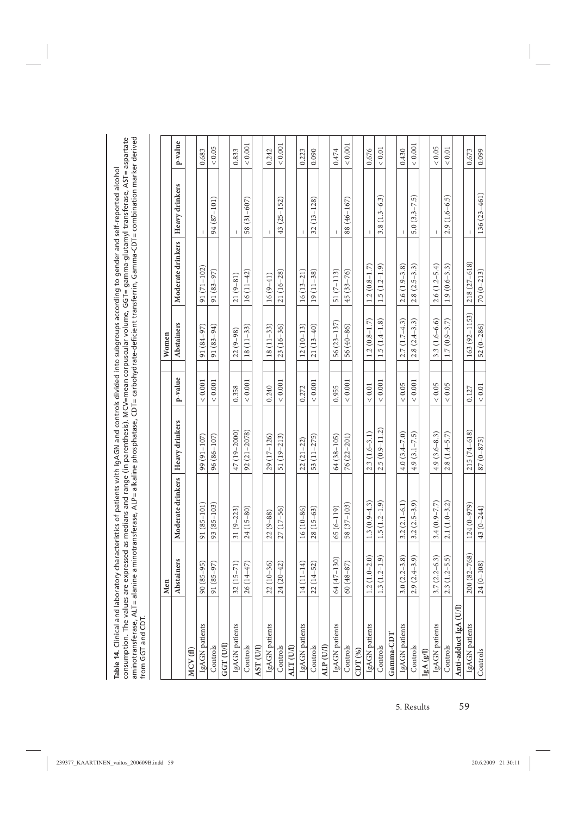Table 14. Clinical and laboratory characteristics of patients with IgAGN and controls divided into subgroups according to gender and self-reported alcohol<br>consumption. The values are expressed as medians and range (in pare aminotransferase, ALT= alanine aminotransferase, ALP= alkaline phosphatase, CDT= carbohydrate-defi cient transferrin, Gamma-CDT= combination marker derived consumption. The values are expressed as medians and range (in parenthesis). MCV=mean corpuscular volume, GGT= gamma-glutamyl transferase, AST= aspartate **Table 14.** Clinical and laboratory characteristics of patients with IgAGN and controls divided into subgroups according to gender and self-reported alcohol from GGT and CDT.

|                       | Men                         |                   |                   |             | Women            |                   |                  |            |
|-----------------------|-----------------------------|-------------------|-------------------|-------------|------------------|-------------------|------------------|------------|
|                       | Abstainers                  | Moderate drinkers | Heavy drinkers    | p-value     | Abstainers       | Moderate drinkers | Heavy drinkers   | p-value    |
| MCV(f)                |                             |                   |                   |             |                  |                   |                  |            |
| IgAGN patients        | 90 (85-95)                  | $91(85 - 101)$    | $99(91 - 107)$    | ${}< 0.001$ | 91 (84-97)       | $91(71 - 102)$    |                  | 0.683      |
| Controls              | 91 (85-97)                  | $93(85-103)$      | $96(86 - 107)$    | < 0.001     | 91 (83-94)       | $91(83-97)$       | 94 (87-101)      | $< 0.05$   |
| GGT <sub>(U/I)</sub>  |                             |                   |                   |             |                  |                   |                  |            |
| IgAGN patients        | $32(15-71)$                 | $31(9-223)$       | 47 (19-2000)      | 0.358       | $22(9-98)$       | $21(9-81)$        |                  | 0.833      |
| Controls              | $26(14-47)$                 | $24(15-80)$       | $92(21 - 2078)$   | < 0.001     | $18(11-33)$      | $16(11-42)$       | 58 (31-607)      | $< 0.001$  |
| AST <sub>(UJ)</sub>   |                             |                   |                   |             |                  |                   |                  |            |
| IgAGN patients        | $22(10-36)$                 | $22(9 - 88)$      | 29 (17-126)       | 0.240       | $18(11-33)$      | $16(9-41)$        | I.               | 0.242      |
| Controls              | $24(20-42)$                 | $27(17 - 56)$     | 51 (19-213)       | < 0.001     | $23(16-36)$      | $21(16-28)$       | $43(25 - 152)$   | $< 0.001$  |
| ALT (U/I)             |                             |                   |                   |             |                  |                   |                  |            |
| IgAGN patients        | $\widehat{+}$<br>$14(11-1)$ | $16(10-86)$       | $22(21-22)$       | 0.272       | $12(10-13)$      | $16(13-21)$       | I                | 0.223      |
| Controls              | $22(14-52)$                 | $28(15-63)$       | 53 (11 – 275)     | < 0.001     | $21(13-40)$      | $19(11-38)$       | $32(13 - 128)$   | 0.090      |
| ALP (U/I)             |                             |                   |                   |             |                  |                   |                  |            |
| IgAGN patients        | 30)<br>64 (47-1             | $65(6 - 119)$     | 64 (38-105)       | 0.955       | $56(23 - 137)$   | $51(7-113)$       | I.               | 0.474      |
| Controls              | $60(48 - 87)$               | 58 (37-103)       | 76 (22 – 201)     | < 0.001     | 56 (40-86)       | $45(33 - 76)$     | 88 (46-167)      | $< 0.001$  |
| $CDT(\%)$             |                             |                   |                   |             |                  |                   |                  |            |
| IgAGN patients        | (0.5)<br>$1.2(1.0 -$        | $1.3(0.9-4.3)$    | $2.3(1.6-3.1)$    | ${}< 0.01$  | $1.2(0.8 - 1.7)$ | $1.2(0.8-1.7)$    |                  | 0.676      |
| Controls              | (6.1)<br>1.3(1.2)           | $1.5(1.2 - 1.9)$  | $2.5(0.9 - 11.2)$ | < 0.001     | $1.5(1.4-1.8)$   | $1.5(1.2-1.9)$    | $3.8(1.3 - 6.3)$ | $< 0.01$   |
| Gamma-CDT             |                             |                   |                   |             |                  |                   |                  |            |
| IgAGN patients        | 3.8)<br>3.0(2.2)            | $3.2(2.1-6.1)$    | $4.0(3.4 - 7.0)$  | ${}< 0.05$  | $2.7(1.7-4.3)$   | $2.6(1.9-3.8)$    |                  | 0.430      |
| Controls              | 3.9)<br>$2.9(2.4 -$         | $3.2(2.5-3.9)$    | $4.9(3.1 - 7.5)$  | < 0.001     | $2.8(2.4 - 3.3)$ | $2.8(2.5-3.3)$    | $5.0(3.3 - 7.5)$ | $< 0.001$  |
| IgA(g/I)              |                             |                   |                   |             |                  |                   |                  |            |
| IgAGN patients        | (6.3)<br>3.7(2.2)           | $3.4(0.9 - 7.7)$  | $4.9(3.6-8.3)$    | ${}< 0.05$  | $3.3(1.6 - 6.6)$ | $2.6(1.2 - 5.4)$  |                  | ${}< 0.05$ |
| Controls              | (5.5)<br>2.3(1.2)           | $2.1(1.0-3.2)$    | $2.8(1.4 - 5.7)$  | ${}< 0.05$  | $1.7(0.9 - 3.7)$ | $1.9(0.6-3.3)$    | $2.9(1.6-6.5)$   | $< 0.01$   |
| Anti-adduct IgA (U/I) |                             |                   |                   |             |                  |                   |                  |            |
| IgAGN patients        | $-768$<br>200 (82           | $124(0-979)$      | $215(74-618)$     | 0.127       | 163 (92-1153)    | $218(27-618)$     |                  | 0.673      |
| Controls              | $24(0 - 108)$               | 43 (0-244)        | $87(0 - 875)$     | $< 0.01$    | $52(0-286)$      | $70(0-213)$       | $136(23 - 461)$  | 0.099      |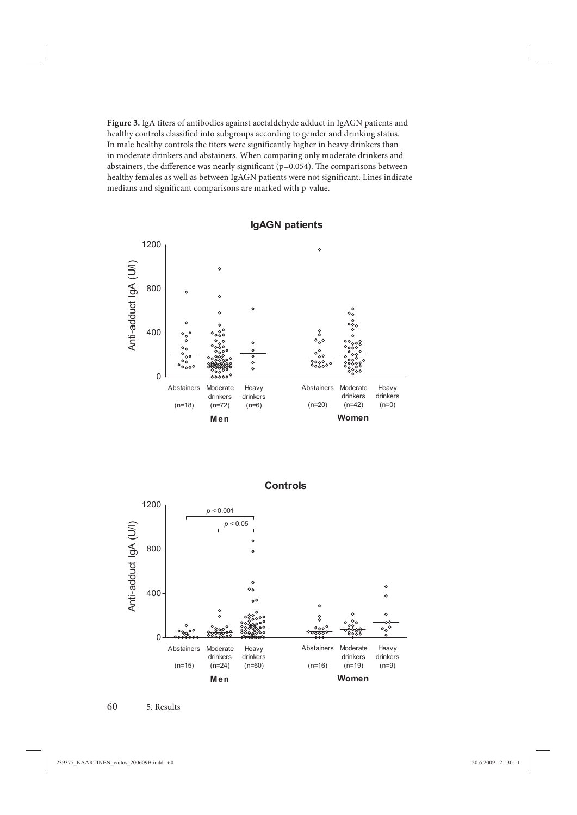**Figure 3.** IgA titers of antibodies against acetaldehyde adduct in IgAGN patients and healthy controls classified into subgroups according to gender and drinking status. In male healthy controls the titers were significantly higher in heavy drinkers than in moderate drinkers and abstainers. When comparing only moderate drinkers and abstainers, the difference was nearly significant ( $p=0.054$ ). The comparisons between healthy females as well as between IgAGN patients were not significant. Lines indicate medians and significant comparisons are marked with p-value.



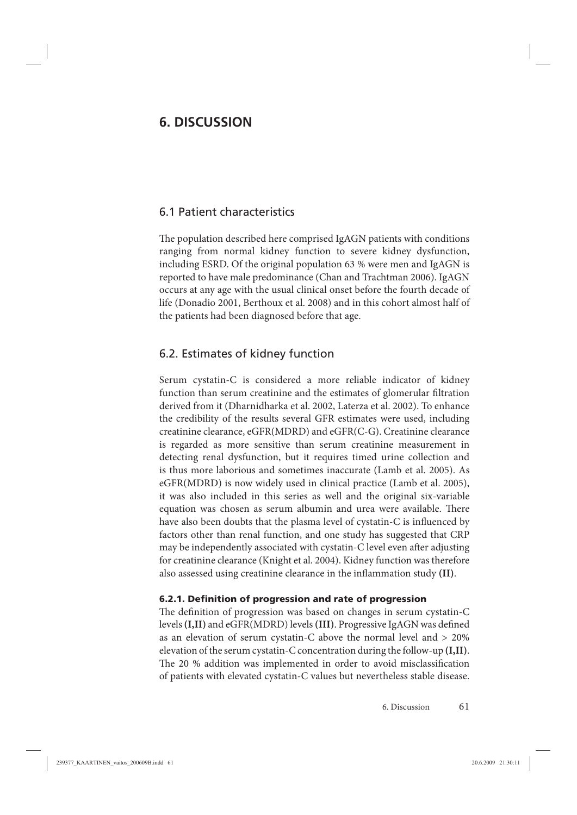# **6. DISCUSSION**

### 6.1 Patient characteristics

The population described here comprised IgAGN patients with conditions ranging from normal kidney function to severe kidney dysfunction, including ESRD. Of the original population 63 % were men and IgAGN is reported to have male predominance (Chan and Trachtman 2006). IgAGN occurs at any age with the usual clinical onset before the fourth decade of life (Donadio 2001, Berthoux et al. 2008) and in this cohort almost half of the patients had been diagnosed before that age.

### 6.2. Estimates of kidney function

Serum cystatin-C is considered a more reliable indicator of kidney function than serum creatinine and the estimates of glomerular filtration derived from it (Dharnidharka et al. 2002, Laterza et al. 2002). To enhance the credibility of the results several GFR estimates were used, including creatinine clearance, eGFR(MDRD) and eGFR(C-G). Creatinine clearance is regarded as more sensitive than serum creatinine measurement in detecting renal dysfunction, but it requires timed urine collection and is thus more laborious and sometimes inaccurate (Lamb et al. 2005). As eGFR(MDRD) is now widely used in clinical practice (Lamb et al. 2005), it was also included in this series as well and the original six-variable equation was chosen as serum albumin and urea were available. There have also been doubts that the plasma level of cystatin-C is influenced by factors other than renal function, and one study has suggested that CRP may be independently associated with cystatin-C level even after adjusting for creatinine clearance (Knight et al. 2004). Kidney function was therefore also assessed using creatinine clearance in the inflammation study (II).

### **6.2.1. Defi nition of progression and rate of progression**

The definition of progression was based on changes in serum cystatin-C levels (I,II) and eGFR(MDRD) levels (III). Progressive IgAGN was defined as an elevation of serum cystatin-C above the normal level and > 20% elevation of the serum cystatin-C concentration during the follow-up **(I,II)**. The 20 % addition was implemented in order to avoid misclassification of patients with elevated cystatin-C values but nevertheless stable disease.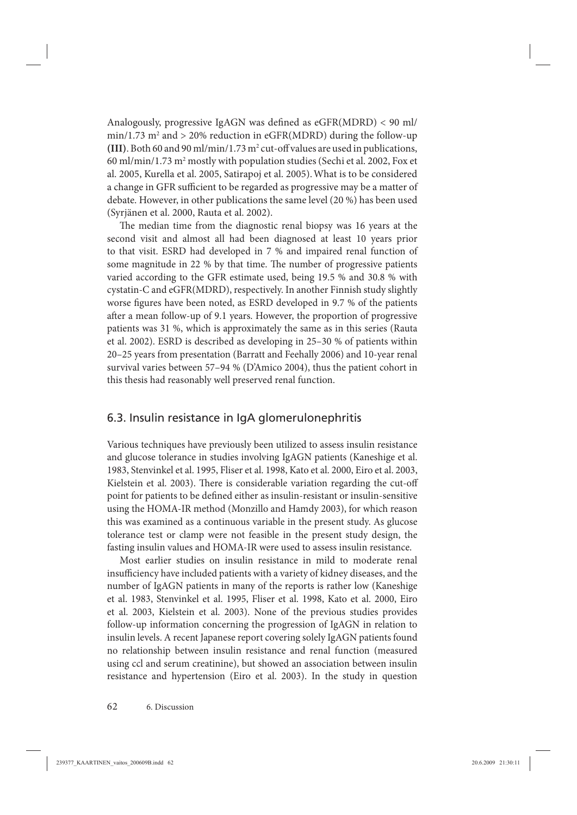Analogously, progressive IgAGN was defined as  $eGFR(MDRD) < 90$  ml/  $\min/1.73 \text{ m}^2$  and  $> 20\%$  reduction in eGFR(MDRD) during the follow-up (III). Both 60 and 90 ml/min/1.73  $m^2$  cut-off values are used in publications, 60 ml/min/1.73 m2 mostly with population studies (Sechi et al. 2002, Fox et al. 2005, Kurella et al. 2005, Satirapoj et al. 2005).What is to be considered a change in GFR sufficient to be regarded as progressive may be a matter of debate. However, in other publications the same level (20 %) has been used (Syrjänen et al. 2000, Rauta et al. 2002).

The median time from the diagnostic renal biopsy was 16 years at the second visit and almost all had been diagnosed at least 10 years prior to that visit. ESRD had developed in 7 % and impaired renal function of some magnitude in 22 % by that time. The number of progressive patients varied according to the GFR estimate used, being 19.5 % and 30.8 % with cystatin-C and eGFR(MDRD), respectively. In another Finnish study slightly worse figures have been noted, as ESRD developed in 9.7 % of the patients after a mean follow-up of 9.1 years. However, the proportion of progressive patients was 31 %, which is approximately the same as in this series (Rauta et al. 2002). ESRD is described as developing in 25–30 % of patients within 20–25 years from presentation (Barratt and Feehally 2006) and 10-year renal survival varies between 57–94 % (D'Amico 2004), thus the patient cohort in this thesis had reasonably well preserved renal function.

### 6.3. Insulin resistance in IgA glomerulonephritis

Various techniques have previously been utilized to assess insulin resistance and glucose tolerance in studies involving IgAGN patients (Kaneshige et al. 1983, Stenvinkel et al. 1995, Fliser et al. 1998, Kato et al. 2000, Eiro et al. 2003, Kielstein et al. 2003). There is considerable variation regarding the cut-off point for patients to be defined either as insulin-resistant or insulin-sensitive using the HOMA-IR method (Monzillo and Hamdy 2003), for which reason this was examined as a continuous variable in the present study. As glucose tolerance test or clamp were not feasible in the present study design, the fasting insulin values and HOMA-IR were used to assess insulin resistance.

Most earlier studies on insulin resistance in mild to moderate renal insufficiency have included patients with a variety of kidney diseases, and the number of IgAGN patients in many of the reports is rather low (Kaneshige et al. 1983, Stenvinkel et al. 1995, Fliser et al. 1998, Kato et al. 2000, Eiro et al. 2003, Kielstein et al. 2003). None of the previous studies provides follow-up information concerning the progression of IgAGN in relation to insulin levels. A recent Japanese report covering solely IgAGN patients found no relationship between insulin resistance and renal function (measured using ccl and serum creatinine), but showed an association between insulin resistance and hypertension (Eiro et al. 2003). In the study in question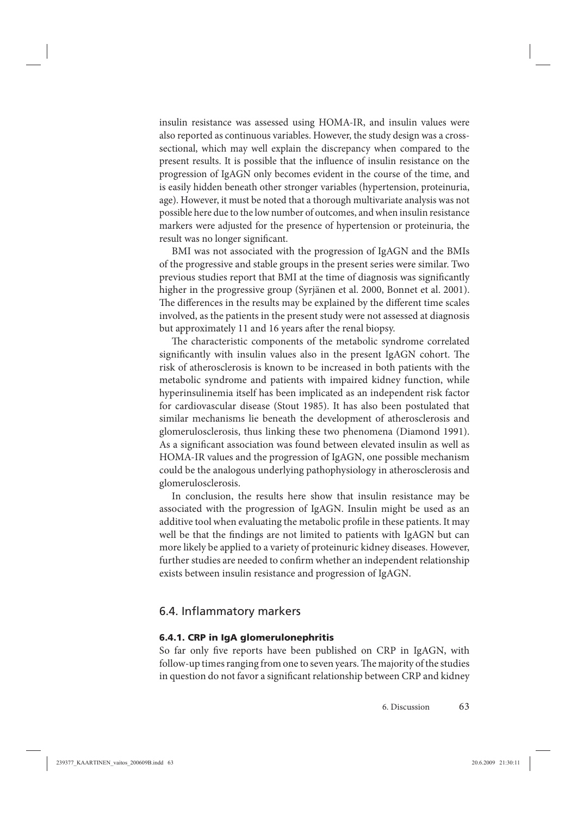insulin resistance was assessed using HOMA-IR, and insulin values were also reported as continuous variables. However, the study design was a crosssectional, which may well explain the discrepancy when compared to the present results. It is possible that the influence of insulin resistance on the progression of IgAGN only becomes evident in the course of the time, and is easily hidden beneath other stronger variables (hypertension, proteinuria, age). However, it must be noted that a thorough multivariate analysis was not possible here due to the low number of outcomes, and when insulin resistance markers were adjusted for the presence of hypertension or proteinuria, the result was no longer significant.

BMI was not associated with the progression of IgAGN and the BMIs of the progressive and stable groups in the present series were similar. Two previous studies report that BMI at the time of diagnosis was significantly higher in the progressive group (Syrjänen et al. 2000, Bonnet et al. 2001). The differences in the results may be explained by the different time scales involved, as the patients in the present study were not assessed at diagnosis but approximately 11 and 16 years after the renal biopsy.

The characteristic components of the metabolic syndrome correlated significantly with insulin values also in the present IgAGN cohort. The risk of atherosclerosis is known to be increased in both patients with the metabolic syndrome and patients with impaired kidney function, while hyperinsulinemia itself has been implicated as an independent risk factor for cardiovascular disease (Stout 1985). It has also been postulated that similar mechanisms lie beneath the development of atherosclerosis and glomerulosclerosis, thus linking these two phenomena (Diamond 1991). As a significant association was found between elevated insulin as well as HOMA-IR values and the progression of IgAGN, one possible mechanism could be the analogous underlying pathophysiology in atherosclerosis and glomerulosclerosis.

In conclusion, the results here show that insulin resistance may be associated with the progression of IgAGN. Insulin might be used as an additive tool when evaluating the metabolic profile in these patients. It may well be that the findings are not limited to patients with IgAGN but can more likely be applied to a variety of proteinuric kidney diseases. However, further studies are needed to confirm whether an independent relationship exists between insulin resistance and progression of IgAGN.

### 6.4. Inflammatory markers

#### **6.4.1. CRP in IgA glomerulonephritis**

So far only five reports have been published on CRP in IgAGN, with follow-up times ranging from one to seven years. The majority of the studies in question do not favor a significant relationship between CRP and kidney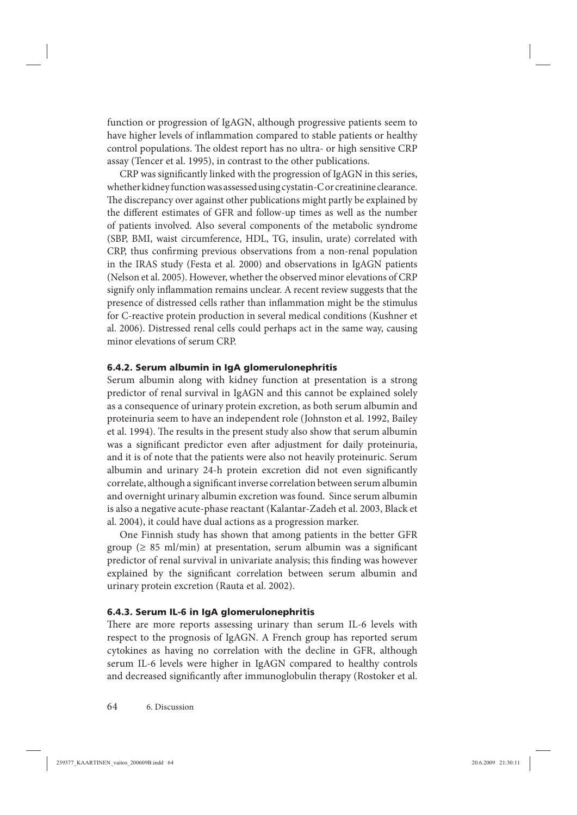function or progression of IgAGN, although progressive patients seem to have higher levels of inflammation compared to stable patients or healthy control populations. The oldest report has no ultra- or high sensitive CRP assay (Tencer et al. 1995), in contrast to the other publications.

CRP was significantly linked with the progression of IgAGN in this series, whether kidney function was assessed using cystatin-C or creatinine clearance. The discrepancy over against other publications might partly be explained by the different estimates of GFR and follow-up times as well as the number of patients involved. Also several components of the metabolic syndrome (SBP, BMI, waist circumference, HDL, TG, insulin, urate) correlated with CRP, thus confirming previous observations from a non-renal population in the IRAS study (Festa et al. 2000) and observations in IgAGN patients (Nelson et al. 2005). However, whether the observed minor elevations of CRP signify only inflammation remains unclear. A recent review suggests that the presence of distressed cells rather than inflammation might be the stimulus for C-reactive protein production in several medical conditions (Kushner et al. 2006). Distressed renal cells could perhaps act in the same way, causing minor elevations of serum CRP.

#### **6.4.2. Serum albumin in IgA glomerulonephritis**

Serum albumin along with kidney function at presentation is a strong predictor of renal survival in IgAGN and this cannot be explained solely as a consequence of urinary protein excretion, as both serum albumin and proteinuria seem to have an independent role (Johnston et al. 1992, Bailey et al. 1994). The results in the present study also show that serum albumin was a significant predictor even after adjustment for daily proteinuria, and it is of note that the patients were also not heavily proteinuric. Serum albumin and urinary 24-h protein excretion did not even significantly correlate, although a significant inverse correlation between serum albumin and overnight urinary albumin excretion was found. Since serum albumin is also a negative acute-phase reactant (Kalantar-Zadeh et al. 2003, Black et al. 2004), it could have dual actions as a progression marker.

One Finnish study has shown that among patients in the better GFR group ( $\geq 85$  ml/min) at presentation, serum albumin was a significant predictor of renal survival in univariate analysis; this finding was however explained by the significant correlation between serum albumin and urinary protein excretion (Rauta et al. 2002).

### **6.4.3. Serum IL-6 in IgA glomerulonephritis**

There are more reports assessing urinary than serum IL-6 levels with respect to the prognosis of IgAGN. A French group has reported serum cytokines as having no correlation with the decline in GFR, although serum IL-6 levels were higher in IgAGN compared to healthy controls and decreased significantly after immunoglobulin therapy (Rostoker et al.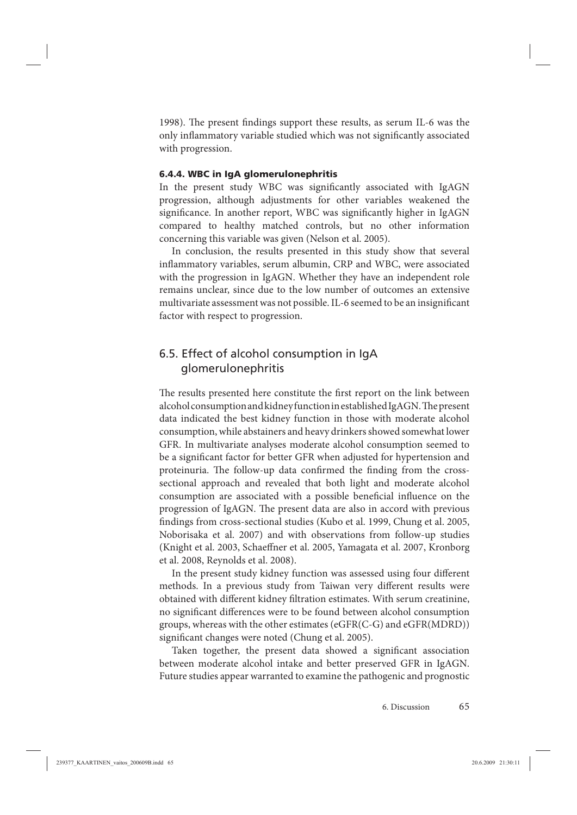1998). The present findings support these results, as serum IL-6 was the only inflammatory variable studied which was not significantly associated with progression.

#### **6.4.4. WBC in IgA glomerulonephritis**

In the present study WBC was significantly associated with IgAGN progression, although adjustments for other variables weakened the significance. In another report, WBC was significantly higher in IgAGN compared to healthy matched controls, but no other information concerning this variable was given (Nelson et al. 2005).

In conclusion, the results presented in this study show that several inflammatory variables, serum albumin, CRP and WBC, were associated with the progression in IgAGN. Whether they have an independent role remains unclear, since due to the low number of outcomes an extensive multivariate assessment was not possible. IL-6 seemed to be an insignificant factor with respect to progression.

## 6.5. Effect of alcohol consumption in IgA glomerulonephritis

The results presented here constitute the first report on the link between alcohol consumption and kidney function in established IgAGN. The present data indicated the best kidney function in those with moderate alcohol consumption, while abstainers and heavy drinkers showed somewhat lower GFR. In multivariate analyses moderate alcohol consumption seemed to be a significant factor for better GFR when adjusted for hypertension and proteinuria. The follow-up data confirmed the finding from the crosssectional approach and revealed that both light and moderate alcohol consumption are associated with a possible beneficial influence on the progression of IgAGN. The present data are also in accord with previous findings from cross-sectional studies (Kubo et al. 1999, Chung et al. 2005, Noborisaka et al. 2007) and with observations from follow-up studies (Knight et al. 2003, Schaeffner et al. 2005, Yamagata et al. 2007, Kronborg et al. 2008, Reynolds et al. 2008).

In the present study kidney function was assessed using four different methods. In a previous study from Taiwan very different results were obtained with different kidney filtration estimates. With serum creatinine, no significant differences were to be found between alcohol consumption groups, whereas with the other estimates (eGFR(C-G) and eGFR(MDRD)) significant changes were noted (Chung et al. 2005).

Taken together, the present data showed a significant association between moderate alcohol intake and better preserved GFR in IgAGN. Future studies appear warranted to examine the pathogenic and prognostic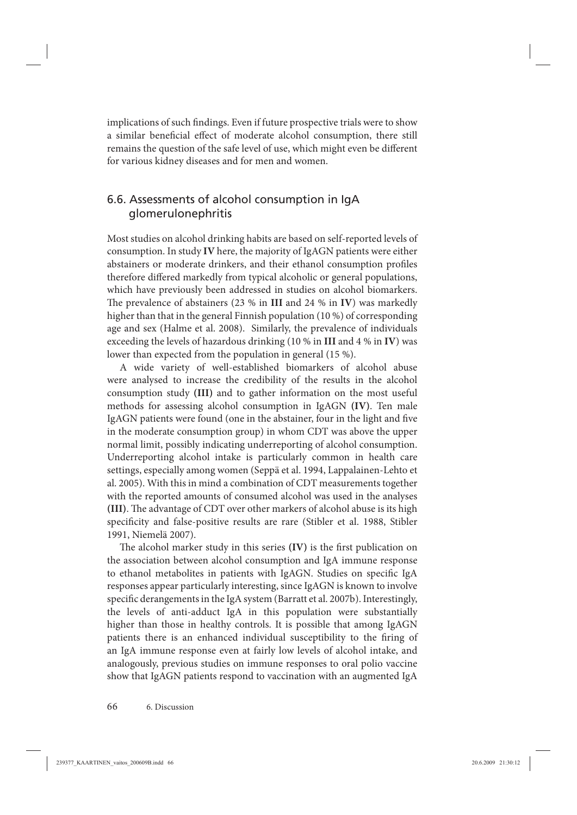implications of such findings. Even if future prospective trials were to show a similar beneficial effect of moderate alcohol consumption, there still remains the question of the safe level of use, which might even be different for various kidney diseases and for men and women.

# 6.6. Assessments of alcohol consumption in IgA glomerulonephritis

Most studies on alcohol drinking habits are based on self-reported levels of consumption. In study **IV** here, the majority of IgAGN patients were either abstainers or moderate drinkers, and their ethanol consumption profiles therefore differed markedly from typical alcoholic or general populations, which have previously been addressed in studies on alcohol biomarkers. The prevalence of abstainers (23 % in **III** and 24 % in **IV**) was markedly higher than that in the general Finnish population (10 %) of corresponding age and sex (Halme et al. 2008). Similarly, the prevalence of individuals exceeding the levels of hazardous drinking (10 % in **III** and 4 % in **IV**) was lower than expected from the population in general (15 %).

A wide variety of well-established biomarkers of alcohol abuse were analysed to increase the credibility of the results in the alcohol consumption study **(III)** and to gather information on the most useful methods for assessing alcohol consumption in IgAGN **(IV)**. Ten male IgAGN patients were found (one in the abstainer, four in the light and five in the moderate consumption group) in whom CDT was above the upper normal limit, possibly indicating underreporting of alcohol consumption. Underreporting alcohol intake is particularly common in health care settings, especially among women (Seppä et al. 1994, Lappalainen-Lehto et al. 2005). With this in mind a combination of CDT measurements together with the reported amounts of consumed alcohol was used in the analyses **(III)**. The advantage of CDT over other markers of alcohol abuse is its high specificity and false-positive results are rare (Stibler et al. 1988, Stibler 1991, Niemelä 2007).

The alcohol marker study in this series (IV) is the first publication on the association between alcohol consumption and IgA immune response to ethanol metabolites in patients with IgAGN. Studies on specific IgA responses appear particularly interesting, since IgAGN is known to involve specific derangements in the IgA system (Barratt et al. 2007b). Interestingly, the levels of anti-adduct IgA in this population were substantially higher than those in healthy controls. It is possible that among IgAGN patients there is an enhanced individual susceptibility to the firing of an IgA immune response even at fairly low levels of alcohol intake, and analogously, previous studies on immune responses to oral polio vaccine show that IgAGN patients respond to vaccination with an augmented IgA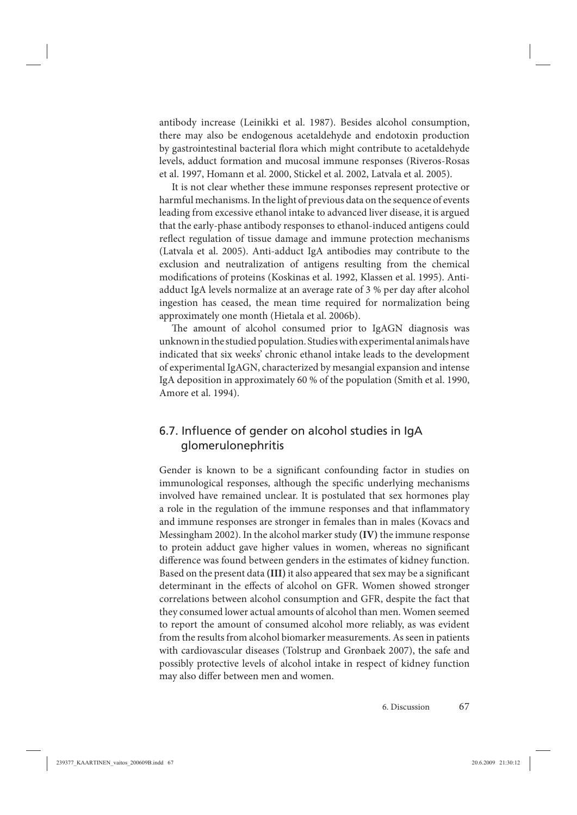antibody increase (Leinikki et al. 1987). Besides alcohol consumption, there may also be endogenous acetaldehyde and endotoxin production by gastrointestinal bacterial flora which might contribute to acetaldehyde levels, adduct formation and mucosal immune responses (Riveros-Rosas et al. 1997, Homann et al. 2000, Stickel et al. 2002, Latvala et al. 2005).

It is not clear whether these immune responses represent protective or harmful mechanisms. In the light of previous data on the sequence of events leading from excessive ethanol intake to advanced liver disease, it is argued that the early-phase antibody responses to ethanol-induced antigens could reflect regulation of tissue damage and immune protection mechanisms (Latvala et al. 2005). Anti-adduct IgA antibodies may contribute to the exclusion and neutralization of antigens resulting from the chemical modifications of proteins (Koskinas et al. 1992, Klassen et al. 1995). Antiadduct IgA levels normalize at an average rate of 3 % per day after alcohol ingestion has ceased, the mean time required for normalization being approximately one month (Hietala et al. 2006b).

The amount of alcohol consumed prior to IgAGN diagnosis was unknown in the studied population. Studies with experimental animals have indicated that six weeks' chronic ethanol intake leads to the development of experimental IgAGN, characterized by mesangial expansion and intense IgA deposition in approximately 60 % of the population (Smith et al. 1990, Amore et al. 1994).

# 6.7. Influence of gender on alcohol studies in IgA glomerulonephritis

Gender is known to be a significant confounding factor in studies on immunological responses, although the specific underlying mechanisms involved have remained unclear. It is postulated that sex hormones play a role in the regulation of the immune responses and that inflammatory and immune responses are stronger in females than in males (Kovacs and Messingham 2002). In the alcohol marker study **(IV)** the immune response to protein adduct gave higher values in women, whereas no significant difference was found between genders in the estimates of kidney function. Based on the present data **(III)** it also appeared that sex may be a significant determinant in the effects of alcohol on GFR. Women showed stronger correlations between alcohol consumption and GFR, despite the fact that they consumed lower actual amounts of alcohol than men. Women seemed to report the amount of consumed alcohol more reliably, as was evident from the results from alcohol biomarker measurements. As seen in patients with cardiovascular diseases (Tolstrup and Grønbaek 2007), the safe and possibly protective levels of alcohol intake in respect of kidney function may also differ between men and women.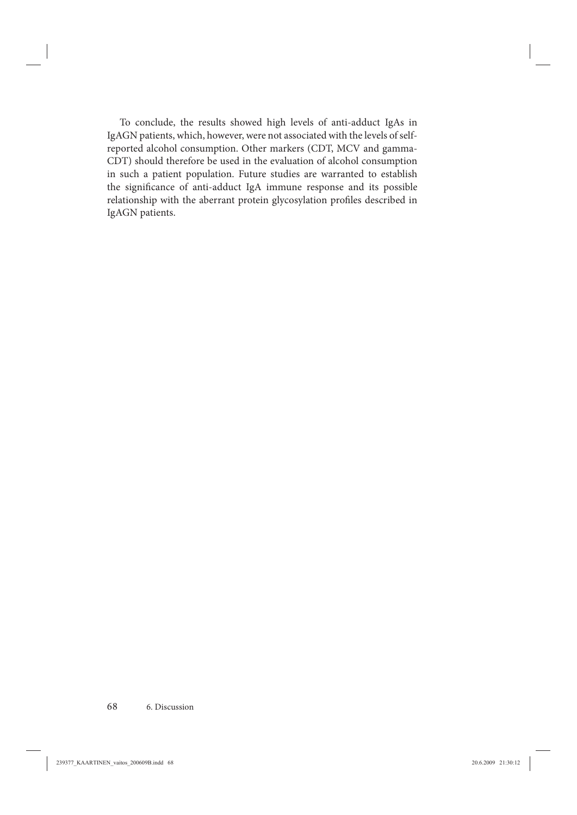To conclude, the results showed high levels of anti-adduct IgAs in IgAGN patients, which, however, were not associated with the levels of selfreported alcohol consumption. Other markers (CDT, MCV and gamma-CDT) should therefore be used in the evaluation of alcohol consumption in such a patient population. Future studies are warranted to establish the significance of anti-adduct IgA immune response and its possible relationship with the aberrant protein glycosylation profiles described in IgAGN patients.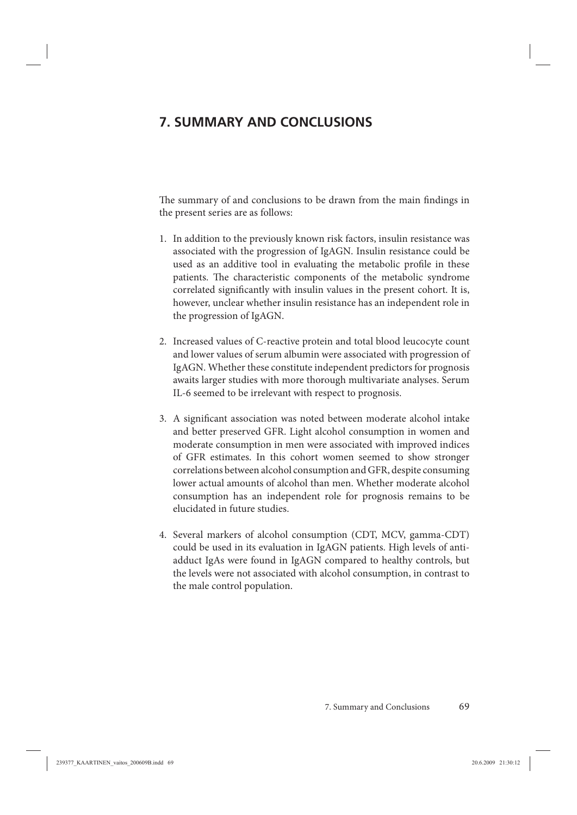# **7. SUMMARY AND CONCLUSIONS**

The summary of and conclusions to be drawn from the main findings in the present series are as follows:

- 1. In addition to the previously known risk factors, insulin resistance was associated with the progression of IgAGN. Insulin resistance could be used as an additive tool in evaluating the metabolic profile in these patients. The characteristic components of the metabolic syndrome correlated significantly with insulin values in the present cohort. It is, however, unclear whether insulin resistance has an independent role in the progression of IgAGN.
- 2. Increased values of C-reactive protein and total blood leucocyte count and lower values of serum albumin were associated with progression of IgAGN. Whether these constitute independent predictors for prognosis awaits larger studies with more thorough multivariate analyses. Serum IL-6 seemed to be irrelevant with respect to prognosis.
- 3. A significant association was noted between moderate alcohol intake and better preserved GFR. Light alcohol consumption in women and moderate consumption in men were associated with improved indices of GFR estimates. In this cohort women seemed to show stronger correlations between alcohol consumption and GFR, despite consuming lower actual amounts of alcohol than men. Whether moderate alcohol consumption has an independent role for prognosis remains to be elucidated in future studies.
- 4. Several markers of alcohol consumption (CDT, MCV, gamma-CDT) could be used in its evaluation in IgAGN patients. High levels of antiadduct IgAs were found in IgAGN compared to healthy controls, but the levels were not associated with alcohol consumption, in contrast to the male control population.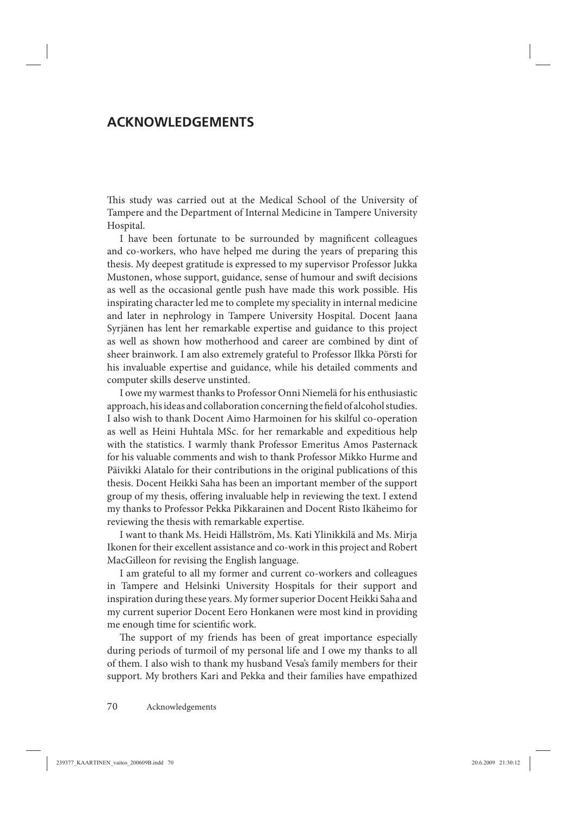# **ACKNOWLEDGEMENTS**

This study was carried out at the Medical School of the University of Tampere and the Department of Internal Medicine in Tampere University Hospital.

I have been fortunate to be surrounded by magnificent colleagues and co-workers, who have helped me during the years of preparing this thesis. My deepest gratitude is expressed to my supervisor Professor Jukka Mustonen, whose support, guidance, sense of humour and swift decisions as well as the occasional gentle push have made this work possible. His inspirating character led me to complete my speciality in internal medicine and later in nephrology in Tampere University Hospital. Docent Jaana Syrjänen has lent her remarkable expertise and guidance to this project as well as shown how motherhood and career are combined by dint of sheer brainwork. I am also extremely grateful to Professor Ilkka Pörsti for his invaluable expertise and guidance, while his detailed comments and computer skills deserve unstinted.

I owe my warmest thanks to Professor Onni Niemelä for his enthusiastic approach, his ideas and collaboration concerning the field of alcohol studies. I also wish to thank Docent Aimo Harmoinen for his skilful co-operation as well as Heini Huhtala MSc. for her remarkable and expeditious help with the statistics. I warmly thank Professor Emeritus Amos Pasternack for his valuable comments and wish to thank Professor Mikko Hurme and Päivikki Alatalo for their contributions in the original publications of this thesis. Docent Heikki Saha has been an important member of the support group of my thesis, offering invaluable help in reviewing the text. I extend my thanks to Professor Pekka Pikkarainen and Docent Risto Ikäheimo for reviewing the thesis with remarkable expertise.

I want to thank Ms. Heidi Hällström, Ms. Kati Ylinikkilä and Ms. Mirja Ikonen for their excellent assistance and co-work in this project and Robert MacGilleon for revising the English language.

I am grateful to all my former and current co-workers and colleagues in Tampere and Helsinki University Hospitals for their support and inspiration during these years. My former superior Docent Heikki Saha and my current superior Docent Eero Honkanen were most kind in providing me enough time for scientific work.

The support of my friends has been of great importance especially during periods of turmoil of my personal life and I owe my thanks to all of them. I also wish to thank my husband Vesa's family members for their support. My brothers Kari and Pekka and their families have empathized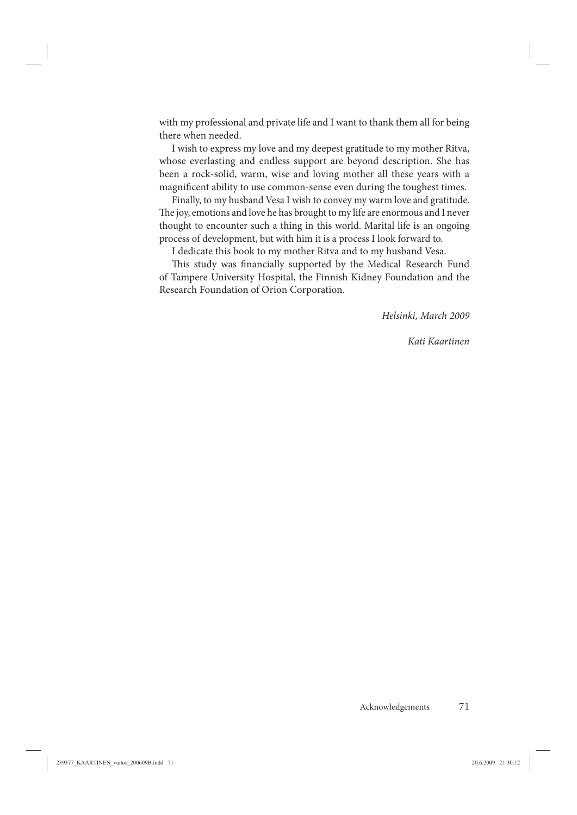with my professional and private life and I want to thank them all for being there when needed.

I wish to express my love and my deepest gratitude to my mother Ritva, whose everlasting and endless support are beyond description. She has been a rock-solid, warm, wise and loving mother all these years with a magnificent ability to use common-sense even during the toughest times.

Finally, to my husband Vesa I wish to convey my warm love and gratitude. The joy, emotions and love he has brought to my life are enormous and I never thought to encounter such a thing in this world. Marital life is an ongoing process of development, but with him it is a process I look forward to.

I dedicate this book to my mother Ritva and to my husband Vesa.

This study was financially supported by the Medical Research Fund of Tampere University Hospital, the Finnish Kidney Foundation and the Research Foundation of Orion Corporation.

*Helsinki, March 2009*

*Kati Kaartinen*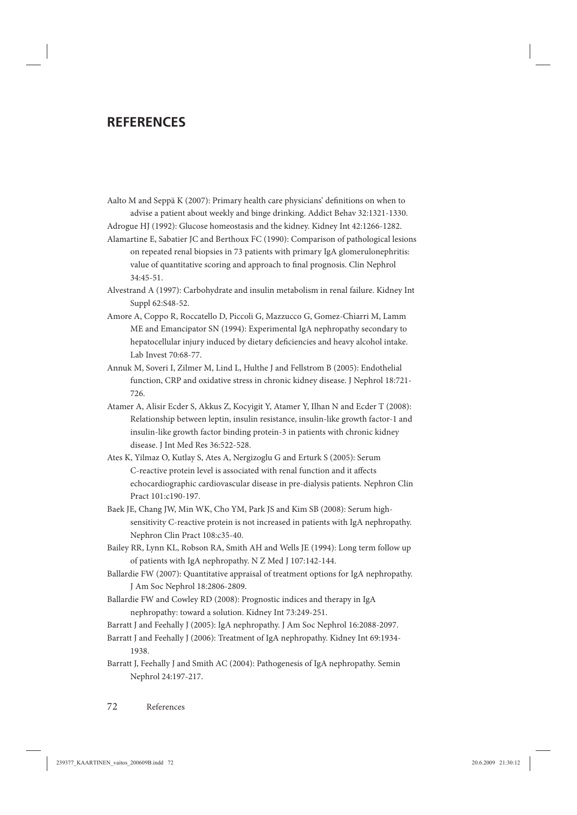# **REFERENCES**

Aalto M and Seppä  $K(2007)$ : Primary health care physicians' definitions on when to advise a patient about weekly and binge drinking. Addict Behav 32:1321-1330.

Adrogue HJ (1992): Glucose homeostasis and the kidney. Kidney Int 42:1266-1282.

- Alamartine E, Sabatier JC and Berthoux FC (1990): Comparison of pathological lesions on repeated renal biopsies in 73 patients with primary IgA glomerulonephritis: value of quantitative scoring and approach to final prognosis. Clin Nephrol 34:45-51.
- Alvestrand A (1997): Carbohydrate and insulin metabolism in renal failure. Kidney Int Suppl 62:S48-52.
- Amore A, Coppo R, Roccatello D, Piccoli G, Mazzucco G, Gomez-Chiarri M, Lamm ME and Emancipator SN (1994): Experimental IgA nephropathy secondary to hepatocellular injury induced by dietary deficiencies and heavy alcohol intake. Lab Invest 70:68-77.
- Annuk M, Soveri I, Zilmer M, Lind L, Hulthe J and Fellstrom B (2005): Endothelial function, CRP and oxidative stress in chronic kidney disease. J Nephrol 18:721- 726.
- Atamer A, Alisir Ecder S, Akkus Z, Kocyigit Y, Atamer Y, Ilhan N and Ecder T (2008): Relationship between leptin, insulin resistance, insulin-like growth factor-1 and insulin-like growth factor binding protein-3 in patients with chronic kidney disease. J Int Med Res 36:522-528.
- Ates K, Yilmaz O, Kutlay S, Ates A, Nergizoglu G and Erturk S (2005): Serum C-reactive protein level is associated with renal function and it affects echocardiographic cardiovascular disease in pre-dialysis patients. Nephron Clin Pract 101:c190-197.
- Baek JE, Chang JW, Min WK, Cho YM, Park JS and Kim SB (2008): Serum highsensitivity C-reactive protein is not increased in patients with IgA nephropathy. Nephron Clin Pract 108:c35-40.
- Bailey RR, Lynn KL, Robson RA, Smith AH and Wells JE (1994): Long term follow up of patients with IgA nephropathy. N Z Med J 107:142-144.
- Ballardie FW (2007): Quantitative appraisal of treatment options for IgA nephropathy. J Am Soc Nephrol 18:2806-2809.
- Ballardie FW and Cowley RD (2008): Prognostic indices and therapy in IgA nephropathy: toward a solution. Kidney Int 73:249-251.
- Barratt J and Feehally J (2005): IgA nephropathy. J Am Soc Nephrol 16:2088-2097.
- Barratt J and Feehally J (2006): Treatment of IgA nephropathy. Kidney Int 69:1934- 1938.
- Barratt J, Feehally J and Smith AC (2004): Pathogenesis of IgA nephropathy. Semin Nephrol 24:197-217.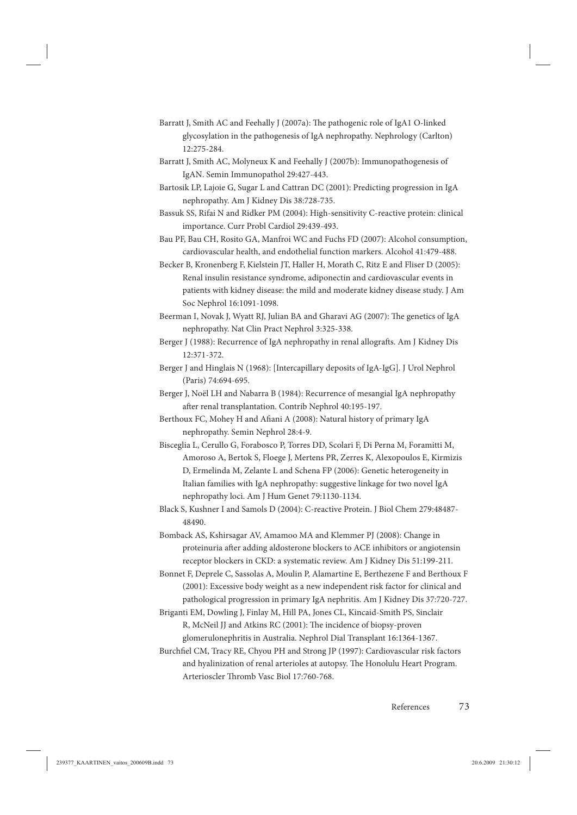- Barratt J, Smith AC and Feehally J (2007a): The pathogenic role of IgA1 O-linked glycosylation in the pathogenesis of IgA nephropathy. Nephrology (Carlton) 12:275-284.
- Barratt J, Smith AC, Molyneux K and Feehally J (2007b): Immunopathogenesis of IgAN. Semin Immunopathol 29:427-443.
- Bartosik LP, Lajoie G, Sugar L and Cattran DC (2001): Predicting progression in IgA nephropathy. Am J Kidney Dis 38:728-735.
- Bassuk SS, Rifai N and Ridker PM (2004): High-sensitivity C-reactive protein: clinical importance. Curr Probl Cardiol 29:439-493.
- Bau PF, Bau CH, Rosito GA, Manfroi WC and Fuchs FD (2007): Alcohol consumption, cardiovascular health, and endothelial function markers. Alcohol 41:479-488.
- Becker B, Kronenberg F, Kielstein JT, Haller H, Morath C, Ritz E and Fliser D (2005): Renal insulin resistance syndrome, adiponectin and cardiovascular events in patients with kidney disease: the mild and moderate kidney disease study. J Am Soc Nephrol 16:1091-1098.
- Beerman I, Novak J, Wyatt RJ, Julian BA and Gharavi AG (2007): The genetics of IgA nephropathy. Nat Clin Pract Nephrol 3:325-338.
- Berger J (1988): Recurrence of IgA nephropathy in renal allografts. Am J Kidney Dis 12:371-372.
- Berger J and Hinglais N (1968): [Intercapillary deposits of IgA-IgG]. J Urol Nephrol (Paris) 74:694-695.
- Berger J, Noël LH and Nabarra B (1984): Recurrence of mesangial IgA nephropathy after renal transplantation. Contrib Nephrol 40:195-197.
- Berthoux FC, Mohey H and Afiani A (2008): Natural history of primary IgA nephropathy. Semin Nephrol 28:4-9.
- Bisceglia L, Cerullo G, Forabosco P, Torres DD, Scolari F, Di Perna M, Foramitti M, Amoroso A, Bertok S, Floege J, Mertens PR, Zerres K, Alexopoulos E, Kirmizis D, Ermelinda M, Zelante L and Schena FP (2006): Genetic heterogeneity in Italian families with IgA nephropathy: suggestive linkage for two novel IgA nephropathy loci. Am J Hum Genet 79:1130-1134.
- Black S, Kushner I and Samols D (2004): C-reactive Protein. J Biol Chem 279:48487- 48490.

Bomback AS, Kshirsagar AV, Amamoo MA and Klemmer PJ (2008): Change in proteinuria after adding aldosterone blockers to ACE inhibitors or angiotensin receptor blockers in CKD: a systematic review. Am J Kidney Dis 51:199-211.

Bonnet F, Deprele C, Sassolas A, Moulin P, Alamartine E, Berthezene F and Berthoux F (2001): Excessive body weight as a new independent risk factor for clinical and pathological progression in primary IgA nephritis. Am J Kidney Dis 37:720-727.

- Briganti EM, Dowling J, Finlay M, Hill PA, Jones CL, Kincaid-Smith PS, Sinclair R, McNeil JJ and Atkins RC (2001): The incidence of biopsy-proven glomerulonephritis in Australia. Nephrol Dial Transplant 16:1364-1367.
- Burchfiel CM, Tracy RE, Chyou PH and Strong JP (1997): Cardiovascular risk factors and hyalinization of renal arterioles at autopsy. The Honolulu Heart Program. Arterioscler Thromb Vasc Biol 17:760-768.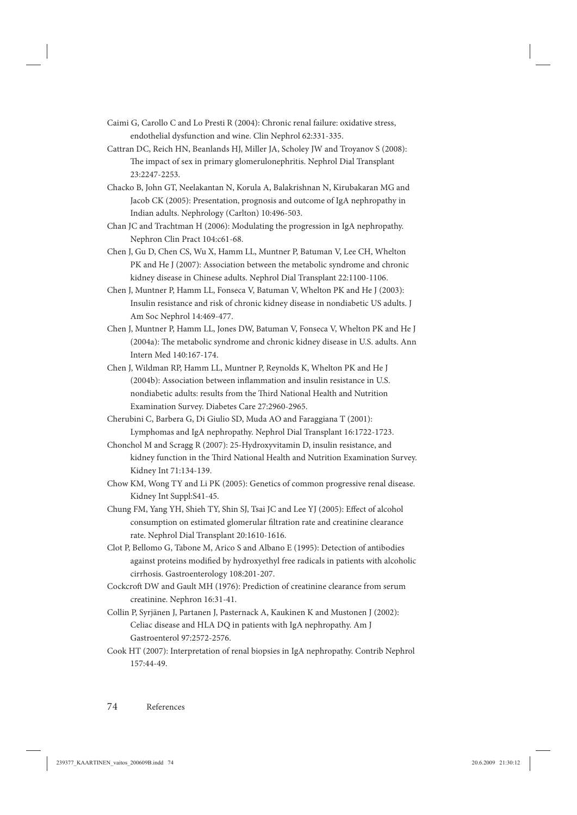- Caimi G, Carollo C and Lo Presti R (2004): Chronic renal failure: oxidative stress, endothelial dysfunction and wine. Clin Nephrol 62:331-335.
- Cattran DC, Reich HN, Beanlands HJ, Miller JA, Scholey JW and Troyanov S (2008): The impact of sex in primary glomerulonephritis. Nephrol Dial Transplant 23:2247-2253.
- Chacko B, John GT, Neelakantan N, Korula A, Balakrishnan N, Kirubakaran MG and Jacob CK (2005): Presentation, prognosis and outcome of IgA nephropathy in Indian adults. Nephrology (Carlton) 10:496-503.
- Chan JC and Trachtman H (2006): Modulating the progression in IgA nephropathy. Nephron Clin Pract 104:c61-68.
- Chen J, Gu D, Chen CS, Wu X, Hamm LL, Muntner P, Batuman V, Lee CH, Whelton PK and He J (2007): Association between the metabolic syndrome and chronic kidney disease in Chinese adults. Nephrol Dial Transplant 22:1100-1106.
- Chen J, Muntner P, Hamm LL, Fonseca V, Batuman V, Whelton PK and He J (2003): Insulin resistance and risk of chronic kidney disease in nondiabetic US adults. J Am Soc Nephrol 14:469-477.
- Chen J, Muntner P, Hamm LL, Jones DW, Batuman V, Fonseca V, Whelton PK and He J  $(2004a)$ : The metabolic syndrome and chronic kidney disease in U.S. adults. Ann Intern Med 140:167-174.
- Chen J, Wildman RP, Hamm LL, Muntner P, Reynolds K, Whelton PK and He J (2004b): Association between inflammation and insulin resistance in U.S. nondiabetic adults: results from the Third National Health and Nutrition Examination Survey. Diabetes Care 27:2960-2965.
- Cherubini C, Barbera G, Di Giulio SD, Muda AO and Faraggiana T (2001): Lymphomas and IgA nephropathy. Nephrol Dial Transplant 16:1722-1723.
- Chonchol M and Scragg R (2007): 25-Hydroxyvitamin D, insulin resistance, and kidney function in the Third National Health and Nutrition Examination Survey. Kidney Int 71:134-139.
- Chow KM, Wong TY and Li PK (2005): Genetics of common progressive renal disease. Kidney Int Suppl:S41-45.
- Chung FM, Yang YH, Shieh TY, Shin SJ, Tsai JC and Lee YJ (2005): Effect of alcohol consumption on estimated glomerular filtration rate and creatinine clearance rate. Nephrol Dial Transplant 20:1610-1616.
- Clot P, Bellomo G, Tabone M, Arico S and Albano E (1995): Detection of antibodies against proteins modified by hydroxyethyl free radicals in patients with alcoholic cirrhosis. Gastroenterology 108:201-207.
- Cockcroft DW and Gault MH (1976): Prediction of creatinine clearance from serum creatinine. Nephron 16:31-41.
- Collin P, Syrjänen J, Partanen J, Pasternack A, Kaukinen K and Mustonen J (2002): Celiac disease and HLA DQ in patients with IgA nephropathy. Am J Gastroenterol 97:2572-2576.
- Cook HT (2007): Interpretation of renal biopsies in IgA nephropathy. Contrib Nephrol 157:44-49.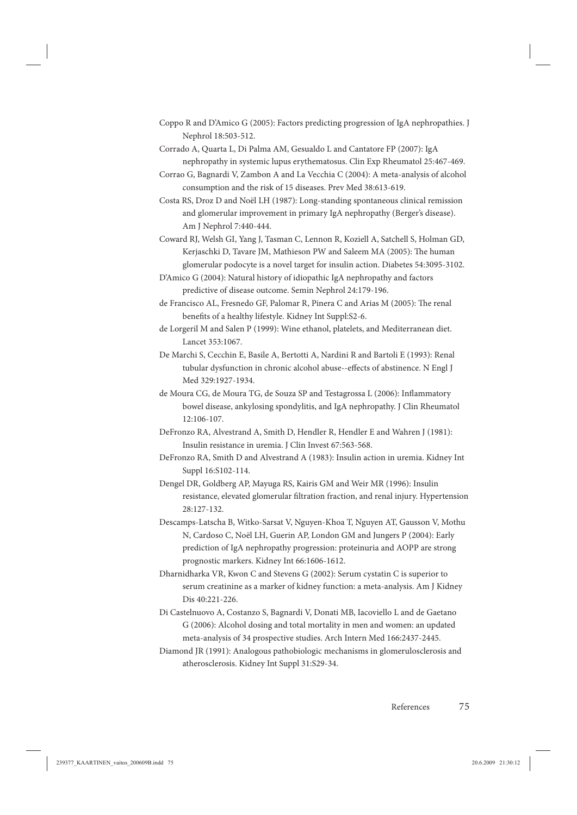- Coppo R and D'Amico G (2005): Factors predicting progression of IgA nephropathies. J Nephrol 18:503-512.
- Corrado A, Quarta L, Di Palma AM, Gesualdo L and Cantatore FP (2007): IgA nephropathy in systemic lupus erythematosus. Clin Exp Rheumatol 25:467-469.
- Corrao G, Bagnardi V, Zambon A and La Vecchia C (2004): A meta-analysis of alcohol consumption and the risk of 15 diseases. Prev Med 38:613-619.
- Costa RS, Droz D and Noël LH (1987): Long-standing spontaneous clinical remission and glomerular improvement in primary IgA nephropathy (Berger's disease). Am J Nephrol 7:440-444.
- Coward RJ, Welsh GI, Yang J, Tasman C, Lennon R, Koziell A, Satchell S, Holman GD, Kerjaschki D, Tavare JM, Mathieson PW and Saleem MA (2005): The human glomerular podocyte is a novel target for insulin action. Diabetes 54:3095-3102.
- D'Amico G (2004): Natural history of idiopathic IgA nephropathy and factors predictive of disease outcome. Semin Nephrol 24:179-196.
- de Francisco AL, Fresnedo GF, Palomar R, Pinera C and Arias M (2005): The renal benefits of a healthy lifestyle. Kidney Int Suppl:S2-6.
- de Lorgeril M and Salen P (1999): Wine ethanol, platelets, and Mediterranean diet. Lancet 353:1067.
- De Marchi S, Cecchin E, Basile A, Bertotti A, Nardini R and Bartoli E (1993): Renal tubular dysfunction in chronic alcohol abuse--effects of abstinence. N Engl J Med 329:1927-1934.
- de Moura CG, de Moura TG, de Souza SP and Testagrossa L (2006): Inflammatory bowel disease, ankylosing spondylitis, and IgA nephropathy. J Clin Rheumatol 12:106-107.
- DeFronzo RA, Alvestrand A, Smith D, Hendler R, Hendler E and Wahren J (1981): Insulin resistance in uremia. J Clin Invest 67:563-568.
- DeFronzo RA, Smith D and Alvestrand A (1983): Insulin action in uremia. Kidney Int Suppl 16:S102-114.
- Dengel DR, Goldberg AP, Mayuga RS, Kairis GM and Weir MR (1996): Insulin resistance, elevated glomerular filtration fraction, and renal injury. Hypertension 28:127-132.
- Descamps-Latscha B, Witko-Sarsat V, Nguyen-Khoa T, Nguyen AT, Gausson V, Mothu N, Cardoso C, Noël LH, Guerin AP, London GM and Jungers P (2004): Early prediction of IgA nephropathy progression: proteinuria and AOPP are strong prognostic markers. Kidney Int 66:1606-1612.
- Dharnidharka VR, Kwon C and Stevens G (2002): Serum cystatin C is superior to serum creatinine as a marker of kidney function: a meta-analysis. Am J Kidney Dis 40:221-226.
- Di Castelnuovo A, Costanzo S, Bagnardi V, Donati MB, Iacoviello L and de Gaetano G (2006): Alcohol dosing and total mortality in men and women: an updated meta-analysis of 34 prospective studies. Arch Intern Med 166:2437-2445.
- Diamond JR (1991): Analogous pathobiologic mechanisms in glomerulosclerosis and atherosclerosis. Kidney Int Suppl 31:S29-34.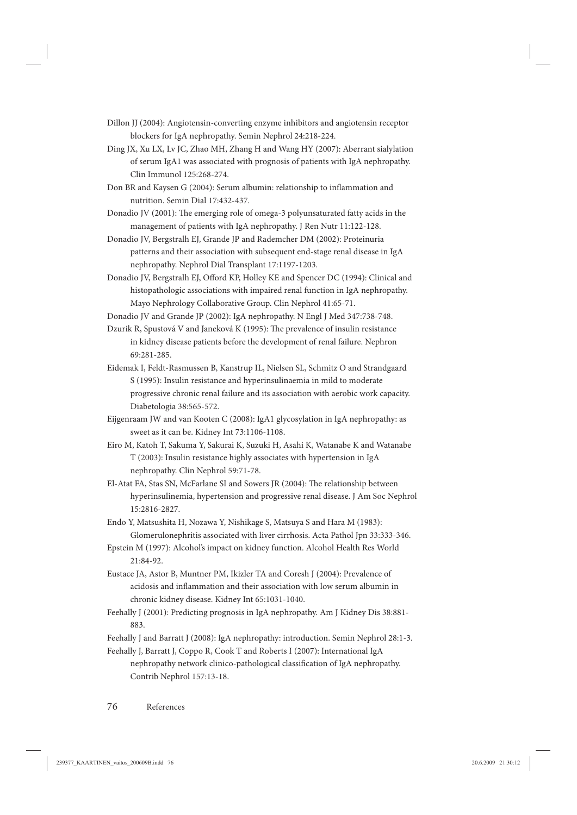- Dillon JJ (2004): Angiotensin-converting enzyme inhibitors and angiotensin receptor blockers for IgA nephropathy. Semin Nephrol 24:218-224.
- Ding JX, Xu LX, Lv JC, Zhao MH, Zhang H and Wang HY (2007): Aberrant sialylation of serum IgA1 was associated with prognosis of patients with IgA nephropathy. Clin Immunol 125:268-274.
- Don BR and Kaysen G (2004): Serum albumin: relationship to inflammation and nutrition. Semin Dial 17:432-437.
- Donadio JV (2001): The emerging role of omega-3 polyunsaturated fatty acids in the management of patients with IgA nephropathy. J Ren Nutr 11:122-128.
- Donadio JV, Bergstralh EJ, Grande JP and Rademcher DM (2002): Proteinuria patterns and their association with subsequent end-stage renal disease in IgA nephropathy. Nephrol Dial Transplant 17:1197-1203.
- Donadio JV, Bergstralh EJ, Offord KP, Holley KE and Spencer DC (1994): Clinical and histopathologic associations with impaired renal function in IgA nephropathy. Mayo Nephrology Collaborative Group. Clin Nephrol 41:65-71.
- Donadio JV and Grande JP (2002): IgA nephropathy. N Engl J Med 347:738-748.
- Dzurik R, Spustová V and Janeková K (1995): The prevalence of insulin resistance in kidney disease patients before the development of renal failure. Nephron 69:281-285.
- Eidemak I, Feldt-Rasmussen B, Kanstrup IL, Nielsen SL, Schmitz O and Strandgaard S (1995): Insulin resistance and hyperinsulinaemia in mild to moderate progressive chronic renal failure and its association with aerobic work capacity. Diabetologia 38:565-572.
- Eijgenraam JW and van Kooten C (2008): IgA1 glycosylation in IgA nephropathy: as sweet as it can be. Kidney Int 73:1106-1108.
- Eiro M, Katoh T, Sakuma Y, Sakurai K, Suzuki H, Asahi K, Watanabe K and Watanabe T (2003): Insulin resistance highly associates with hypertension in IgA nephropathy. Clin Nephrol 59:71-78.
- El-Atat FA, Stas SN, McFarlane SI and Sowers JR (2004): The relationship between hyperinsulinemia, hypertension and progressive renal disease. J Am Soc Nephrol 15:2816-2827.
- Endo Y, Matsushita H, Nozawa Y, Nishikage S, Matsuya S and Hara M (1983): Glomerulonephritis associated with liver cirrhosis. Acta Pathol Jpn 33:333-346.
- Epstein M (1997): Alcohol's impact on kidney function. Alcohol Health Res World 21:84-92.
- Eustace JA, Astor B, Muntner PM, Ikizler TA and Coresh J (2004): Prevalence of acidosis and inflammation and their association with low serum albumin in chronic kidney disease. Kidney Int 65:1031-1040.
- Feehally J (2001): Predicting prognosis in IgA nephropathy. Am J Kidney Dis 38:881- 883.
- Feehally J and Barratt J (2008): IgA nephropathy: introduction. Semin Nephrol 28:1-3.
- Feehally J, Barratt J, Coppo R, Cook T and Roberts I (2007): International IgA nephropathy network clinico-pathological classification of IgA nephropathy. Contrib Nephrol 157:13-18.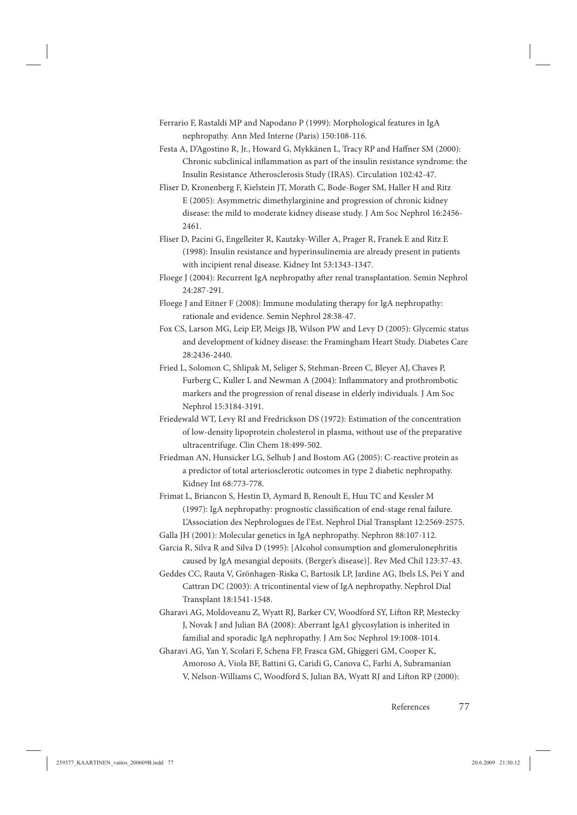- Ferrario F, Rastaldi MP and Napodano P (1999): Morphological features in IgA nephropathy. Ann Med Interne (Paris) 150:108-116.
- Festa A, D'Agostino R, Jr., Howard G, Mykkänen L, Tracy RP and Haffner SM (2000): Chronic subclinical inflammation as part of the insulin resistance syndrome: the Insulin Resistance Atherosclerosis Study (IRAS). Circulation 102:42-47.
- Fliser D, Kronenberg F, Kielstein JT, Morath C, Bode-Boger SM, Haller H and Ritz E (2005): Asymmetric dimethylarginine and progression of chronic kidney disease: the mild to moderate kidney disease study. J Am Soc Nephrol 16:2456- 2461.
- Fliser D, Pacini G, Engelleiter R, Kautzky-Willer A, Prager R, Franek E and Ritz E (1998): Insulin resistance and hyperinsulinemia are already present in patients with incipient renal disease. Kidney Int 53:1343-1347.
- Floege J (2004): Recurrent IgA nephropathy after renal transplantation. Semin Nephrol 24:287-291.
- Floege J and Eitner F (2008): Immune modulating therapy for IgA nephropathy: rationale and evidence. Semin Nephrol 28:38-47.
- Fox CS, Larson MG, Leip EP, Meigs JB, Wilson PW and Levy D (2005): Glycemic status and development of kidney disease: the Framingham Heart Study. Diabetes Care 28:2436-2440.
- Fried L, Solomon C, Shlipak M, Seliger S, Stehman-Breen C, Bleyer AJ, Chaves P, Furberg C, Kuller L and Newman A (2004): Inflammatory and prothrombotic markers and the progression of renal disease in elderly individuals. J Am Soc Nephrol 15:3184-3191.
- Friedewald WT, Levy RI and Fredrickson DS (1972): Estimation of the concentration of low-density lipoprotein cholesterol in plasma, without use of the preparative ultracentrifuge. Clin Chem 18:499-502.
- Friedman AN, Hunsicker LG, Selhub J and Bostom AG (2005): C-reactive protein as a predictor of total arteriosclerotic outcomes in type 2 diabetic nephropathy. Kidney Int 68:773-778.
- Frimat L, Briancon S, Hestin D, Aymard B, Renoult E, Huu TC and Kessler M  $(1997)$ : IgA nephropathy: prognostic classification of end-stage renal failure. L'Association des Nephrologues de l'Est. Nephrol Dial Transplant 12:2569-2575.
- Galla JH (2001): Molecular genetics in IgA nephropathy. Nephron 88:107-112.
- Garcia R, Silva R and Silva D (1995): [Alcohol consumption and glomerulonephritis caused by IgA mesangial deposits. (Berger's disease)]. Rev Med Chil 123:37-43.
- Geddes CC, Rauta V, Grönhagen-Riska C, Bartosik LP, Jardine AG, Ibels LS, Pei Y and Cattran DC (2003): A tricontinental view of IgA nephropathy. Nephrol Dial Transplant 18:1541-1548.
- Gharavi AG, Moldoveanu Z, Wyatt RJ, Barker CV, Woodford SY, Lifton RP, Mestecky J, Novak J and Julian BA (2008): Aberrant IgA1 glycosylation is inherited in familial and sporadic IgA nephropathy. J Am Soc Nephrol 19:1008-1014.
- Gharavi AG, Yan Y, Scolari F, Schena FP, Frasca GM, Ghiggeri GM, Cooper K, Amoroso A, Viola BF, Battini G, Caridi G, Canova C, Farhi A, Subramanian V, Nelson-Williams C, Woodford S, Julian BA, Wyatt RJ and Lifton RP (2000):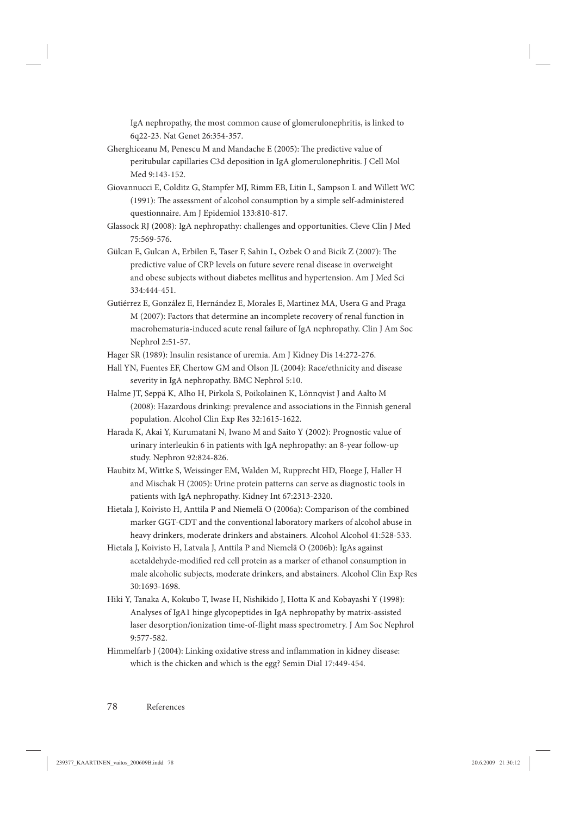IgA nephropathy, the most common cause of glomerulonephritis, is linked to 6q22-23. Nat Genet 26:354-357.

- Gherghiceanu M, Penescu M and Mandache E (2005): The predictive value of peritubular capillaries C3d deposition in IgA glomerulonephritis. J Cell Mol Med 9:143-152.
- Giovannucci E, Colditz G, Stampfer MJ, Rimm EB, Litin L, Sampson L and Willett WC (1991): The assessment of alcohol consumption by a simple self-administered questionnaire. Am J Epidemiol 133:810-817.
- Glassock RJ (2008): IgA nephropathy: challenges and opportunities. Cleve Clin J Med 75:569-576.
- Gülcan E, Gulcan A, Erbilen E, Taser F, Sahin L, Ozbek O and Bicik Z (2007): The predictive value of CRP levels on future severe renal disease in overweight and obese subjects without diabetes mellitus and hypertension. Am J Med Sci 334:444-451.
- Gutiérrez E, González E, Hernández E, Morales E, Martinez MA, Usera G and Praga M (2007): Factors that determine an incomplete recovery of renal function in macrohematuria-induced acute renal failure of IgA nephropathy. Clin J Am Soc Nephrol 2:51-57.
- Hager SR (1989): Insulin resistance of uremia. Am J Kidney Dis 14:272-276.
- Hall YN, Fuentes EF, Chertow GM and Olson JL (2004): Race/ethnicity and disease severity in IgA nephropathy. BMC Nephrol 5:10.
- Halme JT, Seppä K, Alho H, Pirkola S, Poikolainen K, Lönnqvist J and Aalto M (2008): Hazardous drinking: prevalence and associations in the Finnish general population. Alcohol Clin Exp Res 32:1615-1622.
- Harada K, Akai Y, Kurumatani N, Iwano M and Saito Y (2002): Prognostic value of urinary interleukin 6 in patients with IgA nephropathy: an 8-year follow-up study. Nephron 92:824-826.
- Haubitz M, Wittke S, Weissinger EM, Walden M, Rupprecht HD, Floege J, Haller H and Mischak H (2005): Urine protein patterns can serve as diagnostic tools in patients with IgA nephropathy. Kidney Int 67:2313-2320.
- Hietala J, Koivisto H, Anttila P and Niemelä O (2006a): Comparison of the combined marker GGT-CDT and the conventional laboratory markers of alcohol abuse in heavy drinkers, moderate drinkers and abstainers. Alcohol Alcohol 41:528-533.
- Hietala J, Koivisto H, Latvala J, Anttila P and Niemelä O (2006b): IgAs against acetaldehyde-modified red cell protein as a marker of ethanol consumption in male alcoholic subjects, moderate drinkers, and abstainers. Alcohol Clin Exp Res 30:1693-1698.
- Hiki Y, Tanaka A, Kokubo T, Iwase H, Nishikido J, Hotta K and Kobayashi Y (1998): Analyses of IgA1 hinge glycopeptides in IgA nephropathy by matrix-assisted laser desorption/ionization time-of-flight mass spectrometry. J Am Soc Nephrol 9:577-582.
- Himmelfarb J (2004): Linking oxidative stress and inflammation in kidney disease: which is the chicken and which is the egg? Semin Dial 17:449-454.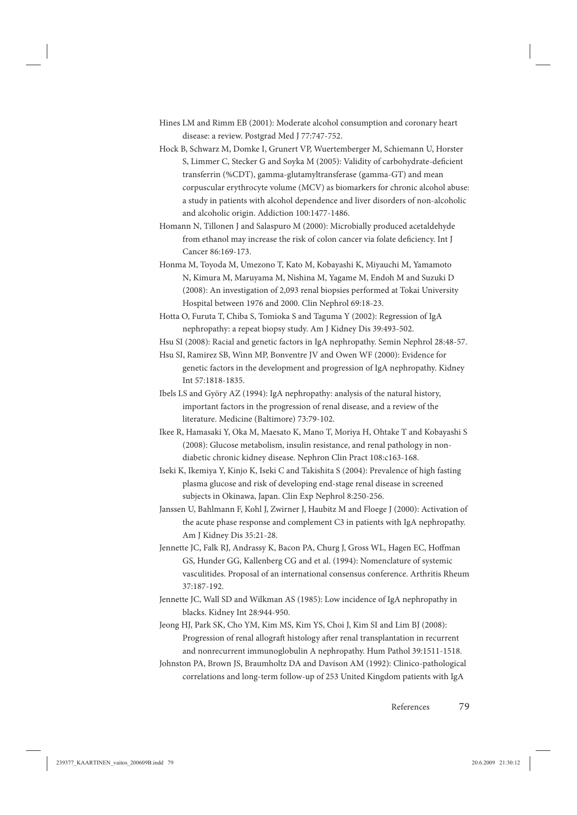- Hines LM and Rimm EB (2001): Moderate alcohol consumption and coronary heart disease: a review. Postgrad Med J 77:747-752.
- Hock B, Schwarz M, Domke I, Grunert VP, Wuertemberger M, Schiemann U, Horster S, Limmer C, Stecker G and Soyka M (2005): Validity of carbohydrate-deficient transferrin (%CDT), gamma-glutamyltransferase (gamma-GT) and mean corpuscular erythrocyte volume (MCV) as biomarkers for chronic alcohol abuse: a study in patients with alcohol dependence and liver disorders of non-alcoholic and alcoholic origin. Addiction 100:1477-1486.
- Homann N, Tillonen J and Salaspuro M (2000): Microbially produced acetaldehyde from ethanol may increase the risk of colon cancer via folate deficiency. Int J Cancer 86:169-173.
- Honma M, Toyoda M, Umezono T, Kato M, Kobayashi K, Miyauchi M, Yamamoto N, Kimura M, Maruyama M, Nishina M, Yagame M, Endoh M and Suzuki D (2008): An investigation of 2,093 renal biopsies performed at Tokai University Hospital between 1976 and 2000. Clin Nephrol 69:18-23.
- Hotta O, Furuta T, Chiba S, Tomioka S and Taguma Y (2002): Regression of IgA nephropathy: a repeat biopsy study. Am J Kidney Dis 39:493-502.
- Hsu SI (2008): Racial and genetic factors in IgA nephropathy. Semin Nephrol 28:48-57.
- Hsu SI, Ramirez SB, Winn MP, Bonventre JV and Owen WF (2000): Evidence for genetic factors in the development and progression of IgA nephropathy. Kidney Int 57:1818-1835.
- Ibels LS and Györy AZ (1994): IgA nephropathy: analysis of the natural history, important factors in the progression of renal disease, and a review of the literature. Medicine (Baltimore) 73:79-102.
- Ikee R, Hamasaki Y, Oka M, Maesato K, Mano T, Moriya H, Ohtake T and Kobayashi S (2008): Glucose metabolism, insulin resistance, and renal pathology in nondiabetic chronic kidney disease. Nephron Clin Pract 108:c163-168.
- Iseki K, Ikemiya Y, Kinjo K, Iseki C and Takishita S (2004): Prevalence of high fasting plasma glucose and risk of developing end-stage renal disease in screened subjects in Okinawa, Japan. Clin Exp Nephrol 8:250-256.
- Janssen U, Bahlmann F, Kohl J, Zwirner J, Haubitz M and Floege J (2000): Activation of the acute phase response and complement C3 in patients with IgA nephropathy. Am J Kidney Dis 35:21-28.
- Jennette JC, Falk RJ, Andrassy K, Bacon PA, Churg J, Gross WL, Hagen EC, Hoffman GS, Hunder GG, Kallenberg CG and et al. (1994): Nomenclature of systemic vasculitides. Proposal of an international consensus conference. Arthritis Rheum 37:187-192.
- Jennette JC, Wall SD and Wilkman AS (1985): Low incidence of IgA nephropathy in blacks. Kidney Int 28:944-950.
- Jeong HJ, Park SK, Cho YM, Kim MS, Kim YS, Choi J, Kim SI and Lim BJ (2008): Progression of renal allograft histology after renal transplantation in recurrent and nonrecurrent immunoglobulin A nephropathy. Hum Pathol 39:1511-1518.
- Johnston PA, Brown JS, Braumholtz DA and Davison AM (1992): Clinico-pathological correlations and long-term follow-up of 253 United Kingdom patients with IgA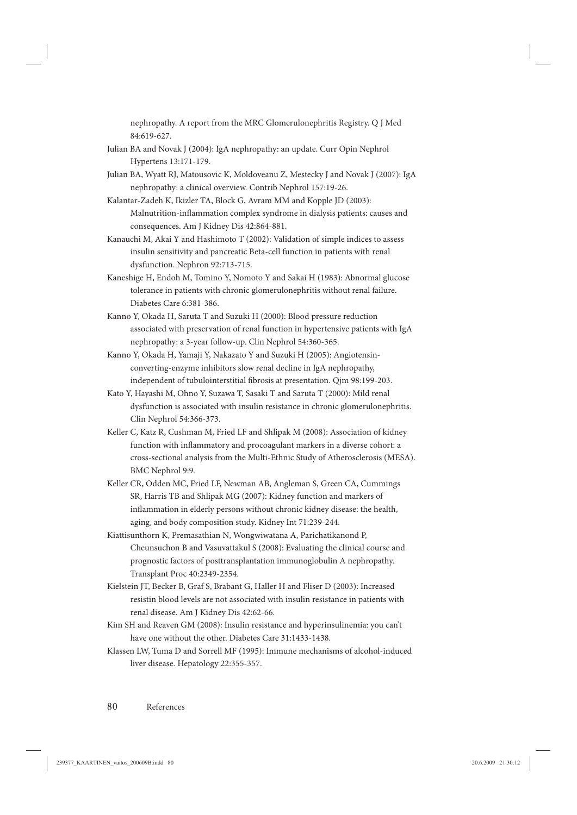nephropathy. A report from the MRC Glomerulonephritis Registry. Q J Med 84:619-627.

- Julian BA and Novak J (2004): IgA nephropathy: an update. Curr Opin Nephrol Hypertens 13:171-179.
- Julian BA, Wyatt RJ, Matousovic K, Moldoveanu Z, Mestecky J and Novak J (2007): IgA nephropathy: a clinical overview. Contrib Nephrol 157:19-26.
- Kalantar-Zadeh K, Ikizler TA, Block G, Avram MM and Kopple JD (2003): Malnutrition-inflammation complex syndrome in dialysis patients: causes and consequences. Am J Kidney Dis 42:864-881.
- Kanauchi M, Akai Y and Hashimoto T (2002): Validation of simple indices to assess insulin sensitivity and pancreatic Beta-cell function in patients with renal dysfunction. Nephron 92:713-715.
- Kaneshige H, Endoh M, Tomino Y, Nomoto Y and Sakai H (1983): Abnormal glucose tolerance in patients with chronic glomerulonephritis without renal failure. Diabetes Care 6:381-386.
- Kanno Y, Okada H, Saruta T and Suzuki H (2000): Blood pressure reduction associated with preservation of renal function in hypertensive patients with IgA nephropathy: a 3-year follow-up. Clin Nephrol 54:360-365.
- Kanno Y, Okada H, Yamaji Y, Nakazato Y and Suzuki H (2005): Angiotensinconverting-enzyme inhibitors slow renal decline in IgA nephropathy, independent of tubulointerstitial fibrosis at presentation. Qjm 98:199-203.
- Kato Y, Hayashi M, Ohno Y, Suzawa T, Sasaki T and Saruta T (2000): Mild renal dysfunction is associated with insulin resistance in chronic glomerulonephritis. Clin Nephrol 54:366-373.
- Keller C, Katz R, Cushman M, Fried LF and Shlipak M (2008): Association of kidney function with inflammatory and procoagulant markers in a diverse cohort: a cross-sectional analysis from the Multi-Ethnic Study of Atherosclerosis (MESA). BMC Nephrol 9:9.
- Keller CR, Odden MC, Fried LF, Newman AB, Angleman S, Green CA, Cummings SR, Harris TB and Shlipak MG (2007): Kidney function and markers of inflammation in elderly persons without chronic kidney disease: the health, aging, and body composition study. Kidney Int 71:239-244.
- Kiattisunthorn K, Premasathian N, Wongwiwatana A, Parichatikanond P, Cheunsuchon B and Vasuvattakul S (2008): Evaluating the clinical course and prognostic factors of posttransplantation immunoglobulin A nephropathy. Transplant Proc 40:2349-2354.
- Kielstein JT, Becker B, Graf S, Brabant G, Haller H and Fliser D (2003): Increased resistin blood levels are not associated with insulin resistance in patients with renal disease. Am J Kidney Dis 42:62-66.
- Kim SH and Reaven GM (2008): Insulin resistance and hyperinsulinemia: you can't have one without the other. Diabetes Care 31:1433-1438.
- Klassen LW, Tuma D and Sorrell MF (1995): Immune mechanisms of alcohol-induced liver disease. Hepatology 22:355-357.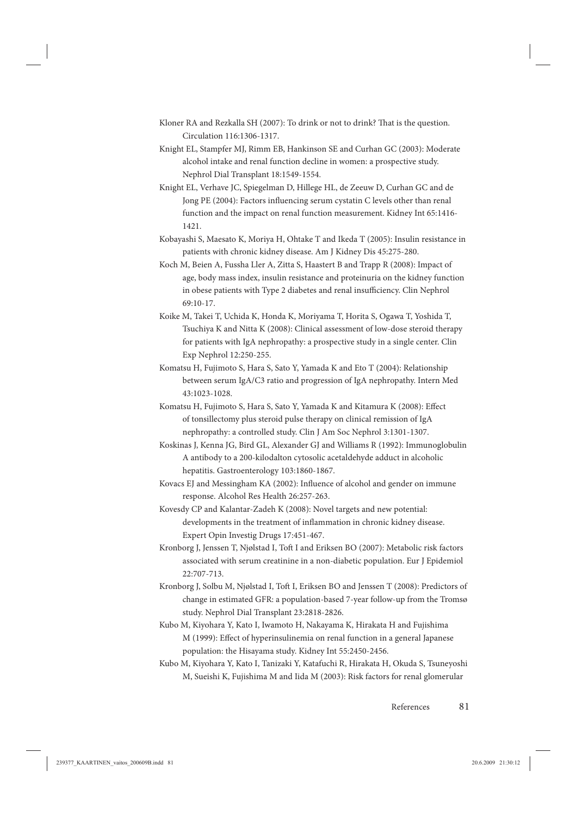- Kloner RA and Rezkalla SH (2007): To drink or not to drink? That is the question. Circulation 116:1306-1317.
- Knight EL, Stampfer MJ, Rimm EB, Hankinson SE and Curhan GC (2003): Moderate alcohol intake and renal function decline in women: a prospective study. Nephrol Dial Transplant 18:1549-1554.
- Knight EL, Verhave JC, Spiegelman D, Hillege HL, de Zeeuw D, Curhan GC and de Jong PE (2004): Factors influencing serum cystatin C levels other than renal function and the impact on renal function measurement. Kidney Int 65:1416- 1421.
- Kobayashi S, Maesato K, Moriya H, Ohtake T and Ikeda T (2005): Insulin resistance in patients with chronic kidney disease. Am J Kidney Dis 45:275-280.
- Koch M, Beien A, Fussha Ller A, Zitta S, Haastert B and Trapp R (2008): Impact of age, body mass index, insulin resistance and proteinuria on the kidney function in obese patients with Type 2 diabetes and renal insufficiency. Clin Nephrol 69:10-17.
- Koike M, Takei T, Uchida K, Honda K, Moriyama T, Horita S, Ogawa T, Yoshida T, Tsuchiya K and Nitta K (2008): Clinical assessment of low-dose steroid therapy for patients with IgA nephropathy: a prospective study in a single center. Clin Exp Nephrol 12:250-255.
- Komatsu H, Fujimoto S, Hara S, Sato Y, Yamada K and Eto T (2004): Relationship between serum IgA/C3 ratio and progression of IgA nephropathy. Intern Med 43:1023-1028.
- Komatsu H, Fujimoto S, Hara S, Sato Y, Yamada K and Kitamura K (2008): Effect of tonsillectomy plus steroid pulse therapy on clinical remission of IgA nephropathy: a controlled study. Clin J Am Soc Nephrol 3:1301-1307.
- Koskinas J, Kenna JG, Bird GL, Alexander GJ and Williams R (1992): Immunoglobulin A antibody to a 200-kilodalton cytosolic acetaldehyde adduct in alcoholic hepatitis. Gastroenterology 103:1860-1867.
- Kovacs EJ and Messingham KA (2002): Influence of alcohol and gender on immune response. Alcohol Res Health 26:257-263.
- Kovesdy CP and Kalantar-Zadeh K (2008): Novel targets and new potential: developments in the treatment of inflammation in chronic kidney disease. Expert Opin Investig Drugs 17:451-467.
- Kronborg J, Jenssen T, Njølstad I, Toft I and Eriksen BO (2007): Metabolic risk factors associated with serum creatinine in a non-diabetic population. Eur J Epidemiol 22:707-713.
- Kronborg J, Solbu M, Njølstad I, Toft I, Eriksen BO and Jenssen T (2008): Predictors of change in estimated GFR: a population-based 7-year follow-up from the Tromsø study. Nephrol Dial Transplant 23:2818-2826.
- Kubo M, Kiyohara Y, Kato I, Iwamoto H, Nakayama K, Hirakata H and Fujishima M (1999): Effect of hyperinsulinemia on renal function in a general Japanese population: the Hisayama study. Kidney Int 55:2450-2456.
- Kubo M, Kiyohara Y, Kato I, Tanizaki Y, Katafuchi R, Hirakata H, Okuda S, Tsuneyoshi M, Sueishi K, Fujishima M and Iida M (2003): Risk factors for renal glomerular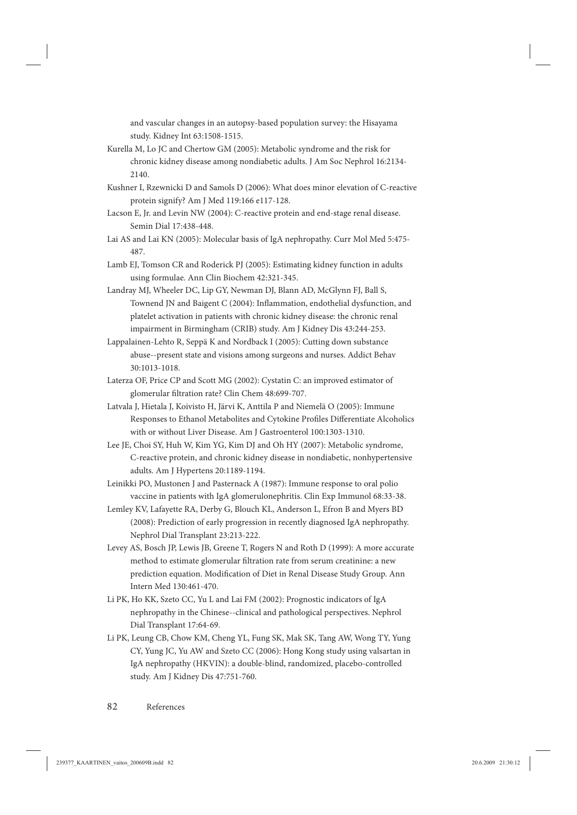and vascular changes in an autopsy-based population survey: the Hisayama study. Kidney Int 63:1508-1515.

- Kurella M, Lo JC and Chertow GM (2005): Metabolic syndrome and the risk for chronic kidney disease among nondiabetic adults. J Am Soc Nephrol 16:2134- 2140.
- Kushner I, Rzewnicki D and Samols D (2006): What does minor elevation of C-reactive protein signify? Am J Med 119:166 e117-128.
- Lacson E, Jr. and Levin NW (2004): C-reactive protein and end-stage renal disease. Semin Dial 17:438-448.
- Lai AS and Lai KN (2005): Molecular basis of IgA nephropathy. Curr Mol Med 5:475- 487.
- Lamb EJ, Tomson CR and Roderick PJ (2005): Estimating kidney function in adults using formulae. Ann Clin Biochem 42:321-345.
- Landray MJ, Wheeler DC, Lip GY, Newman DJ, Blann AD, McGlynn FJ, Ball S, Townend JN and Baigent C (2004): Inflammation, endothelial dysfunction, and platelet activation in patients with chronic kidney disease: the chronic renal impairment in Birmingham (CRIB) study. Am J Kidney Dis 43:244-253.
- Lappalainen-Lehto R, Seppä K and Nordback I (2005): Cutting down substance abuse--present state and visions among surgeons and nurses. Addict Behav 30:1013-1018.
- Laterza OF, Price CP and Scott MG (2002): Cystatin C: an improved estimator of glomerular filtration rate? Clin Chem 48:699-707.
- Latvala J, Hietala J, Koivisto H, Järvi K, Anttila P and Niemelä O (2005): Immune Responses to Ethanol Metabolites and Cytokine Profiles Differentiate Alcoholics with or without Liver Disease. Am J Gastroenterol 100:1303-1310.
- Lee JE, Choi SY, Huh W, Kim YG, Kim DJ and Oh HY (2007): Metabolic syndrome, C-reactive protein, and chronic kidney disease in nondiabetic, nonhypertensive adults. Am J Hypertens 20:1189-1194.

Leinikki PO, Mustonen J and Pasternack A (1987): Immune response to oral polio vaccine in patients with IgA glomerulonephritis. Clin Exp Immunol 68:33-38.

- Lemley KV, Lafayette RA, Derby G, Blouch KL, Anderson L, Efron B and Myers BD (2008): Prediction of early progression in recently diagnosed IgA nephropathy. Nephrol Dial Transplant 23:213-222.
- Levey AS, Bosch JP, Lewis JB, Greene T, Rogers N and Roth D (1999): A more accurate method to estimate glomerular filtration rate from serum creatinine: a new prediction equation. Modification of Diet in Renal Disease Study Group. Ann Intern Med 130:461-470.
- Li PK, Ho KK, Szeto CC, Yu L and Lai FM (2002): Prognostic indicators of IgA nephropathy in the Chinese--clinical and pathological perspectives. Nephrol Dial Transplant 17:64-69.
- Li PK, Leung CB, Chow KM, Cheng YL, Fung SK, Mak SK, Tang AW, Wong TY, Yung CY, Yung JC, Yu AW and Szeto CC (2006): Hong Kong study using valsartan in IgA nephropathy (HKVIN): a double-blind, randomized, placebo-controlled study. Am J Kidney Dis 47:751-760.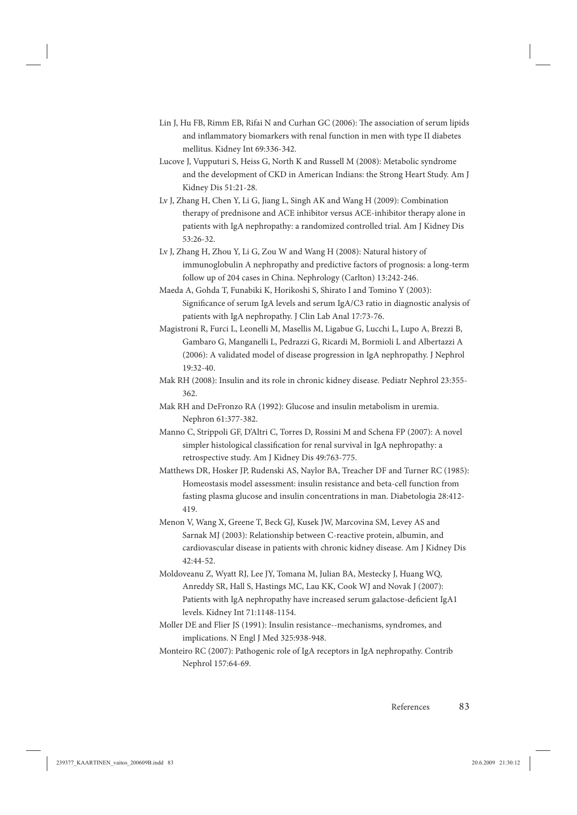- Lin J, Hu FB, Rimm EB, Rifai N and Curhan GC (2006): The association of serum lipids and inflammatory biomarkers with renal function in men with type II diabetes mellitus. Kidney Int 69:336-342.
- Lucove J, Vupputuri S, Heiss G, North K and Russell M (2008): Metabolic syndrome and the development of CKD in American Indians: the Strong Heart Study. Am J Kidney Dis 51:21-28.
- Lv J, Zhang H, Chen Y, Li G, Jiang L, Singh AK and Wang H (2009): Combination therapy of prednisone and ACE inhibitor versus ACE-inhibitor therapy alone in patients with IgA nephropathy: a randomized controlled trial. Am J Kidney Dis 53:26-32.
- Lv J, Zhang H, Zhou Y, Li G, Zou W and Wang H (2008): Natural history of immunoglobulin A nephropathy and predictive factors of prognosis: a long-term follow up of 204 cases in China. Nephrology (Carlton) 13:242-246.
- Maeda A, Gohda T, Funabiki K, Horikoshi S, Shirato I and Tomino Y (2003): Significance of serum IgA levels and serum IgA/C3 ratio in diagnostic analysis of patients with IgA nephropathy. J Clin Lab Anal 17:73-76.
- Magistroni R, Furci L, Leonelli M, Masellis M, Ligabue G, Lucchi L, Lupo A, Brezzi B, Gambaro G, Manganelli L, Pedrazzi G, Ricardi M, Bormioli L and Albertazzi A (2006): A validated model of disease progression in IgA nephropathy. J Nephrol 19:32-40.
- Mak RH (2008): Insulin and its role in chronic kidney disease. Pediatr Nephrol 23:355- 362.
- Mak RH and DeFronzo RA (1992): Glucose and insulin metabolism in uremia. Nephron 61:377-382.
- Manno C, Strippoli GF, D'Altri C, Torres D, Rossini M and Schena FP (2007): A novel simpler histological classification for renal survival in IgA nephropathy: a retrospective study. Am J Kidney Dis 49:763-775.
- Matthews DR, Hosker JP, Rudenski AS, Naylor BA, Treacher DF and Turner RC (1985): Homeostasis model assessment: insulin resistance and beta-cell function from fasting plasma glucose and insulin concentrations in man. Diabetologia 28:412- 419.
- Menon V, Wang X, Greene T, Beck GJ, Kusek JW, Marcovina SM, Levey AS and Sarnak MJ (2003): Relationship between C-reactive protein, albumin, and cardiovascular disease in patients with chronic kidney disease. Am J Kidney Dis 42:44-52.
- Moldoveanu Z, Wyatt RJ, Lee JY, Tomana M, Julian BA, Mestecky J, Huang WQ, Anreddy SR, Hall S, Hastings MC, Lau KK, Cook WJ and Novak J (2007): Patients with IgA nephropathy have increased serum galactose-deficient IgA1 levels. Kidney Int 71:1148-1154.
- Moller DE and Flier JS (1991): Insulin resistance--mechanisms, syndromes, and implications. N Engl J Med 325:938-948.
- Monteiro RC (2007): Pathogenic role of IgA receptors in IgA nephropathy. Contrib Nephrol 157:64-69.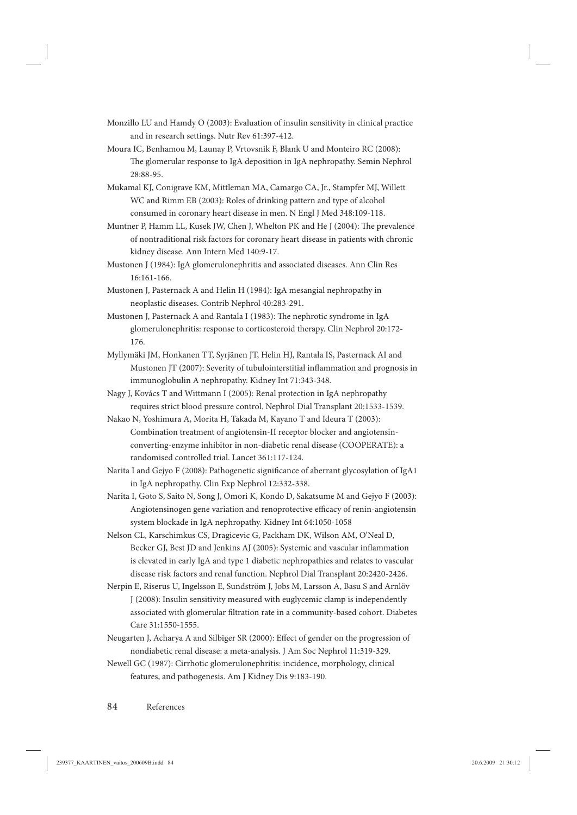- Monzillo LU and Hamdy O (2003): Evaluation of insulin sensitivity in clinical practice and in research settings. Nutr Rev 61:397-412.
- Moura IC, Benhamou M, Launay P, Vrtovsnik F, Blank U and Monteiro RC (2008): The glomerular response to IgA deposition in IgA nephropathy. Semin Nephrol 28:88-95.
- Mukamal KJ, Conigrave KM, Mittleman MA, Camargo CA, Jr., Stampfer MJ, Willett WC and Rimm EB (2003): Roles of drinking pattern and type of alcohol consumed in coronary heart disease in men. N Engl J Med 348:109-118.
- Muntner P, Hamm LL, Kusek JW, Chen J, Whelton PK and He J (2004): The prevalence of nontraditional risk factors for coronary heart disease in patients with chronic kidney disease. Ann Intern Med 140:9-17.
- Mustonen J (1984): IgA glomerulonephritis and associated diseases. Ann Clin Res 16:161-166.
- Mustonen J, Pasternack A and Helin H (1984): IgA mesangial nephropathy in neoplastic diseases. Contrib Nephrol 40:283-291.
- Mustonen J, Pasternack A and Rantala I (1983): The nephrotic syndrome in IgA glomerulonephritis: response to corticosteroid therapy. Clin Nephrol 20:172- 176.
- Myllymäki JM, Honkanen TT, Syrjänen JT, Helin HJ, Rantala IS, Pasternack AI and Mustonen JT (2007): Severity of tubulointerstitial inflammation and prognosis in immunoglobulin A nephropathy. Kidney Int 71:343-348.
- Nagy J, Kovács T and Wittmann I (2005): Renal protection in IgA nephropathy requires strict blood pressure control. Nephrol Dial Transplant 20:1533-1539.
- Nakao N, Yoshimura A, Morita H, Takada M, Kayano T and Ideura T (2003): Combination treatment of angiotensin-II receptor blocker and angiotensinconverting-enzyme inhibitor in non-diabetic renal disease (COOPERATE): a randomised controlled trial. Lancet 361:117-124.
- Narita I and Gejyo F (2008): Pathogenetic significance of aberrant glycosylation of IgA1 in IgA nephropathy. Clin Exp Nephrol 12:332-338.
- Narita I, Goto S, Saito N, Song J, Omori K, Kondo D, Sakatsume M and Gejyo F (2003): Angiotensinogen gene variation and renoprotective efficacy of renin-angiotensin system blockade in IgA nephropathy. Kidney Int 64:1050-1058
- Nelson CL, Karschimkus CS, Dragicevic G, Packham DK, Wilson AM, O'Neal D, Becker GJ, Best JD and Jenkins AJ (2005): Systemic and vascular inflammation is elevated in early IgA and type 1 diabetic nephropathies and relates to vascular disease risk factors and renal function. Nephrol Dial Transplant 20:2420-2426.
- Nerpin E, Riserus U, Ingelsson E, Sundström J, Jobs M, Larsson A, Basu S and Arnlöv J (2008): Insulin sensitivity measured with euglycemic clamp is independently associated with glomerular filtration rate in a community-based cohort. Diabetes Care 31:1550-1555.
- Neugarten J, Acharya A and Silbiger SR (2000): Effect of gender on the progression of nondiabetic renal disease: a meta-analysis. J Am Soc Nephrol 11:319-329.
- Newell GC (1987): Cirrhotic glomerulonephritis: incidence, morphology, clinical features, and pathogenesis. Am J Kidney Dis 9:183-190.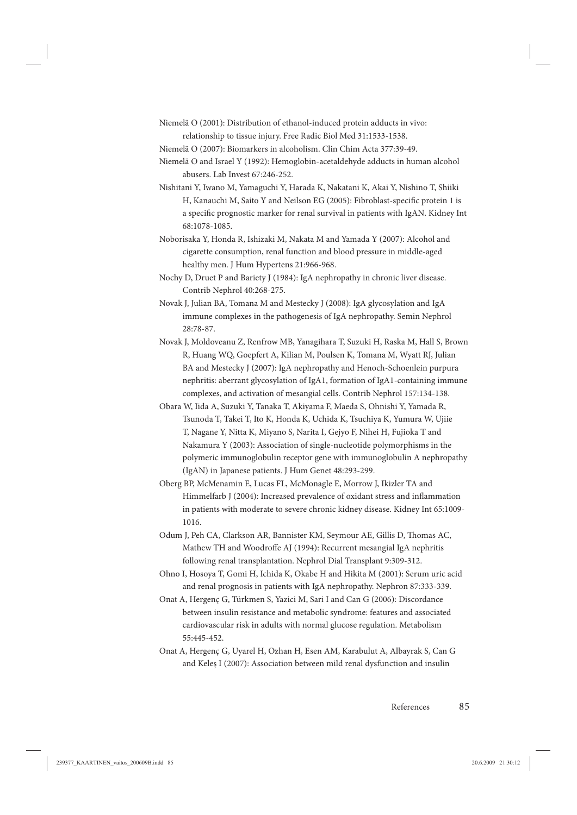- Niemelä O (2001): Distribution of ethanol-induced protein adducts in vivo: relationship to tissue injury. Free Radic Biol Med 31:1533-1538.
- Niemelä O (2007): Biomarkers in alcoholism. Clin Chim Acta 377:39-49.
- Niemelä O and Israel Y (1992): Hemoglobin-acetaldehyde adducts in human alcohol abusers. Lab Invest 67:246-252.
- Nishitani Y, Iwano M, Yamaguchi Y, Harada K, Nakatani K, Akai Y, Nishino T, Shiiki H, Kanauchi M, Saito Y and Neilson EG (2005): Fibroblast-specific protein 1 is a specific prognostic marker for renal survival in patients with IgAN. Kidney Int 68:1078-1085.
- Noborisaka Y, Honda R, Ishizaki M, Nakata M and Yamada Y (2007): Alcohol and cigarette consumption, renal function and blood pressure in middle-aged healthy men. J Hum Hypertens 21:966-968.
- Nochy D, Druet P and Bariety J (1984): IgA nephropathy in chronic liver disease. Contrib Nephrol 40:268-275.
- Novak J, Julian BA, Tomana M and Mestecky J (2008): IgA glycosylation and IgA immune complexes in the pathogenesis of IgA nephropathy. Semin Nephrol 28:78-87.
- Novak J, Moldoveanu Z, Renfrow MB, Yanagihara T, Suzuki H, Raska M, Hall S, Brown R, Huang WQ, Goepfert A, Kilian M, Poulsen K, Tomana M, Wyatt RJ, Julian BA and Mestecky J (2007): IgA nephropathy and Henoch-Schoenlein purpura nephritis: aberrant glycosylation of IgA1, formation of IgA1-containing immune complexes, and activation of mesangial cells. Contrib Nephrol 157:134-138.
- Obara W, Iida A, Suzuki Y, Tanaka T, Akiyama F, Maeda S, Ohnishi Y, Yamada R, Tsunoda T, Takei T, Ito K, Honda K, Uchida K, Tsuchiya K, Yumura W, Ujiie T, Nagane Y, Nitta K, Miyano S, Narita I, Gejyo F, Nihei H, Fujioka T and Nakamura Y (2003): Association of single-nucleotide polymorphisms in the polymeric immunoglobulin receptor gene with immunoglobulin A nephropathy (IgAN) in Japanese patients. J Hum Genet 48:293-299.
- Oberg BP, McMenamin E, Lucas FL, McMonagle E, Morrow J, Ikizler TA and Himmelfarb J (2004): Increased prevalence of oxidant stress and inflammation in patients with moderate to severe chronic kidney disease. Kidney Int 65:1009- 1016.
- Odum J, Peh CA, Clarkson AR, Bannister KM, Seymour AE, Gillis D, Thomas AC, Mathew TH and Woodroffe AJ (1994): Recurrent mesangial IgA nephritis following renal transplantation. Nephrol Dial Transplant 9:309-312.
- Ohno I, Hosoya T, Gomi H, Ichida K, Okabe H and Hikita M (2001): Serum uric acid and renal prognosis in patients with IgA nephropathy. Nephron 87:333-339.
- Onat A, Hergenç G, Türkmen S, Yazici M, Sari I and Can G (2006): Discordance between insulin resistance and metabolic syndrome: features and associated cardiovascular risk in adults with normal glucose regulation. Metabolism 55:445-452.
- Onat A, Hergenç G, Uyarel H, Ozhan H, Esen AM, Karabulut A, Albayrak S, Can G and Keleş I (2007): Association between mild renal dysfunction and insulin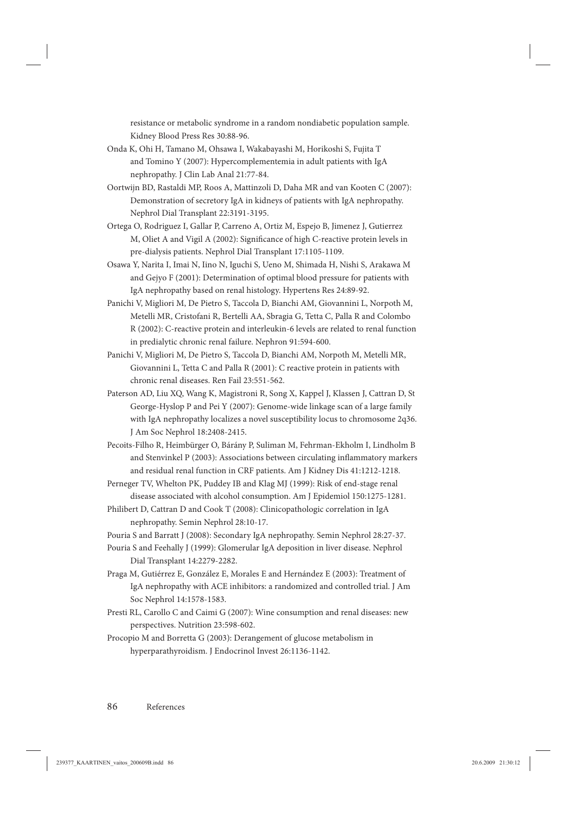resistance or metabolic syndrome in a random nondiabetic population sample. Kidney Blood Press Res 30:88-96.

- Onda K, Ohi H, Tamano M, Ohsawa I, Wakabayashi M, Horikoshi S, Fujita T and Tomino Y (2007): Hypercomplementemia in adult patients with IgA nephropathy. J Clin Lab Anal 21:77-84.
- Oortwijn BD, Rastaldi MP, Roos A, Mattinzoli D, Daha MR and van Kooten C (2007): Demonstration of secretory IgA in kidneys of patients with IgA nephropathy. Nephrol Dial Transplant 22:3191-3195.
- Ortega O, Rodriguez I, Gallar P, Carreno A, Ortiz M, Espejo B, Jimenez J, Gutierrez M, Oliet A and Vigil A (2002): Significance of high C-reactive protein levels in pre-dialysis patients. Nephrol Dial Transplant 17:1105-1109.
- Osawa Y, Narita I, Imai N, Iino N, Iguchi S, Ueno M, Shimada H, Nishi S, Arakawa M and Gejyo F (2001): Determination of optimal blood pressure for patients with IgA nephropathy based on renal histology. Hypertens Res 24:89-92.
- Panichi V, Migliori M, De Pietro S, Taccola D, Bianchi AM, Giovannini L, Norpoth M, Metelli MR, Cristofani R, Bertelli AA, Sbragia G, Tetta C, Palla R and Colombo R (2002): C-reactive protein and interleukin-6 levels are related to renal function in predialytic chronic renal failure. Nephron 91:594-600.
- Panichi V, Migliori M, De Pietro S, Taccola D, Bianchi AM, Norpoth M, Metelli MR, Giovannini L, Tetta C and Palla R (2001): C reactive protein in patients with chronic renal diseases. Ren Fail 23:551-562.
- Paterson AD, Liu XQ, Wang K, Magistroni R, Song X, Kappel J, Klassen J, Cattran D, St George-Hyslop P and Pei Y (2007): Genome-wide linkage scan of a large family with IgA nephropathy localizes a novel susceptibility locus to chromosome 2q36. J Am Soc Nephrol 18:2408-2415.
- Pecoits-Filho R, Heimbürger O, Bárány P, Suliman M, Fehrman-Ekholm I, Lindholm B and Stenvinkel P (2003): Associations between circulating inflammatory markers and residual renal function in CRF patients. Am J Kidney Dis 41:1212-1218.
- Perneger TV, Whelton PK, Puddey IB and Klag MJ (1999): Risk of end-stage renal disease associated with alcohol consumption. Am J Epidemiol 150:1275-1281.
- Philibert D, Cattran D and Cook T (2008): Clinicopathologic correlation in IgA nephropathy. Semin Nephrol 28:10-17.
- Pouria S and Barratt J (2008): Secondary IgA nephropathy. Semin Nephrol 28:27-37.
- Pouria S and Feehally J (1999): Glomerular IgA deposition in liver disease. Nephrol Dial Transplant 14:2279-2282.
- Praga M, Gutiérrez E, González E, Morales E and Hernández E (2003): Treatment of IgA nephropathy with ACE inhibitors: a randomized and controlled trial. J Am Soc Nephrol 14:1578-1583.
- Presti RL, Carollo C and Caimi G (2007): Wine consumption and renal diseases: new perspectives. Nutrition 23:598-602.
- Procopio M and Borretta G (2003): Derangement of glucose metabolism in hyperparathyroidism. J Endocrinol Invest 26:1136-1142.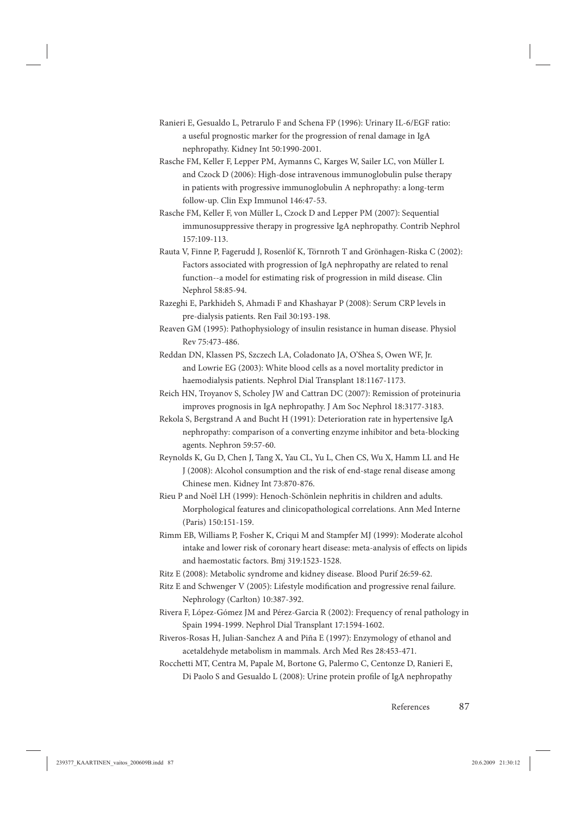- Ranieri E, Gesualdo L, Petrarulo F and Schena FP (1996): Urinary IL-6/EGF ratio: a useful prognostic marker for the progression of renal damage in IgA nephropathy. Kidney Int 50:1990-2001.
- Rasche FM, Keller F, Lepper PM, Aymanns C, Karges W, Sailer LC, von Müller L and Czock D (2006): High-dose intravenous immunoglobulin pulse therapy in patients with progressive immunoglobulin A nephropathy: a long-term follow-up. Clin Exp Immunol 146:47-53.
- Rasche FM, Keller F, von Müller L, Czock D and Lepper PM (2007): Sequential immunosuppressive therapy in progressive IgA nephropathy. Contrib Nephrol 157:109-113.
- Rauta V, Finne P, Fagerudd J, Rosenlöf K, Törnroth T and Grönhagen-Riska C (2002): Factors associated with progression of IgA nephropathy are related to renal function--a model for estimating risk of progression in mild disease. Clin Nephrol 58:85-94.
- Razeghi E, Parkhideh S, Ahmadi F and Khashayar P (2008): Serum CRP levels in pre-dialysis patients. Ren Fail 30:193-198.
- Reaven GM (1995): Pathophysiology of insulin resistance in human disease. Physiol Rev 75:473-486.
- Reddan DN, Klassen PS, Szczech LA, Coladonato JA, O'Shea S, Owen WF, Jr. and Lowrie EG (2003): White blood cells as a novel mortality predictor in haemodialysis patients. Nephrol Dial Transplant 18:1167-1173.
- Reich HN, Troyanov S, Scholey JW and Cattran DC (2007): Remission of proteinuria improves prognosis in IgA nephropathy. J Am Soc Nephrol 18:3177-3183.
- Rekola S, Bergstrand A and Bucht H (1991): Deterioration rate in hypertensive IgA nephropathy: comparison of a converting enzyme inhibitor and beta-blocking agents. Nephron 59:57-60.
- Reynolds K, Gu D, Chen J, Tang X, Yau CL, Yu L, Chen CS, Wu X, Hamm LL and He J (2008): Alcohol consumption and the risk of end-stage renal disease among Chinese men. Kidney Int 73:870-876.
- Rieu P and Noël LH (1999): Henoch-Schönlein nephritis in children and adults. Morphological features and clinicopathological correlations. Ann Med Interne (Paris) 150:151-159.
- Rimm EB, Williams P, Fosher K, Criqui M and Stampfer MJ (1999): Moderate alcohol intake and lower risk of coronary heart disease: meta-analysis of effects on lipids and haemostatic factors. Bmj 319:1523-1528.
- Ritz E (2008): Metabolic syndrome and kidney disease. Blood Purif 26:59-62.
- Ritz E and Schwenger V (2005): Lifestyle modification and progressive renal failure. Nephrology (Carlton) 10:387-392.
- Rivera F, López-Gómez JM and Pérez-Garcia R (2002): Frequency of renal pathology in Spain 1994-1999. Nephrol Dial Transplant 17:1594-1602.
- Riveros-Rosas H, Julian-Sanchez A and Piña E (1997): Enzymology of ethanol and acetaldehyde metabolism in mammals. Arch Med Res 28:453-471.
- Rocchetti MT, Centra M, Papale M, Bortone G, Palermo C, Centonze D, Ranieri E, Di Paolo S and Gesualdo L (2008): Urine protein profile of IgA nephropathy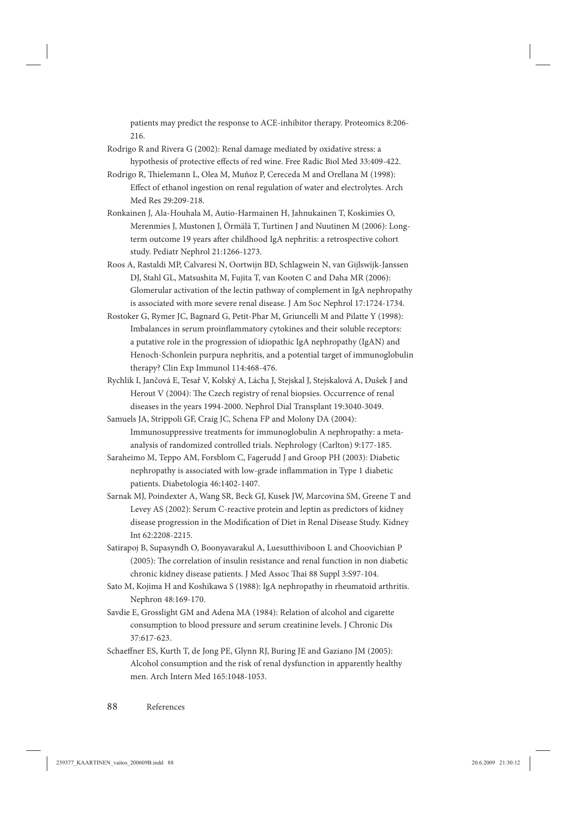patients may predict the response to ACE-inhibitor therapy. Proteomics 8:206- 216.

- Rodrigo R and Rivera G (2002): Renal damage mediated by oxidative stress: a hypothesis of protective effects of red wine. Free Radic Biol Med 33:409-422.
- Rodrigo R, Th ielemann L, Olea M, Muñoz P, Cereceda M and Orellana M (1998): Effect of ethanol ingestion on renal regulation of water and electrolytes. Arch Med Res 29:209-218.
- Ronkainen J, Ala-Houhala M, Autio-Harmainen H, Jahnukainen T, Koskimies O, Merenmies J, Mustonen J, Örmälä T, Turtinen J and Nuutinen M (2006): Longterm outcome 19 years after childhood IgA nephritis: a retrospective cohort study. Pediatr Nephrol 21:1266-1273.
- Roos A, Rastaldi MP, Calvaresi N, Oortwijn BD, Schlagwein N, van Gijlswijk-Janssen DJ, Stahl GL, Matsushita M, Fujita T, van Kooten C and Daha MR (2006): Glomerular activation of the lectin pathway of complement in IgA nephropathy is associated with more severe renal disease. J Am Soc Nephrol 17:1724-1734.
- Rostoker G, Rymer JC, Bagnard G, Petit-Phar M, Griuncelli M and Pilatte Y (1998): Imbalances in serum proinflammatory cytokines and their soluble receptors: a putative role in the progression of idiopathic IgA nephropathy (IgAN) and Henoch-Schonlein purpura nephritis, and a potential target of immunoglobulin therapy? Clin Exp Immunol 114:468-476.
- Rychlik I, Jančová E, Tesař V, Kolský A, Lácha J, Stejskal J, Stejskalová A, Dušek J and Herout V (2004): The Czech registry of renal biopsies. Occurrence of renal diseases in the years 1994-2000. Nephrol Dial Transplant 19:3040-3049.
- Samuels JA, Strippoli GF, Craig JC, Schena FP and Molony DA (2004): Immunosuppressive treatments for immunoglobulin A nephropathy: a metaanalysis of randomized controlled trials. Nephrology (Carlton) 9:177-185.
- Saraheimo M, Teppo AM, Forsblom C, Fagerudd J and Groop PH (2003): Diabetic nephropathy is associated with low-grade inflammation in Type 1 diabetic patients. Diabetologia 46:1402-1407.
- Sarnak MJ, Poindexter A, Wang SR, Beck GJ, Kusek JW, Marcovina SM, Greene T and Levey AS (2002): Serum C-reactive protein and leptin as predictors of kidney disease progression in the Modification of Diet in Renal Disease Study. Kidney Int 62:2208-2215.
- Satirapoj B, Supasyndh O, Boonyavarakul A, Luesutthiviboon L and Choovichian P  $(2005)$ : The correlation of insulin resistance and renal function in non diabetic chronic kidney disease patients. J Med Assoc Thai 88 Suppl 3:S97-104.
- Sato M, Kojima H and Koshikawa S (1988): IgA nephropathy in rheumatoid arthritis. Nephron 48:169-170.
- Savdie E, Grosslight GM and Adena MA (1984): Relation of alcohol and cigarette consumption to blood pressure and serum creatinine levels. J Chronic Dis 37:617-623.
- Schaeffner ES, Kurth T, de Jong PE, Glynn RJ, Buring JE and Gaziano JM (2005): Alcohol consumption and the risk of renal dysfunction in apparently healthy men. Arch Intern Med 165:1048-1053.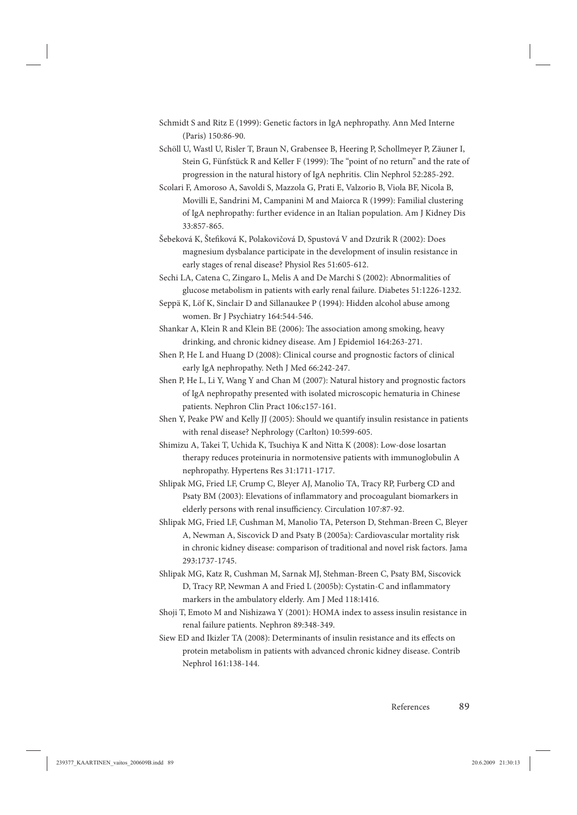- Schmidt S and Ritz E (1999): Genetic factors in IgA nephropathy. Ann Med Interne (Paris) 150:86-90.
- Schöll U, Wastl U, Risler T, Braun N, Grabensee B, Heering P, Schollmeyer P, Zäuner I, Stein G, Fünfstück R and Keller F (1999): The "point of no return" and the rate of progression in the natural history of IgA nephritis. Clin Nephrol 52:285-292.
- Scolari F, Amoroso A, Savoldi S, Mazzola G, Prati E, Valzorio B, Viola BF, Nicola B, Movilli E, Sandrini M, Campanini M and Maiorca R (1999): Familial clustering of IgA nephropathy: further evidence in an Italian population. Am J Kidney Dis 33:857-865.
- Šebeková K, Štefiková K, Polakovičová D, Spustová V and Dzưrik R (2002): Does magnesium dysbalance participate in the development of insulin resistance in early stages of renal disease? Physiol Res 51:605-612.
- Sechi LA, Catena C, Zingaro L, Melis A and De Marchi S (2002): Abnormalities of glucose metabolism in patients with early renal failure. Diabetes 51:1226-1232.
- Seppä K, Löf K, Sinclair D and Sillanaukee P (1994): Hidden alcohol abuse among women. Br J Psychiatry 164:544-546.
- Shankar A, Klein R and Klein BE (2006): The association among smoking, heavy drinking, and chronic kidney disease. Am J Epidemiol 164:263-271.
- Shen P, He L and Huang D (2008): Clinical course and prognostic factors of clinical early IgA nephropathy. Neth J Med 66:242-247.
- Shen P, He L, Li Y, Wang Y and Chan M (2007): Natural history and prognostic factors of IgA nephropathy presented with isolated microscopic hematuria in Chinese patients. Nephron Clin Pract 106:c157-161.
- Shen Y, Peake PW and Kelly JJ (2005): Should we quantify insulin resistance in patients with renal disease? Nephrology (Carlton) 10:599-605.
- Shimizu A, Takei T, Uchida K, Tsuchiya K and Nitta K (2008): Low-dose losartan therapy reduces proteinuria in normotensive patients with immunoglobulin A nephropathy. Hypertens Res 31:1711-1717.
- Shlipak MG, Fried LF, Crump C, Bleyer AJ, Manolio TA, Tracy RP, Furberg CD and Psaty BM (2003): Elevations of inflammatory and procoagulant biomarkers in elderly persons with renal insufficiency. Circulation 107:87-92.
- Shlipak MG, Fried LF, Cushman M, Manolio TA, Peterson D, Stehman-Breen C, Bleyer A, Newman A, Siscovick D and Psaty B (2005a): Cardiovascular mortality risk in chronic kidney disease: comparison of traditional and novel risk factors. Jama 293:1737-1745.
- Shlipak MG, Katz R, Cushman M, Sarnak MJ, Stehman-Breen C, Psaty BM, Siscovick D, Tracy RP, Newman A and Fried L (2005b): Cystatin-C and inflammatory markers in the ambulatory elderly. Am J Med 118:1416.
- Shoji T, Emoto M and Nishizawa Y (2001): HOMA index to assess insulin resistance in renal failure patients. Nephron 89:348-349.
- Siew ED and Ikizler TA (2008): Determinants of insulin resistance and its effects on protein metabolism in patients with advanced chronic kidney disease. Contrib Nephrol 161:138-144.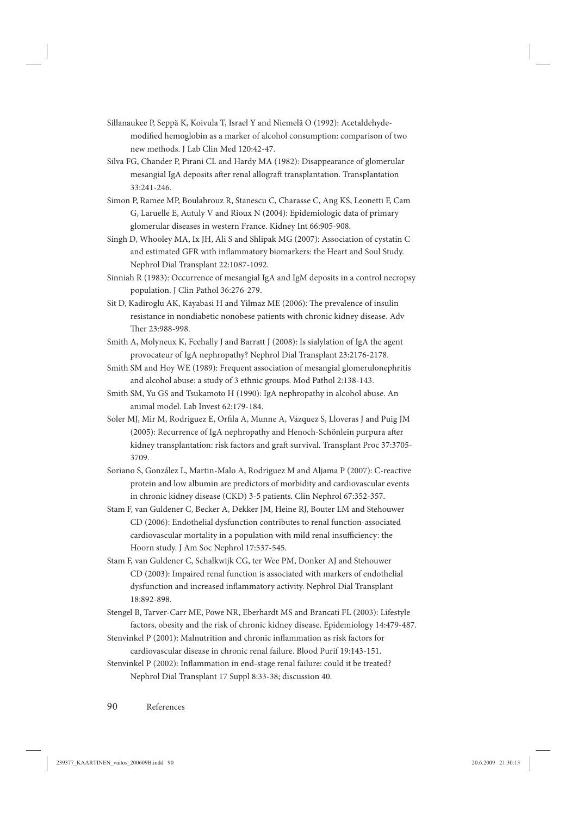- Sillanaukee P, Seppä K, Koivula T, Israel Y and Niemelä O (1992): Acetaldehydemodified hemoglobin as a marker of alcohol consumption: comparison of two new methods. J Lab Clin Med 120:42-47.
- Silva FG, Chander P, Pirani CL and Hardy MA (1982): Disappearance of glomerular mesangial IgA deposits after renal allograft transplantation. Transplantation 33:241-246.
- Simon P, Ramee MP, Boulahrouz R, Stanescu C, Charasse C, Ang KS, Leonetti F, Cam G, Laruelle E, Autuly V and Rioux N (2004): Epidemiologic data of primary glomerular diseases in western France. Kidney Int 66:905-908.
- Singh D, Whooley MA, Ix JH, Ali S and Shlipak MG (2007): Association of cystatin C and estimated GFR with inflammatory biomarkers: the Heart and Soul Study. Nephrol Dial Transplant 22:1087-1092.
- Sinniah R (1983): Occurrence of mesangial IgA and IgM deposits in a control necropsy population. J Clin Pathol 36:276-279.
- Sit D, Kadiroglu AK, Kayabasi H and Yilmaz ME (2006): The prevalence of insulin resistance in nondiabetic nonobese patients with chronic kidney disease. Adv Ther 23:988-998.
- Smith A, Molyneux K, Feehally J and Barratt J (2008): Is sialylation of IgA the agent provocateur of IgA nephropathy? Nephrol Dial Transplant 23:2176-2178.
- Smith SM and Hoy WE (1989): Frequent association of mesangial glomerulonephritis and alcohol abuse: a study of 3 ethnic groups. Mod Pathol 2:138-143.
- Smith SM, Yu GS and Tsukamoto H (1990): IgA nephropathy in alcohol abuse. An animal model. Lab Invest 62:179-184.
- Soler MJ, Mir M, Rodriguez E, Orfila A, Munne A, Vázquez S, Lloveras J and Puig JM (2005): Recurrence of IgA nephropathy and Henoch-Schönlein purpura after kidney transplantation: risk factors and graft survival. Transplant Proc 37:3705- 3709.
- Soriano S, González L, Martin-Malo A, Rodriguez M and Aljama P (2007): C-reactive protein and low albumin are predictors of morbidity and cardiovascular events in chronic kidney disease (CKD) 3-5 patients. Clin Nephrol 67:352-357.
- Stam F, van Guldener C, Becker A, Dekker JM, Heine RJ, Bouter LM and Stehouwer CD (2006): Endothelial dysfunction contributes to renal function-associated cardiovascular mortality in a population with mild renal insufficiency: the Hoorn study. J Am Soc Nephrol 17:537-545.
- Stam F, van Guldener C, Schalkwijk CG, ter Wee PM, Donker AJ and Stehouwer CD (2003): Impaired renal function is associated with markers of endothelial dysfunction and increased inflammatory activity. Nephrol Dial Transplant 18:892-898.
- Stengel B, Tarver-Carr ME, Powe NR, Eberhardt MS and Brancati FL (2003): Lifestyle factors, obesity and the risk of chronic kidney disease. Epidemiology 14:479-487.
- Stenvinkel P (2001): Malnutrition and chronic inflammation as risk factors for cardiovascular disease in chronic renal failure. Blood Purif 19:143-151.
- Stenvinkel P (2002): Inflammation in end-stage renal failure: could it be treated? Nephrol Dial Transplant 17 Suppl 8:33-38; discussion 40.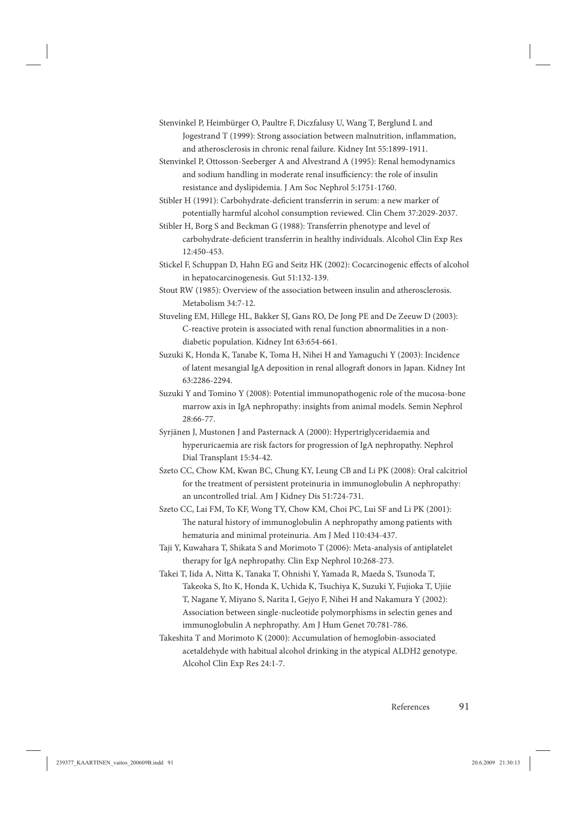- Stenvinkel P, Heimbürger O, Paultre F, Diczfalusy U, Wang T, Berglund L and Jogestrand T (1999): Strong association between malnutrition, inflammation, and atherosclerosis in chronic renal failure. Kidney Int 55:1899-1911.
- Stenvinkel P, Ottosson-Seeberger A and Alvestrand A (1995): Renal hemodynamics and sodium handling in moderate renal insufficiency: the role of insulin resistance and dyslipidemia. J Am Soc Nephrol 5:1751-1760.

Stibler H (1991): Carbohydrate-deficient transferrin in serum: a new marker of potentially harmful alcohol consumption reviewed. Clin Chem 37:2029-2037.

Stibler H, Borg S and Beckman G (1988): Transferrin phenotype and level of carbohydrate-deficient transferrin in healthy individuals. Alcohol Clin Exp Res 12:450-453.

Stickel F, Schuppan D, Hahn EG and Seitz HK (2002): Cocarcinogenic effects of alcohol in hepatocarcinogenesis. Gut 51:132-139.

Stout RW (1985): Overview of the association between insulin and atherosclerosis. Metabolism 34:7-12.

Stuveling EM, Hillege HL, Bakker SJ, Gans RO, De Jong PE and De Zeeuw D (2003): C-reactive protein is associated with renal function abnormalities in a nondiabetic population. Kidney Int 63:654-661.

- Suzuki K, Honda K, Tanabe K, Toma H, Nihei H and Yamaguchi Y (2003): Incidence of latent mesangial IgA deposition in renal allograft donors in Japan. Kidney Int 63:2286-2294.
- Suzuki Y and Tomino Y (2008): Potential immunopathogenic role of the mucosa-bone marrow axis in IgA nephropathy: insights from animal models. Semin Nephrol 28:66-77.
- Syrjänen J, Mustonen J and Pasternack A (2000): Hypertriglyceridaemia and hyperuricaemia are risk factors for progression of IgA nephropathy. Nephrol Dial Transplant 15:34-42.
- Szeto CC, Chow KM, Kwan BC, Chung KY, Leung CB and Li PK (2008): Oral calcitriol for the treatment of persistent proteinuria in immunoglobulin A nephropathy: an uncontrolled trial. Am J Kidney Dis 51:724-731.

Szeto CC, Lai FM, To KF, Wong TY, Chow KM, Choi PC, Lui SF and Li PK (2001): The natural history of immunoglobulin A nephropathy among patients with hematuria and minimal proteinuria. Am J Med 110:434-437.

- Taji Y, Kuwahara T, Shikata S and Morimoto T (2006): Meta-analysis of antiplatelet therapy for IgA nephropathy. Clin Exp Nephrol 10:268-273.
- Takei T, Iida A, Nitta K, Tanaka T, Ohnishi Y, Yamada R, Maeda S, Tsunoda T, Takeoka S, Ito K, Honda K, Uchida K, Tsuchiya K, Suzuki Y, Fujioka T, Ujiie T, Nagane Y, Miyano S, Narita I, Gejyo F, Nihei H and Nakamura Y (2002): Association between single-nucleotide polymorphisms in selectin genes and immunoglobulin A nephropathy. Am J Hum Genet 70:781-786.
- Takeshita T and Morimoto K (2000): Accumulation of hemoglobin-associated acetaldehyde with habitual alcohol drinking in the atypical ALDH2 genotype. Alcohol Clin Exp Res 24:1-7.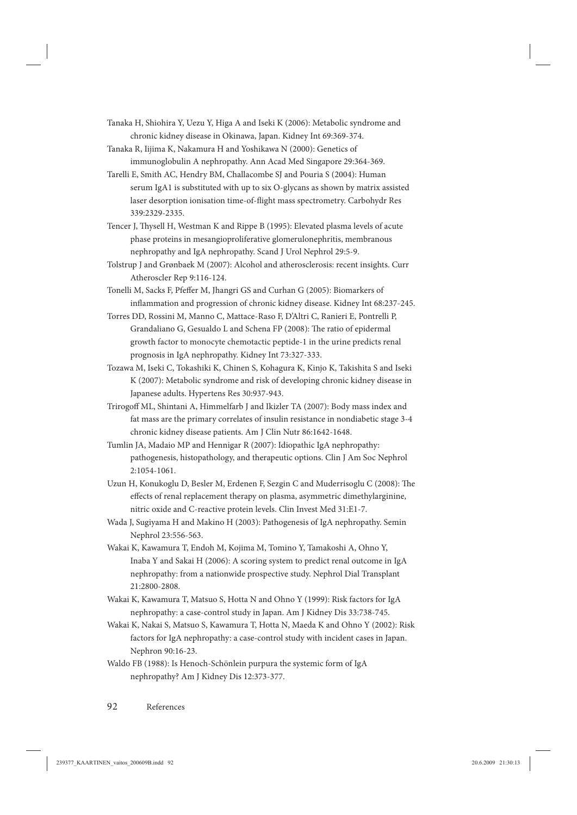- Tanaka H, Shiohira Y, Uezu Y, Higa A and Iseki K (2006): Metabolic syndrome and chronic kidney disease in Okinawa, Japan. Kidney Int 69:369-374.
- Tanaka R, Iijima K, Nakamura H and Yoshikawa N (2000): Genetics of immunoglobulin A nephropathy. Ann Acad Med Singapore 29:364-369.
- Tarelli E, Smith AC, Hendry BM, Challacombe SJ and Pouria S (2004): Human serum IgA1 is substituted with up to six O-glycans as shown by matrix assisted laser desorption ionisation time-of-flight mass spectrometry. Carbohydr Res 339:2329-2335.
- Tencer J, Thysell H, Westman K and Rippe B (1995): Elevated plasma levels of acute phase proteins in mesangioproliferative glomerulonephritis, membranous nephropathy and IgA nephropathy. Scand J Urol Nephrol 29:5-9.
- Tolstrup J and Grønbaek M (2007): Alcohol and atherosclerosis: recent insights. Curr Atheroscler Rep 9:116-124.
- Tonelli M, Sacks F, Pfeffer M, Jhangri GS and Curhan G (2005): Biomarkers of inflammation and progression of chronic kidney disease. Kidney Int 68:237-245.
- Torres DD, Rossini M, Manno C, Mattace-Raso F, D'Altri C, Ranieri E, Pontrelli P, Grandaliano G, Gesualdo L and Schena FP (2008): The ratio of epidermal growth factor to monocyte chemotactic peptide-1 in the urine predicts renal prognosis in IgA nephropathy. Kidney Int 73:327-333.
- Tozawa M, Iseki C, Tokashiki K, Chinen S, Kohagura K, Kinjo K, Takishita S and Iseki K (2007): Metabolic syndrome and risk of developing chronic kidney disease in Japanese adults. Hypertens Res 30:937-943.
- Trirogoff ML, Shintani A, Himmelfarb J and Ikizler TA (2007): Body mass index and fat mass are the primary correlates of insulin resistance in nondiabetic stage 3-4 chronic kidney disease patients. Am J Clin Nutr 86:1642-1648.
- Tumlin JA, Madaio MP and Hennigar R (2007): Idiopathic IgA nephropathy: pathogenesis, histopathology, and therapeutic options. Clin J Am Soc Nephrol 2:1054-1061.
- Uzun H, Konukoglu D, Besler M, Erdenen F, Sezgin C and Muderrisoglu C (2008): The effects of renal replacement therapy on plasma, asymmetric dimethylarginine, nitric oxide and C-reactive protein levels. Clin Invest Med 31:E1-7.
- Wada J, Sugiyama H and Makino H (2003): Pathogenesis of IgA nephropathy. Semin Nephrol 23:556-563.
- Wakai K, Kawamura T, Endoh M, Kojima M, Tomino Y, Tamakoshi A, Ohno Y, Inaba Y and Sakai H (2006): A scoring system to predict renal outcome in IgA nephropathy: from a nationwide prospective study. Nephrol Dial Transplant 21:2800-2808.
- Wakai K, Kawamura T, Matsuo S, Hotta N and Ohno Y (1999): Risk factors for IgA nephropathy: a case-control study in Japan. Am J Kidney Dis 33:738-745.
- Wakai K, Nakai S, Matsuo S, Kawamura T, Hotta N, Maeda K and Ohno Y (2002): Risk factors for IgA nephropathy: a case-control study with incident cases in Japan. Nephron 90:16-23.
- Waldo FB (1988): Is Henoch-Schönlein purpura the systemic form of IgA nephropathy? Am J Kidney Dis 12:373-377.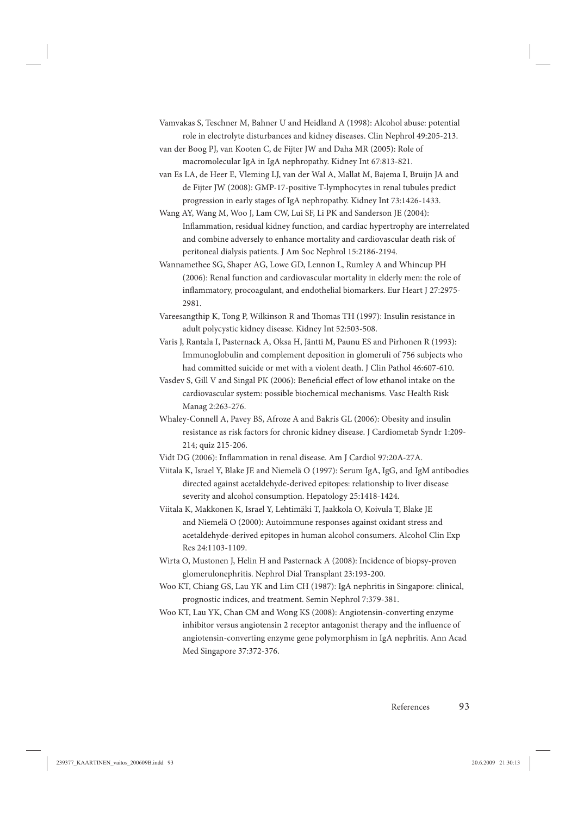Vamvakas S, Teschner M, Bahner U and Heidland A (1998): Alcohol abuse: potential role in electrolyte disturbances and kidney diseases. Clin Nephrol 49:205-213.

van der Boog PJ, van Kooten C, de Fijter JW and Daha MR (2005): Role of macromolecular IgA in IgA nephropathy. Kidney Int 67:813-821.

van Es LA, de Heer E, Vleming LJ, van der Wal A, Mallat M, Bajema I, Bruijn JA and de Fijter JW (2008): GMP-17-positive T-lymphocytes in renal tubules predict progression in early stages of IgA nephropathy. Kidney Int 73:1426-1433.

Wang AY, Wang M, Woo J, Lam CW, Lui SF, Li PK and Sanderson JE (2004): Inflammation, residual kidney function, and cardiac hypertrophy are interrelated and combine adversely to enhance mortality and cardiovascular death risk of peritoneal dialysis patients. J Am Soc Nephrol 15:2186-2194.

Wannamethee SG, Shaper AG, Lowe GD, Lennon L, Rumley A and Whincup PH (2006): Renal function and cardiovascular mortality in elderly men: the role of inflammatory, procoagulant, and endothelial biomarkers. Eur Heart J 27:2975-2981.

Vareesangthip K, Tong P, Wilkinson R and Thomas TH (1997): Insulin resistance in adult polycystic kidney disease. Kidney Int 52:503-508.

Varis J, Rantala I, Pasternack A, Oksa H, Jäntti M, Paunu ES and Pirhonen R (1993): Immunoglobulin and complement deposition in glomeruli of 756 subjects who had committed suicide or met with a violent death. J Clin Pathol 46:607-610.

Vasdev S, Gill V and Singal PK (2006): Beneficial effect of low ethanol intake on the cardiovascular system: possible biochemical mechanisms. Vasc Health Risk Manag 2:263-276.

Whaley-Connell A, Pavey BS, Afroze A and Bakris GL (2006): Obesity and insulin resistance as risk factors for chronic kidney disease. J Cardiometab Syndr 1:209- 214; quiz 215-206.

Vidt DG (2006): Inflammation in renal disease. Am J Cardiol 97:20A-27A.

Viitala K, Israel Y, Blake JE and Niemelä O (1997): Serum IgA, IgG, and IgM antibodies directed against acetaldehyde-derived epitopes: relationship to liver disease severity and alcohol consumption. Hepatology 25:1418-1424.

Viitala K, Makkonen K, Israel Y, Lehtimäki T, Jaakkola O, Koivula T, Blake JE and Niemelä O (2000): Autoimmune responses against oxidant stress and acetaldehyde-derived epitopes in human alcohol consumers. Alcohol Clin Exp Res 24:1103-1109.

Wirta O, Mustonen J, Helin H and Pasternack A (2008): Incidence of biopsy-proven glomerulonephritis. Nephrol Dial Transplant 23:193-200.

Woo KT, Chiang GS, Lau YK and Lim CH (1987): IgA nephritis in Singapore: clinical, prognostic indices, and treatment. Semin Nephrol 7:379-381.

Woo KT, Lau YK, Chan CM and Wong KS (2008): Angiotensin-converting enzyme inhibitor versus angiotensin 2 receptor antagonist therapy and the influence of angiotensin-converting enzyme gene polymorphism in IgA nephritis. Ann Acad Med Singapore 37:372-376.